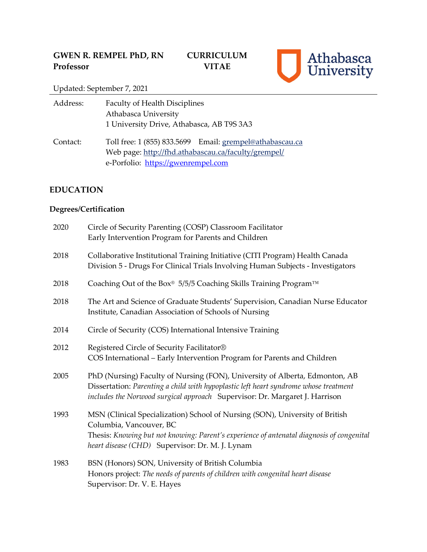

Updated: September 7, 2021

| Address: | <b>Faculty of Health Disciplines</b>                                                                                                                  |
|----------|-------------------------------------------------------------------------------------------------------------------------------------------------------|
|          | Athabasca University                                                                                                                                  |
|          | 1 University Drive, Athabasca, AB T9S 3A3                                                                                                             |
| Contact: | Toll free: 1 (855) 833.5699 Email: grempel@athabascau.ca<br>Web page: http://fhd.athabascau.ca/faculty/grempel/<br>e-Porfolio: https://gwenrempel.com |

# **EDUCATION**

# **Degrees/Certification**

| 2020 | Circle of Security Parenting (COSP) Classroom Facilitator<br>Early Intervention Program for Parents and Children                                                                                                                                        |
|------|---------------------------------------------------------------------------------------------------------------------------------------------------------------------------------------------------------------------------------------------------------|
| 2018 | Collaborative Institutional Training Initiative (CITI Program) Health Canada<br>Division 5 - Drugs For Clinical Trials Involving Human Subjects - Investigators                                                                                         |
| 2018 | Coaching Out of the Box® 5/5/5 Coaching Skills Training Program™                                                                                                                                                                                        |
| 2018 | The Art and Science of Graduate Students' Supervision, Canadian Nurse Educator<br>Institute, Canadian Association of Schools of Nursing                                                                                                                 |
| 2014 | Circle of Security (COS) International Intensive Training                                                                                                                                                                                               |
| 2012 | Registered Circle of Security Facilitator®<br>COS International - Early Intervention Program for Parents and Children                                                                                                                                   |
| 2005 | PhD (Nursing) Faculty of Nursing (FON), University of Alberta, Edmonton, AB<br>Dissertation: Parenting a child with hypoplastic left heart syndrome whose treatment<br>includes the Norwood surgical approach Supervisor: Dr. Margaret J. Harrison      |
| 1993 | MSN (Clinical Specialization) School of Nursing (SON), University of British<br>Columbia, Vancouver, BC<br>Thesis: Knowing but not knowing: Parent's experience of antenatal diagnosis of congenital<br>heart disease (CHD) Supervisor: Dr. M. J. Lynam |
| 1983 | BSN (Honors) SON, University of British Columbia<br>Honors project: The needs of parents of children with congenital heart disease<br>Supervisor: Dr. V. E. Hayes                                                                                       |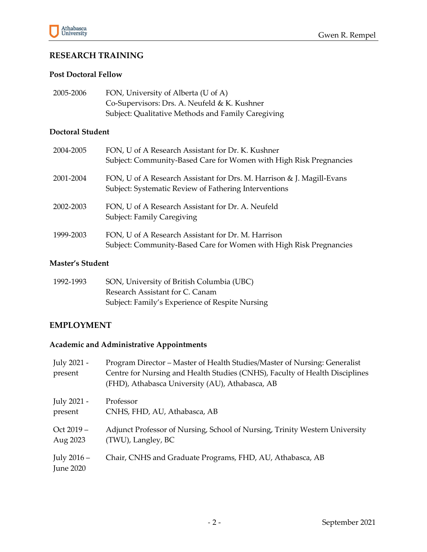

# **RESEARCH TRAINING**

#### **Post Doctoral Fellow**

| 2005-2006 | FON, University of Alberta (U of A)                |
|-----------|----------------------------------------------------|
|           | Co-Supervisors: Drs. A. Neufeld & K. Kushner       |
|           | Subject: Qualitative Methods and Family Caregiving |

#### **Doctoral Student**

| 2004-2005 | FON, U of A Research Assistant for Dr. K. Kushner<br>Subject: Community-Based Care for Women with High Risk Pregnancies        |
|-----------|--------------------------------------------------------------------------------------------------------------------------------|
| 2001-2004 | FON, U of A Research Assistant for Drs. M. Harrison & J. Magill-Evans<br>Subject: Systematic Review of Fathering Interventions |
| 2002-2003 | FON, U of A Research Assistant for Dr. A. Neufeld<br>Subject: Family Caregiving                                                |
| 1999-2003 | FON, U of A Research Assistant for Dr. M. Harrison<br>Subject: Community-Based Care for Women with High Risk Pregnancies       |

#### **Master's Student**

| 1992-1993 | SON, University of British Columbia (UBC)       |
|-----------|-------------------------------------------------|
|           | Research Assistant for C. Canam                 |
|           | Subject: Family's Experience of Respite Nursing |

#### **EMPLOYMENT**

# **Academic and Administrative Appointments**

| July 2021 -<br>present            | Program Director – Master of Health Studies/Master of Nursing: Generalist<br>Centre for Nursing and Health Studies (CNHS), Faculty of Health Disciplines<br>(FHD), Athabasca University (AU), Athabasca, AB |
|-----------------------------------|-------------------------------------------------------------------------------------------------------------------------------------------------------------------------------------------------------------|
| July 2021 -                       | Professor                                                                                                                                                                                                   |
| present                           | CNHS, FHD, AU, Athabasca, AB                                                                                                                                                                                |
| $Oct 2019 -$                      | Adjunct Professor of Nursing, School of Nursing, Trinity Western University                                                                                                                                 |
| Aug 2023                          | (TWU), Langley, BC                                                                                                                                                                                          |
| July $2016 -$<br><b>June 2020</b> | Chair, CNHS and Graduate Programs, FHD, AU, Athabasca, AB                                                                                                                                                   |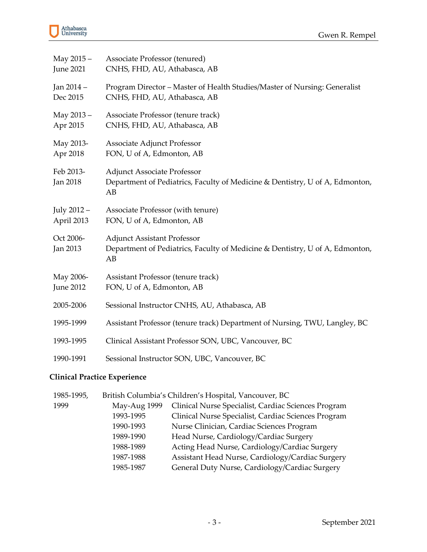| May 2015 -            | Associate Professor (tenured)                                                                                            |
|-----------------------|--------------------------------------------------------------------------------------------------------------------------|
| <b>June 2021</b>      | CNHS, FHD, AU, Athabasca, AB                                                                                             |
| Jan 2014 -            | Program Director - Master of Health Studies/Master of Nursing: Generalist                                                |
| Dec 2015              | CNHS, FHD, AU, Athabasca, AB                                                                                             |
| May 2013 -            | Associate Professor (tenure track)                                                                                       |
| Apr 2015              | CNHS, FHD, AU, Athabasca, AB                                                                                             |
| May 2013-             | Associate Adjunct Professor                                                                                              |
| Apr 2018              | FON, U of A, Edmonton, AB                                                                                                |
| Feb 2013-<br>Jan 2018 | <b>Adjunct Associate Professor</b><br>Department of Pediatrics, Faculty of Medicine & Dentistry, U of A, Edmonton,<br>AB |
| July 2012 -           | Associate Professor (with tenure)                                                                                        |
| April 2013            | FON, U of A, Edmonton, AB                                                                                                |
| Oct 2006-<br>Jan 2013 | <b>Adjunct Assistant Professor</b><br>Department of Pediatrics, Faculty of Medicine & Dentistry, U of A, Edmonton,<br>AB |
| May 2006-             | Assistant Professor (tenure track)                                                                                       |
| <b>June 2012</b>      | FON, U of A, Edmonton, AB                                                                                                |
| 2005-2006             | Sessional Instructor CNHS, AU, Athabasca, AB                                                                             |
| 1995-1999             | Assistant Professor (tenure track) Department of Nursing, TWU, Langley, BC                                               |
| 1993-1995             | Clinical Assistant Professor SON, UBC, Vancouver, BC                                                                     |
| 1990-1991             | Sessional Instructor SON, UBC, Vancouver, BC                                                                             |

# **Clinical Practice Experience**

| 1985-1995, |              | British Columbia's Children's Hospital, Vancouver, BC |
|------------|--------------|-------------------------------------------------------|
| 1999       | May-Aug 1999 | Clinical Nurse Specialist, Cardiac Sciences Program   |
|            | 1993-1995    | Clinical Nurse Specialist, Cardiac Sciences Program   |
|            | 1990-1993    | Nurse Clinician, Cardiac Sciences Program             |
|            | 1989-1990    | Head Nurse, Cardiology/Cardiac Surgery                |
|            | 1988-1989    | Acting Head Nurse, Cardiology/Cardiac Surgery         |
|            | 1987-1988    | Assistant Head Nurse, Cardiology/Cardiac Surgery      |
|            | 1985-1987    | General Duty Nurse, Cardiology/Cardiac Surgery        |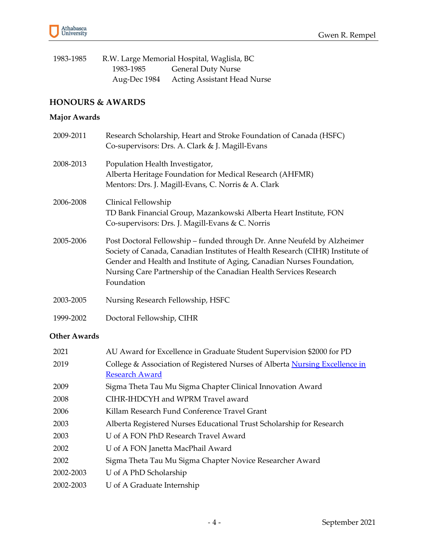

| 1983-1985 |           | R.W. Large Memorial Hospital, Waglisla, BC |
|-----------|-----------|--------------------------------------------|
|           | 1983-1985 | <b>General Duty Nurse</b>                  |
|           |           | Aug-Dec 1984 Acting Assistant Head Nurse   |

## **HONOURS & AWARDS**

# **Major Awards**

| 2009-2011 | Research Scholarship, Heart and Stroke Foundation of Canada (HSFC)<br>Co-supervisors: Drs. A. Clark & J. Magill-Evans                                                                                                                                                                                                |
|-----------|----------------------------------------------------------------------------------------------------------------------------------------------------------------------------------------------------------------------------------------------------------------------------------------------------------------------|
| 2008-2013 | Population Health Investigator,<br>Alberta Heritage Foundation for Medical Research (AHFMR)<br>Mentors: Drs. J. Magill-Evans, C. Norris & A. Clark                                                                                                                                                                   |
| 2006-2008 | Clinical Fellowship<br>TD Bank Financial Group, Mazankowski Alberta Heart Institute, FON<br>Co-supervisors: Drs. J. Magill-Evans & C. Norris                                                                                                                                                                         |
| 2005-2006 | Post Doctoral Fellowship – funded through Dr. Anne Neufeld by Alzheimer<br>Society of Canada, Canadian Institutes of Health Research (CIHR) Institute of<br>Gender and Health and Institute of Aging, Canadian Nurses Foundation,<br>Nursing Care Partnership of the Canadian Health Services Research<br>Foundation |
| 2003-2005 | Nursing Research Fellowship, HSFC                                                                                                                                                                                                                                                                                    |
| 1999-2002 | Doctoral Fellowship, CIHR                                                                                                                                                                                                                                                                                            |

# **Other Awards**

| 2021      | AU Award for Excellence in Graduate Student Supervision \$2000 for PD       |
|-----------|-----------------------------------------------------------------------------|
| 2019      | College & Association of Registered Nurses of Alberta Nursing Excellence in |
|           | <b>Research Award</b>                                                       |
| 2009      | Sigma Theta Tau Mu Sigma Chapter Clinical Innovation Award                  |
| 2008      | CIHR-IHDCYH and WPRM Travel award                                           |
| 2006      | Killam Research Fund Conference Travel Grant                                |
| 2003      | Alberta Registered Nurses Educational Trust Scholarship for Research        |
| 2003      | U of A FON PhD Research Travel Award                                        |
| 2002      | U of A FON Janetta MacPhail Award                                           |
| 2002      | Sigma Theta Tau Mu Sigma Chapter Novice Researcher Award                    |
| 2002-2003 | U of A PhD Scholarship                                                      |
| 2002-2003 | U of A Graduate Internship                                                  |
|           |                                                                             |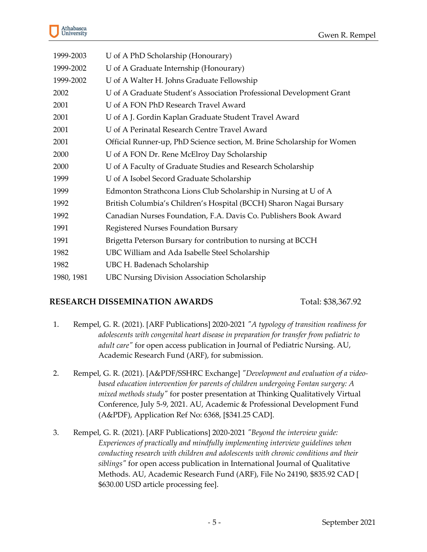

| 1999-2003  | U of A PhD Scholarship (Honourary)                                      |
|------------|-------------------------------------------------------------------------|
| 1999-2002  | U of A Graduate Internship (Honourary)                                  |
| 1999-2002  | U of A Walter H. Johns Graduate Fellowship                              |
| 2002       | U of A Graduate Student's Association Professional Development Grant    |
| 2001       | U of A FON PhD Research Travel Award                                    |
| 2001       | U of A J. Gordin Kaplan Graduate Student Travel Award                   |
| 2001       | U of A Perinatal Research Centre Travel Award                           |
| 2001       | Official Runner-up, PhD Science section, M. Brine Scholarship for Women |
| 2000       | U of A FON Dr. Rene McElroy Day Scholarship                             |
| 2000       | U of A Faculty of Graduate Studies and Research Scholarship             |
| 1999       | U of A Isobel Secord Graduate Scholarship                               |
| 1999       | Edmonton Strathcona Lions Club Scholarship in Nursing at U of A         |
| 1992       | British Columbia's Children's Hospital (BCCH) Sharon Nagai Bursary      |
| 1992       | Canadian Nurses Foundation, F.A. Davis Co. Publishers Book Award        |
| 1991       | Registered Nurses Foundation Bursary                                    |
| 1991       | Brigetta Peterson Bursary for contribution to nursing at BCCH           |
| 1982       | UBC William and Ada Isabelle Steel Scholarship                          |
| 1982       | UBC H. Badenach Scholarship                                             |
| 1980, 1981 | <b>UBC Nursing Division Association Scholarship</b>                     |

#### **RESEARCH DISSEMINATION AWARDS** Total: \$38,367.92

- 1. Rempel, G. R. (2021). [ARF Publications] 2020-2021 *"A typology of transition readiness for adolescents with congenital heart disease in preparation for transfer from pediatric to adult care"* for open access publication in Journal of Pediatric Nursing. AU, Academic Research Fund (ARF), for submission.
- 2. Rempel, G. R. (2021). [A&PDF/SSHRC Exchange] *"Development and evaluation of a videobased education intervention for parents of children undergoing Fontan surgery: A mixed methods study"* for poster presentation at Thinking Qualitatively Virtual Conference, July 5-9, 2021. AU, Academic & Professional Development Fund (A&PDF), Application Ref No: 6368, [\$341.25 CAD].
- 3. Rempel, G. R. (2021). [ARF Publications] 2020-2021 *"Beyond the interview guide: Experiences of practically and mindfully implementing interview guidelines when conducting research with children and adolescents with chronic conditions and their siblings"* for open access publication in International Journal of Qualitative Methods. AU, Academic Research Fund (ARF), File No 24190, \$835.92 CAD [ \$630.00 USD article processing fee].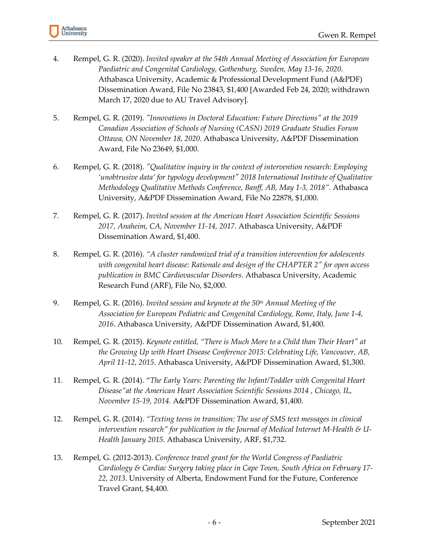- 4. Rempel, G. R. (2020). *Invited speaker at the 54th Annual Meeting of Association for European Paediatric and Congenital Cardiology, Gothenburg, Sweden, May 13-16, 2020.* Athabasca University, Academic & Professional Development Fund (A&PDF) Dissemination Award, File No 23843, \$1,400 [Awarded Feb 24, 2020; withdrawn March 17, 2020 due to AU Travel Advisory].
- 5. Rempel, G. R. (2019). *"Innovations in Doctoral Education: Future Directions" at the 2019 Canadian Association of Schools of Nursing (CASN) 2019 Graduate Studies Forum Ottawa, ON November 18, 2020.* Athabasca University, A&PDF Dissemination Award, File No 23649, \$1,000.
- 6. Rempel, G. R. (2018). *"Qualitative inquiry in the context of intervention research: Employing 'unobtrusive data' for typology development" 2018 International Institute of Qualitative Methodology Qualitative Methods Conference, Banff, AB, May 1-3, 2018".* Athabasca University, A&PDF Dissemination Award, File No 22878, \$1,000.
- 7. Rempel, G. R. (2017). *Invited session at the American Heart Association Scientific Sessions 2017, Anaheim, CA, November 11-14, 2017.* Athabasca University, A&PDF Dissemination Award, \$1,400.
- 8. Rempel, G. R. (2016). *"A cluster randomized trial of a transition intervention for adolescents with congenital heart disease: Rationale and design of the CHAPTER 2" for open access publication in BMC Cardiovascular Disorders*. Athabasca University, Academic Research Fund (ARF), File No, \$2,000.
- 9. Rempel, G. R. (2016). *Invited session and keynote at the 50th Annual Meeting of the Association for European Pediatric and Congenital Cardiology, Rome, Italy, June 1-4, 2016*. Athabasca University, A&PDF Dissemination Award, \$1,400.
- 10. Rempel, G. R. (2015). *Keynote entitled, "There is Much More to a Child than Their Heart" at the Growing Up with Heart Disease Conference 2015: Celebrating Life, Vancouver, AB, April 11-12, 2015*. Athabasca University, A&PDF Dissemination Award, \$1,300.
- 11. Rempel, G. R. (2014). "*The Early Years: Parenting the Infant/Toddler with Congenital Heart Disease"at the American Heart Association Scientific Sessions 2014 , Chicago, IL, November 15-19, 2014.* A&PDF Dissemination Award, \$1,400.
- 12. Rempel, G. R. (2014). *"Texting teens in transition: The use of SMS text messages in clinical intervention research" for publication in the Journal of Medical Internet M-Health & U-Health January 2015*. Athabasca University, ARF, \$1,732.
- 13. Rempel, G. (2012-2013). *Conference travel grant for the World Congress of Paediatric Cardiology & Cardiac Surgery taking place in Cape Town, South Africa on February 17- 22, 2013*. University of Alberta, Endowment Fund for the Future, Conference Travel Grant, \$4,400.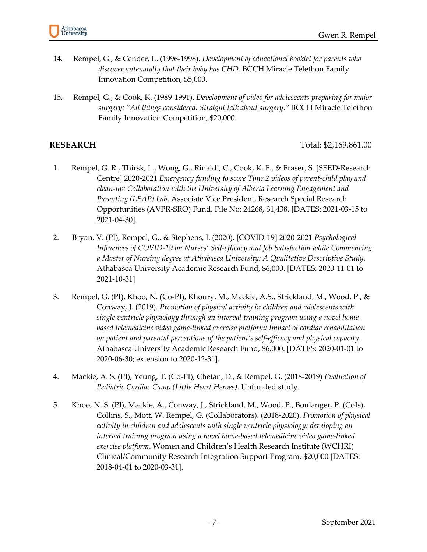

- 14. Rempel, G., & Cender, L. (1996-1998). *Development of educational booklet for parents who discover antenatally that their baby has CHD*. BCCH Miracle Telethon Family Innovation Competition, \$5,000.
- 15. Rempel, G., & Cook, K. (1989-1991). *Development of video for adolescents preparing for major surgery: "All things considered: Straight talk about surgery."* BCCH Miracle Telethon Family Innovation Competition, \$20,000.

**RESEARCH** Total: \$2,169,861.00

- 1. Rempel, G. R., Thirsk, L., Wong, G., Rinaldi, C., Cook, K. F., & Fraser, S. [SEED-Research Centre] 2020-2021 *Emergency funding to score Time 2 videos of parent-child play and clean-up: Collaboration with the University of Alberta Learning Engagement and Parenting (LEAP) Lab*. Associate Vice President, Research Special Research Opportunities (AVPR-SRO) Fund, File No: 24268, \$1,438. [DATES: 2021-03-15 to 2021-04-30].
- 2. Bryan, V. (PI), Rempel, G., & Stephens, J. (2020). [COVID-19] 2020-2021 *Psychological Influences of COVID-19 on Nurses' Self-efficacy and Job Satisfaction while Commencing a Master of Nursing degree at Athabasca University: A Qualitative Descriptive Study.* Athabasca University Academic Research Fund, \$6,000. [DATES: 2020-11-01 to 2021-10-31]
- 3. Rempel, G. (PI), Khoo, N. (Co-PI), Khoury, M., Mackie, A.S., Strickland, M., Wood, P., & Conway, J. (2019). *Promotion of physical activity in children and adolescents with single ventricle physiology through an interval training program using a novel homebased telemedicine video game-linked exercise platform: Impact of cardiac rehabilitation on patient and parental perceptions of the patient's self-efficacy and physical capacity.*  Athabasca University Academic Research Fund, \$6,000. [DATES: 2020-01-01 to 2020-06-30; extension to 2020-12-31].
- 4. Mackie, A. S. (PI), Yeung, T. (Co-PI), Chetan, D., & Rempel, G. (2018-2019) *Evaluation of Pediatric Cardiac Camp (Little Heart Heroes)*. Unfunded study.
- 5. Khoo, N. S. (PI), Mackie, A., Conway, J., Strickland, M., Wood, P., Boulanger, P. (CoIs), Collins, S., Mott, W. Rempel, G. (Collaborators). (2018-2020). *Promotion of physical activity in children and adolescents with single ventricle physiology: developing an interval training program using a novel home-based telemedicine video game-linked exercise platform*. Women and Children's Health Research Institute (WCHRI) Clinical/Community Research Integration Support Program, \$20,000 [DATES: 2018-04-01 to 2020-03-31].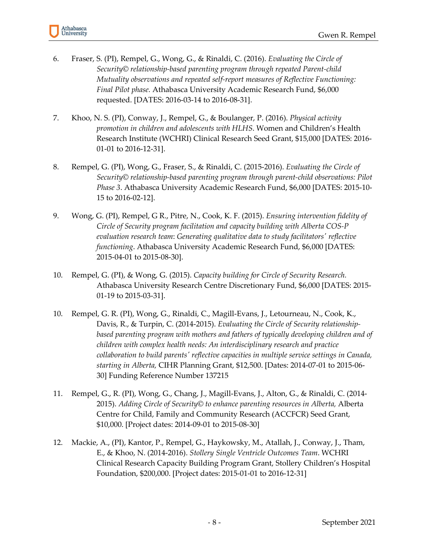Athabasca<br>University

- 6. Fraser, S. (PI), Rempel, G., Wong, G., & Rinaldi, C. (2016). *Evaluating the Circle of Security© relationship-based parenting program through repeated Parent-child Mutuality observations and repeated self-report measures of Reflective Functioning: Final Pilot phase.* Athabasca University Academic Research Fund, \$6,000 requested. [DATES: 2016-03-14 to 2016-08-31].
- 7. Khoo, N. S. (PI), Conway, J., Rempel, G., & Boulanger, P. (2016). *Physical activity promotion in children and adolescents with HLHS*. Women and Children's Health Research Institute (WCHRI) Clinical Research Seed Grant, \$15,000 [DATES: 2016- 01-01 to 2016-12-31].
- 8. Rempel, G. (PI), Wong, G., Fraser, S., & Rinaldi, C. (2015-2016). *Evaluating the Circle of Security© relationship-based parenting program through parent-child observations: Pilot Phase 3*. Athabasca University Academic Research Fund, \$6,000 [DATES: 2015-10- 15 to 2016-02-12].
- 9. Wong, G. (PI), Rempel, G R., Pitre, N., Cook, K. F. (2015). *Ensuring intervention fidelity of Circle of Security program facilitation and capacity building with Alberta COS-P evaluation research team*: *Generating qualitative data to study facilitators' reflective functioning*. Athabasca University Academic Research Fund, \$6,000 [DATES: 2015-04-01 to 2015-08-30].
- 10. Rempel, G. (PI), & Wong, G. (2015). *Capacity building for Circle of Security Research.*  Athabasca University Research Centre Discretionary Fund, \$6,000 [DATES: 2015- 01-19 to 2015-03-31].
- 10. Rempel, G. R. (PI), Wong, G., Rinaldi, C., Magill-Evans, J., Letourneau, N., Cook, K., Davis, R., & Turpin, C. (2014-2015). *Evaluating the Circle of Security relationshipbased parenting program with mothers and fathers of typically developing children and of children with complex health needs: An interdisciplinary research and practice collaboration to build parents' reflective capacities in multiple service settings in Canada, starting in Alberta,* CIHR Planning Grant, \$12,500. [Dates: 2014-07-01 to 2015-06- 30] Funding Reference Number 137215
- 11. Rempel, G., R. (PI), Wong, G., Chang, J., Magill-Evans, J., Alton, G., & Rinaldi, C. (2014- 2015). *Adding Circle of Security© to enhance parenting resources in Alberta,* Alberta Centre for Child, Family and Community Research (ACCFCR) Seed Grant, \$10,000. [Project dates: 2014-09-01 to 2015-08-30]
- 12. Mackie, A., (PI), Kantor, P., Rempel, G., Haykowsky, M., Atallah, J., Conway, J., Tham, E., & Khoo, N. (2014-2016). *Stollery Single Ventricle Outcomes Team*. WCHRI Clinical Research Capacity Building Program Grant, Stollery Children's Hospital Foundation, \$200,000. [Project dates: 2015-01-01 to 2016-12-31]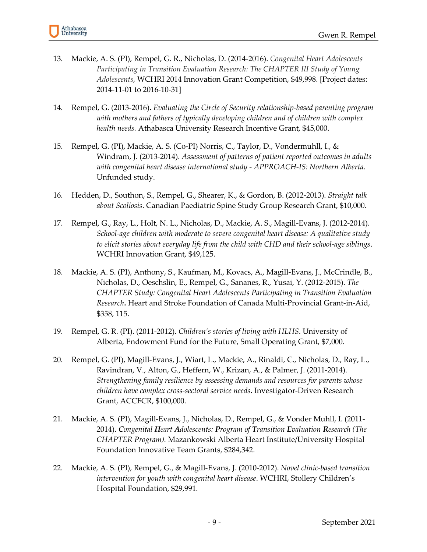- 13. Mackie, A. S. (PI), Rempel, G. R., Nicholas, D. (2014-2016). *Congenital Heart Adolescents Participating in Transition Evaluation Research: The CHAPTER III Study of Young Adolescents,* WCHRI 2014 Innovation Grant Competition, \$49,998. [Project dates: 2014-11-01 to 2016-10-31]
- 14. Rempel, G. (2013-2016). *Evaluating the Circle of Security relationship-based parenting program with mothers and fathers of typically developing children and of children with complex health needs.* Athabasca University Research Incentive Grant, \$45,000.
- 15. Rempel, G. (PI), Mackie, A. S. (Co-PI) Norris, C., Taylor, D., Vondermuhll, I., & Windram, J. (2013-2014). *Assessment of patterns of patient reported outcomes in adults with congenital heart disease international study - APPROACH-IS: Northern Alberta*. Unfunded study.
- 16. Hedden, D., Southon, S., Rempel, G., Shearer, K., & Gordon, B. (2012-2013). *Straight talk about Scoliosis*. Canadian Paediatric Spine Study Group Research Grant, \$10,000.
- 17. Rempel, G., Ray, L., Holt, N. L., Nicholas, D., Mackie, A. S., Magill-Evans, J. (2012-2014). *School-age children with moderate to severe congenital heart disease: A qualitative study to elicit stories about everyday life from the child with CHD and their school-age siblings*. WCHRI Innovation Grant, \$49,125.
- 18. Mackie, A. S. (PI), Anthony, S., Kaufman, M., Kovacs, A., Magill-Evans, J., McCrindle, B., Nicholas, D., Oeschslin, E., Rempel, G., Sananes, R., Yusai, Y. (2012-2015). *The CHAPTER Study: Congenital Heart Adolescents Participating in Transition Evaluation Research***.** Heart and Stroke Foundation of Canada Multi-Provincial Grant-in-Aid, \$358, 115.
- 19. Rempel, G. R. (PI). (2011-2012). *Children's stories of living with HLHS*. University of Alberta, Endowment Fund for the Future, Small Operating Grant, \$7,000.
- 20. Rempel, G. (PI), Magill-Evans, J., Wiart, L., Mackie, A., Rinaldi, C., Nicholas, D., Ray, L., Ravindran, V., Alton, G., Heffern, W., Krizan, A., & Palmer, J. (2011-2014). *Strengthening family resilience by assessing demands and resources for parents whose children have complex cross-sectoral service needs*. Investigator-Driven Research Grant, ACCFCR, \$100,000.
- 21. Mackie, A. S. (PI), Magill-Evans, J., Nicholas, D., Rempel, G., & Vonder Muhll, I. (2011- 2014). *Congenital Heart Adolescents: Program of Transition Evaluation Research (The CHAPTER Program).* Mazankowski Alberta Heart Institute/University Hospital Foundation Innovative Team Grants, \$284,342.
- 22. Mackie, A. S. (PI), Rempel, G., & Magill-Evans, J. (2010-2012). *Novel clinic-based transition intervention for youth with congenital heart disease*. WCHRI, Stollery Children's Hospital Foundation, \$29,991.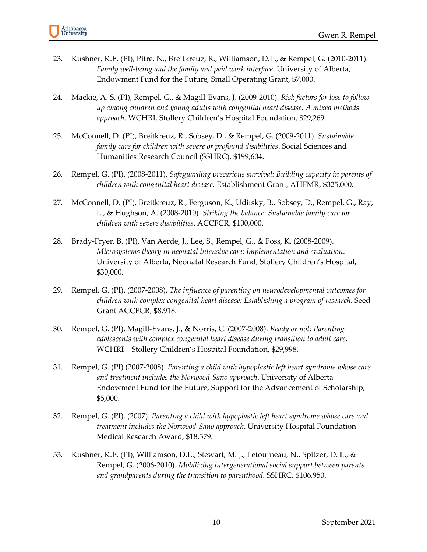- 23. Kushner, K.E. (PI), Pitre, N., Breitkreuz, R., Williamson, D.L., & Rempel, G. (2010-2011). *Family well-being and the family and paid work interface*. University of Alberta, Endowment Fund for the Future, Small Operating Grant, \$7,000.
- 24. Mackie, A. S. (PI), Rempel, G., & Magill-Evans, J. (2009-2010). *Risk factors for loss to followup among children and young adults with congenital heart disease: A mixed methods approach*. WCHRI, Stollery Children's Hospital Foundation, \$29,269.
- 25. McConnell, D. (PI), Breitkreuz, R., Sobsey, D., & Rempel, G. (2009-2011). *Sustainable family care for children with severe or profound disabilities*. Social Sciences and Humanities Research Council (SSHRC), \$199,604.
- 26. Rempel, G. (PI). (2008-2011). *Safeguarding precarious survival: Building capacity in parents of children with congenital heart disease*. Establishment Grant, AHFMR, \$325,000.
- 27. McConnell, D. (PI), Breitkreuz, R., Ferguson, K., Uditsky, B., Sobsey, D., Rempel, G., Ray, L., & Hughson, A. (2008-2010). *Striking the balance: Sustainable family care for children with severe disabilities*. ACCFCR, \$100,000.
- 28. Brady-Fryer, B. (PI), Van Aerde, J., Lee, S., Rempel, G., & Foss, K. (2008-2009). *Microsystems theory in neonatal intensive care: Implementation and evaluation*. University of Alberta, Neonatal Research Fund, Stollery Children's Hospital, \$30,000.
- 29. Rempel, G. (PI). (2007-2008). *The influence of parenting on neurodevelopmental outcomes for children with complex congenital heart disease: Establishing a program of research*. Seed Grant ACCFCR, \$8,918.
- 30. Rempel, G. (PI), Magill-Evans, J., & Norris, C. (2007-2008). *Ready or not: Parenting adolescents with complex congenital heart disease during transition to adult care*. WCHRI – Stollery Children's Hospital Foundation, \$29,998.
- 31. Rempel, G. (PI) (2007-2008). *Parenting a child with hypoplastic left heart syndrome whose care and treatment includes the Norwood-Sano approach*. University of Alberta Endowment Fund for the Future, Support for the Advancement of Scholarship, \$5,000.
- 32. Rempel, G. (PI). (2007). *Parenting a child with hypoplastic left heart syndrome whose care and treatment includes the Norwood-Sano approach*. University Hospital Foundation Medical Research Award, \$18,379.
- 33. Kushner, K.E. (PI), Williamson, D.L., Stewart, M. J., Letourneau, N., Spitzer, D. L., & Rempel, G. (2006-2010). *Mobilizing intergenerational social support between parents and grandparents during the transition to parenthood*. SSHRC, \$106,950.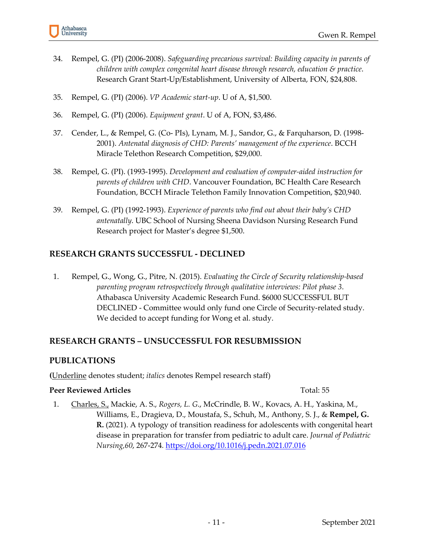- 34. Rempel, G. (PI) (2006-2008). *Safeguarding precarious survival: Building capacity in parents of children with complex congenital heart disease through research, education & practice*. Research Grant Start-Up/Establishment, University of Alberta, FON, \$24,808.
- 35. Rempel, G. (PI) (2006). *VP Academic start-up*. U of A, \$1,500.
- 36. Rempel, G. (PI) (2006). *Equipment grant*. U of A, FON, \$3,486.
- 37. Cender, L., & Rempel, G. (Co- PIs), Lynam, M. J., Sandor, G., & Farquharson, D. (1998- 2001). *Antenatal diagnosis of CHD: Parents' management of the experience*. BCCH Miracle Telethon Research Competition, \$29,000.
- 38. Rempel, G. (PI). (1993-1995). *Development and evaluation of computer-aided instruction for parents of children with CHD*. Vancouver Foundation, BC Health Care Research Foundation, BCCH Miracle Telethon Family Innovation Competition, \$20,940.
- 39. Rempel, G. (PI) (1992-1993). *Experience of parents who find out about their baby's CHD antenatally*. UBC School of Nursing Sheena Davidson Nursing Research Fund Research project for Master's degree \$1,500.

# **RESEARCH GRANTS SUCCESSFUL - DECLINED**

1. Rempel, G., Wong, G., Pitre, N. (2015). *Evaluating the Circle of Security relationship-based parenting program retrospectively through qualitative interviews: Pilot phase 3*. Athabasca University Academic Research Fund. \$6000 SUCCESSFUL BUT DECLINED - Committee would only fund one Circle of Security-related study. We decided to accept funding for Wong et al. study.

# **RESEARCH GRANTS – UNSUCCESSFUL FOR RESUBMISSION**

# **PUBLICATIONS**

**(**Underline denotes student; *italics* denotes Rempel research staff)

#### **Peer Reviewed Articles** Total: 55

1. Charles, S., Mackie, A. S., *Rogers, L. G*., McCrindle, B. W., Kovacs, A. H., Yaskina, M., Williams, E., Dragieva, D., Moustafa, S., Schuh, M., Anthony, S. J., & **Rempel, G. R.** (2021). A typology of transition readiness for adolescents with congenital heart disease in preparation for transfer from pediatric to adult care. *Journal of Pediatric Nursing,60*, 267-274*.* <https://doi.org/10.1016/j.pedn.2021.07.016>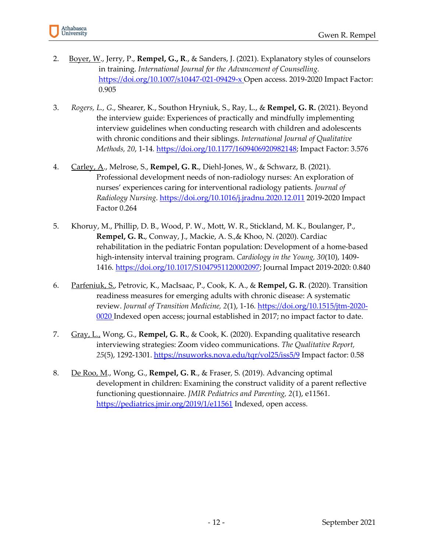

- 2. Boyer, W., Jerry, P., **Rempel, G., R**., & Sanders, J. (2021). Explanatory styles of counselors in training. *International Journal for the Advancement of Counselling.*  [https://doi.org/10.1007/s10447-021-09429-x Open access. 2019-2020](https://doi.org/10.1007/s10447-021-09429-x%20Open%20access.%202019-2020) Impact Factor: 0.905
- 3. *Rogers, L., G*., Shearer, K., Southon Hryniuk, S., Ray, L., & **Rempel, G. R.** (2021). Beyond the interview guide: Experiences of practically and mindfully implementing interview guidelines when conducting research with children and adolescents with chronic conditions and their siblings. *International Journal of Qualitative Methods, 20*, 1-14*.* [https://doi.org/10.1177/1609406920982148;](https://doi.org/10.1177%2F1609406920982148) Impact Factor: 3.576
- 4. Carley, A., Melrose, S., **Rempel, G. R.**, Diehl-Jones, W., & Schwarz, B. (2021). Professional development needs of non-radiology nurses: An exploration of nurses' experiences caring for interventional radiology patients. *Journal of Radiology Nursing*.<https://doi.org/10.1016/j.jradnu.2020.12.011> 2019-2020 Impact Factor 0.264
- 5. Khoruy, M., Phillip, D. B., Wood, P. W., Mott, W. R., Stickland, M. K., Boulanger, P., **Rempel, G. R.**, Conway, J., Mackie, A. S.,& Khoo, N. (2020). Cardiac rehabilitation in the pediatric Fontan population: Development of a home-based high-intensity interval training program. *Cardiology in the Young, 30*(10), 1409- 1416*.* [https://doi.org/10.1017/S1047951120002097;](https://doi.org/10.1017/S1047951120002097) Journal Impact 2019-2020: 0.840
- 6. Parfeniuk, S., Petrovic, K., MacIsaac, P., Cook, K. A., & **Rempel, G. R**. (2020). Transition readiness measures for emerging adults with chronic disease: A systematic review. *Journal of Transition Medicine, 2*(1), 1-16*.* [https://doi.org/10.1515/jtm-2020-](https://doi.org/10.1515/jtm-2020-0020) [0020](https://doi.org/10.1515/jtm-2020-0020) Indexed open access; journal established in 2017; no impact factor to date.
- 7. Gray, L., Wong, G., **Rempel, G. R.**, & Cook, K. (2020). Expanding qualitative research interviewing strategies: Zoom video communications. *The Qualitative Report, 25*(5), 1292-1301.<https://nsuworks.nova.edu/tqr/vol25/iss5/9> Impact factor: 0.58
- 8. De Roo, M., Wong, G., **Rempel, G. R**., & Fraser, S. (2019). Advancing optimal development in children: Examining the construct validity of a parent reflective functioning questionnaire. *JMIR Pediatrics and Parenting, 2*(1), e11561. <https://pediatrics.jmir.org/2019/1/e11561> Indexed, open access.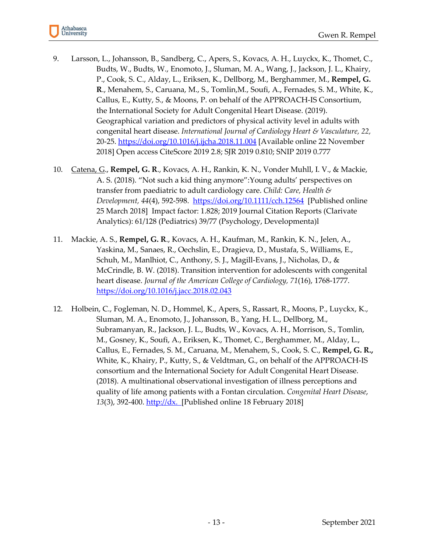

- 9. Larsson, L., Johansson, B., Sandberg, C., Apers, S., Kovacs, A. H., Luyckx, K., Thomet, C., Budts, W., Budts, W., Enomoto, J., Sluman, M. A., Wang, J., Jackson, J. L., Khairy, P., Cook, S. C., Alday, L., Eriksen, K., Dellborg, M., Berghammer, M., **Rempel, G. R**., Menahem, S., Caruana, M., S., Tomlin,M., Soufi, A., Fernades, S. M., White, K., Callus, E., Kutty, S., & Moons, P. on behalf of the APPROACH-IS Consortium, the International Society for Adult Congenital Heart Disease. (2019). Geographical variation and predictors of physical activity level in adults with congenital heart disease. *International Journal of Cardiology Heart & Vasculature, 22,* 20-25.<https://doi.org/10.1016/j.ijcha.2018.11.004> [Available online 22 November 2018] Open access CiteScore 2019 2.8; SJR 2019 0.810; SNIP 2019 0.777
- 10. Catena, G., **Rempel, G. R**., Kovacs, A. H., Rankin, K. N., Vonder Muhll, I. V., & Mackie, A. S. (2018). "Not such a kid thing anymore":Young adults' perspectives on transfer from paediatric to adult cardiology care. *Child: Care, Health & Development, 44*(4), 592-598. <https://doi.org/10.1111/cch.12564> [Published online 25 March 2018] Impact factor: 1.828; 2019 Journal Citation Reports (Clarivate Analytics): 61/128 (Pediatrics) 39/77 (Psychology, Developmenta)l
- 11. Mackie, A. S., **Rempel, G. R**., Kovacs, A. H., Kaufman, M., Rankin, K. N., Jelen, A., Yaskina, M., Sanaes, R., Oechslin, E., Dragieva, D., Mustafa, S., Williams, E., Schuh, M., Manlhiot, C., Anthony, S. J., Magill-Evans, J., Nicholas, D., & McCrindle, B. W. (2018). Transition intervention for adolescents with congenital heart disease. *Journal of the American College of Cardiology, 71*(16), 1768-1777. [https://doi.org/10.1016/j.jacc.2018.02.043](https://doi-org.login.ezproxy.library.ualberta.ca/10.1016/j.jacc.2018.02.043)
- 12. Holbein, C., Fogleman, N. D., Hommel, K., Apers, S., Rassart, R., Moons, P., Luyckx, K., Sluman, M. A., Enomoto, J., Johansson, B., Yang, H. L., Dellborg, M., Subramanyan, R., Jackson, J. L., Budts, W., Kovacs, A. H., Morrison, S., Tomlin, M., Gosney, K., Soufi, A., Eriksen, K., Thomet, C., Berghammer, M., Alday, L., Callus, E., Fernades, S. M., Caruana, M., Menahem, S., Cook, S. C., **Rempel, G. R.,** White, K., Khairy, P., Kutty, S., & Veldtman, G., on behalf of the APPROACH-IS consortium and the International Society for Adult Congenital Heart Disease. (2018). A multinational observational investigation of illness perceptions and quality of life among patients with a Fontan circulation. *Congenital Heart Disease*, *13*(3), 392-400. http://dx. [Published online 18 February 2018]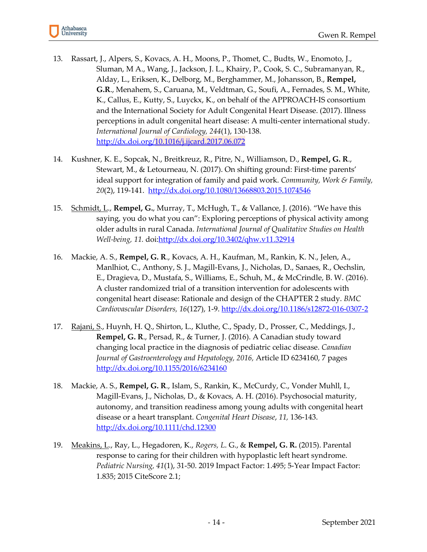

- 13. Rassart, J., Alpers, S., Kovacs, A. H., Moons, P., Thomet, C., Budts, W., Enomoto, J., Sluman, M A., Wang, J., Jackson, J. L., Khairy, P., Cook, S. C., Subramanyan, R., Alday, L., Eriksen, K., Delborg, M., Berghammer, M., Johansson, B., **Rempel, G.R**., Menahem, S., Caruana, M., Veldtman, G., Soufi, A., Fernades, S. M., White, K., Callus, E., Kutty, S., Luyckx, K., on behalf of the APPROACH-IS consortium and the International Society for Adult Congenital Heart Disease. (2017). Illness perceptions in adult congenital heart disease: A multi-center international study. *International Journal of Cardiology, 244*(1), 130-138. <http://dx.doi.org/10.1016/j.ijcard.2017.06.072>
- 14. Kushner, K. E., Sopcak, N., Breitkreuz, R., Pitre, N., Williamson, D., **Rempel, G. R**., Stewart, M., & Letourneau, N. (2017). On shifting ground: First-time parents' ideal support for integration of family and paid work. *Community, Work & Family, 20*(2), 119-141. <http://dx.doi.org/10.1080/13668803.2015.1074546>
- 15. Schmidt, L., **Rempel, G.**, Murray, T., McHugh, T., & Vallance, J. (2016). "We have this saying, you do what you can": Exploring perceptions of physical activity among older adults in rural Canada. *International Journal of Qualitative Studies on Health Well-being, 11.* doi[:http://dx.doi.org/10.3402/qhw.v11.32914](http://dx.doi.org/10.3402/qhw.v11.32914)
- 16. Mackie, A. S., **Rempel, G. R**., Kovacs, A. H., Kaufman, M., Rankin, K. N., Jelen, A., Manlhiot, C., Anthony, S. J., Magill-Evans, J., Nicholas, D., Sanaes, R., Oechslin, E., Dragieva, D., Mustafa, S., Williams, E., Schuh, M., & McCrindle, B. W. (2016). A cluster randomized trial of a transition intervention for adolescents with congenital heart disease: Rationale and design of the CHAPTER 2 study. *BMC Cardiovascular Disorders, 16*(127), 1-9. <http://dx.doi.org/10.1186/s12872-016-0307-2>
- 17. Rajani, S., Huynh, H. Q., Shirton, L., Kluthe, C., Spady, D., Prosser, C., Meddings, J., **Rempel, G. R**., Persad, R., & Turner, J. (2016). A Canadian study toward changing local practice in the diagnosis of pediatric celiac disease. *Canadian Journal of Gastroenterology and Hepatology, 2016,* Article ID 6234160, 7 pages <http://dx.doi.org/10.1155/2016/6234160>
- 18. Mackie, A. S., **Rempel, G. R**., Islam, S., Rankin, K., McCurdy, C., Vonder Muhll, I., Magill-Evans, J., Nicholas, D., & Kovacs, A. H. (2016). Psychosocial maturity, autonomy, and transition readiness among young adults with congenital heart disease or a heart transplant. *Congenital Heart Disease*, *11,* 136-143. <http://dx.doi.org/10.1111/chd.12300>
- 19. Meakins, L., Ray, L., Hegadoren, K., *Rogers, L*. G., & **Rempel, G. R.** (2015). Parental response to caring for their children with hypoplastic left heart syndrome. *Pediatric Nursing, 41*(1), 31-50. 2019 Impact Factor: 1.495; 5-Year Impact Factor: 1.835; 2015 CiteScore 2.1;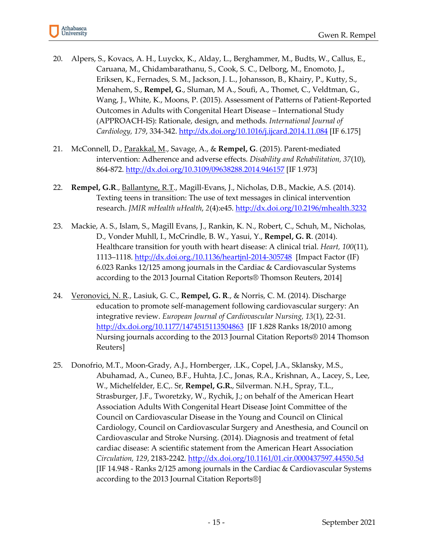

- 20. Alpers, S., Kovacs, A. H., Luyckx, K., Alday, L., Berghammer, M., Budts, W., Callus, E., Caruana, M., Chidambarathanu, S., Cook, S. C., Delborg, M., Enomoto, J., Eriksen, K., Fernades, S. M., Jackson, J. L., Johansson, B., Khairy, P., Kutty, S., Menahem, S., **Rempel, G**., Sluman, M A., Soufi, A., Thomet, C., Veldtman, G., Wang, J., White, K., Moons, P. (2015). Assessment of Patterns of Patient-Reported Outcomes in Adults with Congenital Heart Disease – International Study (APPROACH-IS): Rationale, design, and methods. *International Journal of Cardiology, 179*, 334-342.<http://dx.doi.org/10.1016/j.ijcard.2014.11.084> [IF 6.175]
- 21. McConnell, D., Parakkal, M., Savage, A., & **Rempel, G**. (2015). Parent-mediated intervention: Adherence and adverse effects. *Disability and Rehabilitation, 37*(10), 864-872. <http://dx.doi.org/10.3109/09638288.2014.946157> [IF 1.973]
- 22. **Rempel, G.R**., Ballantyne, R.T., Magill-Evans, J., Nicholas, D.B., Mackie, A.S. (2014). Texting teens in transition: The use of text messages in clinical intervention research. *JMIR mHealth uHealth*, *2*(4):e45.<http://dx.doi.org/10.2196/mhealth.3232>
- 23. Mackie, A. S., Islam, S., Magill Evans, J., Rankin, K. N., Robert, C., Schuh, M., Nicholas, D., Vonder Muhll, I., McCrindle, B. W., Yasui, Y., **Rempel, G. R**. (2014). Healthcare transition for youth with heart disease: A clinical trial. *Heart, 100*(11), 1113–1118.<http://dx.doi.org./10.1136/heartjnl-2014-305748> [Impact Factor (IF) 6.023 Ranks 12/125 among journals in the Cardiac & Cardiovascular Systems according to the 2013 Journal Citation Reports® Thomson Reuters, 2014]
- 24. Veronovici, N. R., Lasiuk, G. C., **Rempel, G. R**., & Norris, C. M. (2014). Discharge education to promote self-management following cardiovascular surgery: An integrative review. *European Journal of Cardiovascular Nursing, 13*(1), 22-31*.*  <http://dx.doi.org/10.1177/1474515113504863> [IF 1.828 Ranks 18/2010 among Nursing journals according to the 2013 Journal Citation Reports® 2014 Thomson Reuters]
- 25. Donofrio, M.T., Moon-Grady, A.J., Hornberger, .LK., Copel, J.A., Sklansky, M.S., Abuhamad, A., Cuneo, B.F., Huhta, J.C., Jonas, R.A., Krishnan, A., Lacey, S., Lee, W., Michelfelder, E.C,. Sr, **Rempel, G.R.**, Silverman. N.H., Spray, T.L., Strasburger, J.F., Tworetzky, W., Rychik, J.; on behalf of the American Heart Association Adults With Congenital Heart Disease Joint Committee of the Council on Cardiovascular Disease in the Young and Council on Clinical Cardiology, Council on Cardiovascular Surgery and Anesthesia, and Council on Cardiovascular and Stroke Nursing. (2014). Diagnosis and treatment of fetal cardiac disease: A scientific statement from the American Heart Association *Circulation, 129*, 2183-2242.<http://dx.doi.org/10.1161/01.cir.0000437597.44550.5d> [IF 14.948 - Ranks 2/125 among journals in the Cardiac & Cardiovascular Systems according to the 2013 Journal Citation Reports®]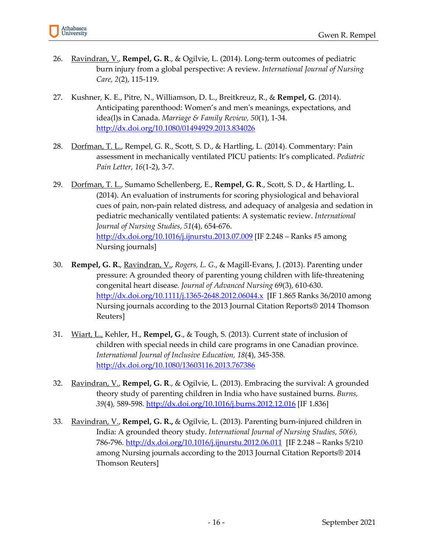

- 26. Ravindran, V., **Rempel, G. R**., & Ogilvie, L. (2014). Long-term outcomes of pediatric burn injury from a global perspective: A review. *International Journal of Nursing Care, 2*(2), 115-119.
- 27. Kushner, K. E., Pitre, N., Williamson, D. L., Breitkreuz, R., & **Rempel, G**. (2014). Anticipating parenthood: Women's and men's meanings, expectations, and idea(l)s in Canada. *Marriage & Family Review, 50*(1), 1-34. <http://dx.doi.org/10.1080/01494929.2013.834026>
- 28. Dorfman, T. L., Rempel, G. R., Scott, S. D., & Hartling, L. (2014). Commentary: Pain assessment in mechanically ventilated PICU patients: It's complicated. *Pediatric Pain Letter, 16*(1-2), 3-7.
- 29. Dorfman, T. L., Sumamo Schellenberg, E., **Rempel, G. R**., Scott, S. D., & Hartling, L. (2014). An evaluation of instruments for scoring physiological and behavioral cues of pain, non-pain related distress, and adequacy of analgesia and sedation in pediatric mechanically ventilated patients: A systematic review. *International Journal of Nursing Studies*, *51*(4), 654-676. <http://dx.doi.org/10.1016/j.ijnurstu.2013.07.009> [IF 2.248 – Ranks #5 among Nursing journals]
- 30. **Rempel, G. R.**, Ravindran, V., *Rogers, L. G*., & Magill-Evans, J. (2013). Parenting under pressure: A grounded theory of parenting young children with life-threatening congenital heart disease*. Journal of Advanced Nursing* 69(3), 610-630. <http://dx.doi.org/10.1111/j.1365-2648.2012.06044.x> [IF 1.865 Ranks 36/2010 among Nursing journals according to the 2013 Journal Citation Reports® 2014 Thomson Reuters]
- 31. Wiart, L., Kehler, H., **Rempel, G**., & Tough, S. (2013). Current state of inclusion of children with special needs in child care programs in one Canadian province. *International Journal of Inclusive Education, 18*(4), 345-358*.* <http://dx.doi.org/10.1080/13603116.2013.767386>
- 32. Ravindran, V., **Rempel, G. R**., & Ogilvie, L. (2013). Embracing the survival: A grounded theory study of parenting children in India who have sustained burns. *Burns, 39*(4)*,* 589-598.<http://dx.doi.org/10.1016/j.burns.2012.12.016> [IF 1.836]
- 33. Ravindran, V., **Rempel, G. R.,** & Ogilvie, L. (2013). Parenting burn-injured children in India: A grounded theory study. *International Journal of Nursing Studies, 50(6),* 786-796.<http://dx.doi.org/10.1016/j.ijnurstu.2012.06.011> [IF 2.248 – Ranks 5/210 among Nursing journals according to the 2013 Journal Citation Reports® 2014 Thomson Reuters]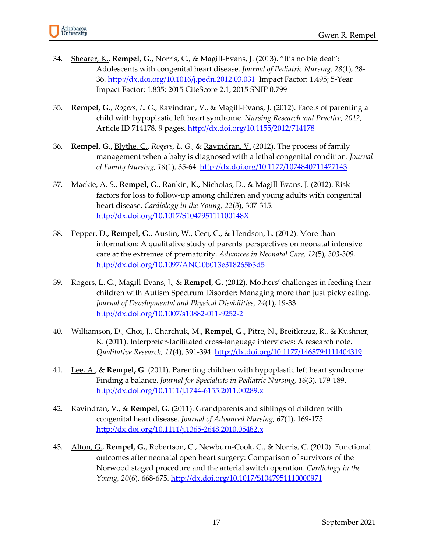

- 34. Shearer, K., **Rempel, G.,** Norris, C., & Magill-Evans, J. (2013). "It's no big deal": Adolescents with congenital heart disease. *Journal of Pediatric Nursing, 28*(1)*,* 28- 36.<http://dx.doi.org/10.1016/j.pedn.2012.03.031>Impact Factor: 1.495; 5-Year Impact Factor: 1.835; 2015 CiteScore 2.1; 2015 SNIP 0.799
- 35. **Rempel, G**., *Rogers, L. G*., Ravindran, V., & Magill-Evans, J. (2012). Facets of parenting a child with hypoplastic left heart syndrome. *Nursing Research and Practice, 2012*, Article ID 714178, 9 pages.<http://dx.doi.org/10.1155/2012/714178>
- 36. **Rempel, G.,** Blythe, C., *Rogers, L. G*., & Ravindran, V. (2012). The process of family management when a baby is diagnosed with a lethal congenital condition. *Journal of Family Nursing, 18*(1), 35-64. <http://dx.doi.org/10.1177/1074840711427143>
- 37. Mackie, A. S., **Rempel, G**., Rankin, K., Nicholas, D., & Magill-Evans, J. (2012). Risk factors for loss to follow-up among children and young adults with congenital heart disease. *Cardiology in the Young, 22*(3), 307-315. <http://dx.doi.org/10.1017/S104795111100148X>
- 38. Pepper, D., **Rempel, G**., Austin, W., Ceci, C., & Hendson, L. (2012). More than information: A qualitative study of parents' perspectives on neonatal intensive care at the extremes of prematurity. *Advances in Neonatal Care, 12*(5)*, 303-309.*  <http://dx.doi.org/10.1097/ANC.0b013e318265b3d5>
- 39. Rogers, L. G., Magill-Evans, J., & **Rempel, G**. (2012). Mothers' challenges in feeding their children with Autism Spectrum Disorder: Managing more than just picky eating. *Journal of Developmental and Physical Disabilities, 24*(1), 19-33. <http://dx.doi.org/10.1007/s10882-011-9252-2>
- 40. Williamson, D., Choi, J., Charchuk, M., **Rempel, G**., Pitre, N., Breitkreuz, R., & Kushner, K. (2011). Interpreter-facilitated cross-language interviews: A research note. *Qualitative Research, 11*(4), 391-394. <http://dx.doi.org/10.1177/1468794111404319>
- 41. Lee, A., & **Rempel, G**. (2011). Parenting children with hypoplastic left heart syndrome: Finding a balance. *Journal for Specialists in Pediatric Nursing, 16*(3), 179-189. <http://dx.doi.org/10.1111/j.1744-6155.2011.00289.x>
- 42. Ravindran, V., & **Rempel, G.** (2011). Grandparents and siblings of children with congenital heart disease. *Journal of Advanced Nursing, 67*(1), 169-175. <http://dx.doi.org/10.1111/j.1365-2648.2010.05482.x>
- 43. Alton, G., **Rempel, G.**, Robertson, C., Newburn-Cook, C., & Norris, C. (2010). Functional outcomes after neonatal open heart surgery: Comparison of survivors of the Norwood staged procedure and the arterial switch operation. *Cardiology in the Young, 20*(6), 668-675.<http://dx.doi.org/10.1017/S1047951110000971>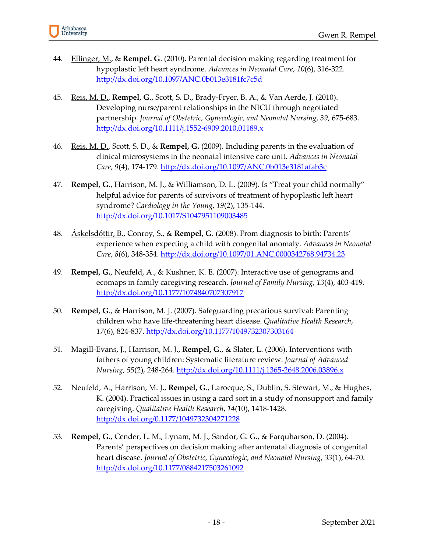- 44. Ellinger, M., & **Rempel. G**. (2010). Parental decision making regarding treatment for hypoplastic left heart syndrome. *Advances in Neonatal Care*, *10*(6), 316-322. <http://dx.doi.org/10.1097/ANC.0b013e3181fc7c5d>
- 45. Reis, M. D., **Rempel, G**., Scott, S. D., Brady-Fryer, B. A., & Van Aerde, J. (2010). Developing nurse/parent relationships in the NICU through negotiated partnership. *Journal of Obstetric, Gynecologic, and Neonatal Nursing*, *39,* 675-683. <http://dx.doi.org/10.1111/j.1552-6909.2010.01189.x>
- 46. Reis, M. D., Scott, S. D., & **Rempel, G.** (2009). Including parents in the evaluation of clinical microsystems in the neonatal intensive care unit. *Advances in Neonatal Care*, *9*(4), 174-179. <http://dx.doi.org/10.1097/ANC.0b013e3181afab3c>
- 47. **Rempel, G**., Harrison, M. J., & Williamson, D. L. (2009). Is "Treat your child normally" helpful advice for parents of survivors of treatment of hypoplastic left heart syndrome? *Cardiology in the Young*, *19*(2), 135-144. <http://dx.doi.org/10.1017/S1047951109003485>
- 48. Áskelsdóttir, B., Conroy, S., & **Rempel, G**. (2008). From diagnosis to birth: Parents' experience when expecting a child with congenital anomaly. *Advances in Neonatal Care*, *8*(6), 348-354. <http://dx.doi.org/10.1097/01.ANC.0000342768.94734.23>
- 49. **Rempel, G.**, Neufeld, A., & Kushner, K. E. (2007). Interactive use of genograms and ecomaps in family caregiving research. *Journal of Family Nursing*, *13*(4), 403-419. <http://dx.doi.org/10.1177/1074840707307917>
- 50. **Rempel, G**., & Harrison, M. J. (2007). Safeguarding precarious survival: Parenting children who have life-threatening heart disease. *Qualitative Health Research*, *17*(6), 824-837. <http://dx.doi.org/10.1177/1049732307303164>
- 51. Magill-Evans, J., Harrison, M. J., **Rempel, G**., & Slater, L. (2006). Interventions with fathers of young children: Systematic literature review. *Journal of Advanced Nursing*, *55*(2), 248-264. <http://dx.doi.org/10.1111/j.1365-2648.2006.03896.x>
- 52. Neufeld, A., Harrison, M. J., **Rempel, G**., Larocque, S., Dublin, S. Stewart, M., & Hughes, K. (2004). Practical issues in using a card sort in a study of nonsupport and family caregiving. *Qualitative Health Research*, *14*(10), 1418-1428. <http://dx.doi.org/0.1177/1049732304271228>
- 53. **Rempel, G**., Cender, L. M., Lynam, M. J., Sandor, G. G., & Farquharson, D. (2004). Parents' perspectives on decision making after antenatal diagnosis of congenital heart disease. *Journal of Obstetric, Gynecologic, and Neonatal Nursing*, *33*(1), 64-70. <http://dx.doi.org/10.1177/0884217503261092>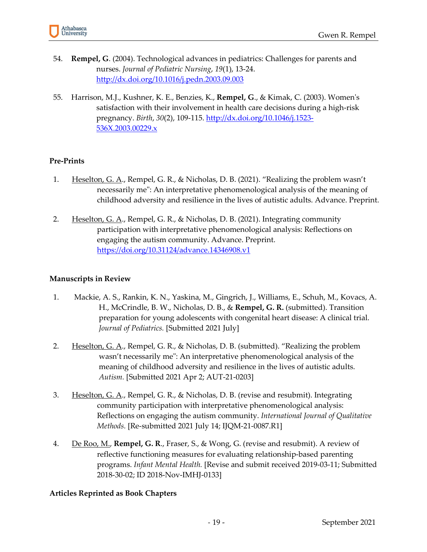

- 54. **Rempel, G**. (2004). Technological advances in pediatrics: Challenges for parents and nurses. *Journal of Pediatric Nursing*, *19*(1), 13-24. <http://dx.doi.org/10.1016/j.pedn.2003.09.003>
- 55. Harrison, M.J., Kushner, K. E., Benzies, K., **Rempel, G**., & Kimak, C. (2003). Women's satisfaction with their involvement in health care decisions during a high-risk pregnancy. *Birth*, *30*(2), 109-115. [http://dx.doi.org/10.1046/j.1523-](http://dx.doi.org/10.1046/j.1523-536X.2003.00229.x) [536X.2003.00229.x](http://dx.doi.org/10.1046/j.1523-536X.2003.00229.x)

#### **Pre-Prints**

- 1. Heselton, G. A., Rempel, G. R., & Nicholas, D. B. (2021). "Realizing the problem wasn't necessarily me": An interpretative phenomenological analysis of the meaning of childhood adversity and resilience in the lives of autistic adults. Advance. Preprint.
- 2. Heselton, G. A., Rempel, G. R., & Nicholas, D. B. (2021). Integrating community participation with interpretative phenomenological analysis: Reflections on engaging the autism community. Advance. Preprint. <https://doi.org/10.31124/advance.14346908.v1>

#### **Manuscripts in Review**

- 1. Mackie, A. S., Rankin, K. N., Yaskina, M., Gingrich, J., Williams, E., Schuh, M., Kovacs, A. H., McCrindle, B. W., Nicholas, D. B., & **Rempel, G. R.** (submitted). Transition preparation for young adolescents with congenital heart disease: A clinical trial. *Journal of Pediatrics.* [Submitted 2021 July]
- 2. Heselton, G. A., Rempel, G. R., & Nicholas, D. B. (submitted). "Realizing the problem wasn't necessarily me": An interpretative phenomenological analysis of the meaning of childhood adversity and resilience in the lives of autistic adults. *Autism.* [Submitted 2021 Apr 2; AUT-21-0203]
- 3. Heselton, G. A., Rempel, G. R., & Nicholas, D. B. (revise and resubmit). Integrating community participation with interpretative phenomenological analysis: Reflections on engaging the autism community. *International Journal of Qualitative Methods.* [Re-submitted 2021 July 14; IJQM-21-0087.R1]
- 4. De Roo, M., **Rempel, G. R**., Fraser, S., & Wong, G. (revise and resubmit). A review of reflective functioning measures for evaluating relationship-based parenting programs. *Infant Mental Health.* [Revise and submit received 2019-03-11; Submitted 2018-30-02; ID 2018-Nov-IMHJ-0133]

#### **Articles Reprinted as Book Chapters**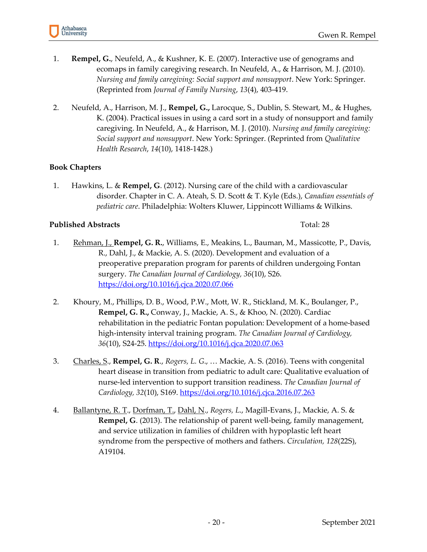- 1. **Rempel, G.**, Neufeld, A., & Kushner, K. E. (2007). Interactive use of genograms and ecomaps in family caregiving research. In Neufeld, A., & Harrison, M. J. (2010). *Nursing and family caregiving: Social support and nonsupport*. New York: Springer. (Reprinted from *Journal of Family Nursing*, *13*(4), 403-419.
- 2. Neufeld, A., Harrison, M. J., **Rempel, G.,** Larocque, S., Dublin, S. Stewart, M., & Hughes, K. (2004). Practical issues in using a card sort in a study of nonsupport and family caregiving. In Neufeld, A., & Harrison, M. J. (2010). *Nursing and family caregiving: Social support and nonsupport*. New York: Springer. (Reprinted from *Qualitative Health Research*, *14*(10), 1418-1428.)

#### **Book Chapters**

1. Hawkins, L. & **Rempel, G**. (2012). Nursing care of the child with a cardiovascular disorder. Chapter in C. A. Ateah, S. D. Scott & T. Kyle (Eds.), *Canadian essentials of pediatric care*. Philadelphia: Wolters Kluwer, Lippincott Williams & Wilkins.

#### **Published Abstracts** Total: 28

- 1. Rehman, J., **Rempel, G. R.**, Williams, E., Meakins, L., Bauman, M., Massicotte, P., Davis, R., Dahl, J., & Mackie, A. S. (2020). Development and evaluation of a preoperative preparation program for parents of children undergoing Fontan surgery. *The Canadian Journal of Cardiology, 36*(10), S26. <https://doi.org/10.1016/j.cjca.2020.07.066>
- 2. Khoury, M., Phillips, D. B., Wood, P.W., Mott, W. R., Stickland, M. K., Boulanger, P., **Rempel, G. R.,** Conway, J., Mackie, A. S., & Khoo, N. (2020). Cardiac rehabilitation in the pediatric Fontan population: Development of a home-based high-intensity interval training program. *The Canadian Journal of Cardiology, 36*(10), S24-25.<https://doi.org/10.1016/j.cjca.2020.07.063>
- 3. Charles, S., **Rempel, G. R**., *Rogers, L. G*., … Mackie, A. S. (2016). Teens with congenital heart disease in transition from pediatric to adult care: Qualitative evaluation of nurse-led intervention to support transition readiness. *The Canadian Journal of Cardiology, 32*(10), S169. <https://doi.org/10.1016/j.cjca.2016.07.263>
- 4. Ballantyne, R. T., Dorfman, T., Dahl, N., *Rogers, L*., Magill-Evans, J., Mackie, A. S. & **Rempel, G**. (2013). The relationship of parent well-being, family management, and service utilization in families of children with hypoplastic left heart syndrome from the perspective of mothers and fathers. *Circulation, 128*(22S), A19104.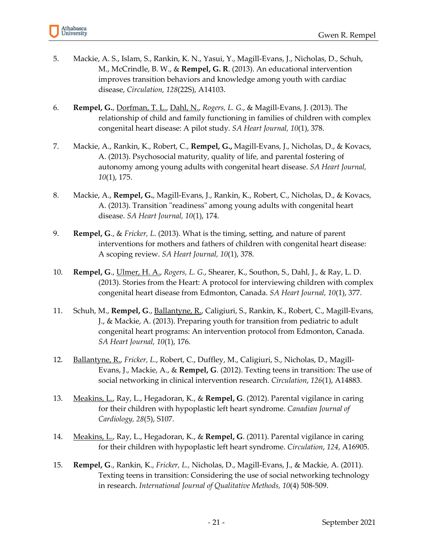

- 5. Mackie, A. S., Islam, S., Rankin, K. N., Yasui, Y., Magill-Evans, J., Nicholas, D., Schuh, M., McCrindle, B. W., & **Rempel, G. R**. (2013). An educational intervention improves transition behaviors and knowledge among youth with cardiac disease, *Circulation, 128*(22S), A14103.
- 6. **Rempel, G.**, Dorfman, T. L., Dahl, N., *Rogers, L. G.*, & Magill-Evans, J. (2013). The relationship of child and family functioning in families of children with complex congenital heart disease: A pilot study. *SA Heart Journal, 10*(1), 378.
- 7. Mackie, A., Rankin, K., Robert, C., **Rempel, G.,** Magill-Evans, J., Nicholas, D., & Kovacs, A. (2013). Psychosocial maturity, quality of life, and parental fostering of autonomy among young adults with congenital heart disease. *SA Heart Journal, 10*(1), 175.
- 8. Mackie, A., **Rempel, G.**, Magill-Evans, J., Rankin, K., Robert, C., Nicholas, D., & Kovacs, A. (2013). Transition "readiness" among young adults with congenital heart disease. *SA Heart Journal, 10*(1), 174.
- 9. **Rempel, G**., & *Fricker, L*. (2013). What is the timing, setting, and nature of parent interventions for mothers and fathers of children with congenital heart disease: A scoping review. *SA Heart Journal, 10*(1), 378.
- 10. **Rempel, G**., Ulmer, H. A., *Rogers, L. G.*, Shearer, K., Southon, S., Dahl, J., & Ray, L. D. (2013). Stories from the Heart: A protocol for interviewing children with complex congenital heart disease from Edmonton, Canada. *SA Heart Journal, 10*(1), 377.
- 11. Schuh, M., **Rempel, G**., Ballantyne, R., Caligiuri, S., Rankin, K., Robert, C., Magill-Evans, J., & Mackie, A. (2013). Preparing youth for transition from pediatric to adult congenital heart programs: An intervention protocol from Edmonton, Canada. *SA Heart Journal, 10*(1), 176.
- 12. Ballantyne, R., *Fricker, L.*, Robert, C., Duffley, M., Caligiuri, S., Nicholas, D., Magill-Evans, J., Mackie, A., & **Rempel, G**. (2012). Texting teens in transition: The use of social networking in clinical intervention research. *Circulation*, *126*(1), A14883.
- 13. Meakins, L., Ray, L., Hegadoran, K., & **Rempel, G**. (2012). Parental vigilance in caring for their children with hypoplastic left heart syndrome. *Canadian Journal of Cardiology, 28*(5), S107.
- 14. Meakins, L., Ray, L., Hegadoran, K., & **Rempel, G**. (2011). Parental vigilance in caring for their children with hypoplastic left heart syndrome. *Circulation*, *124*, A16905.
- 15. **Rempel, G**., Rankin, K., *Fricker, L.,* Nicholas, D., Magill-Evans, J., & Mackie, A. (2011). Texting teens in transition: Considering the use of social networking technology in research. *International Journal of Qualitative Methods, 10*(4) 508-509.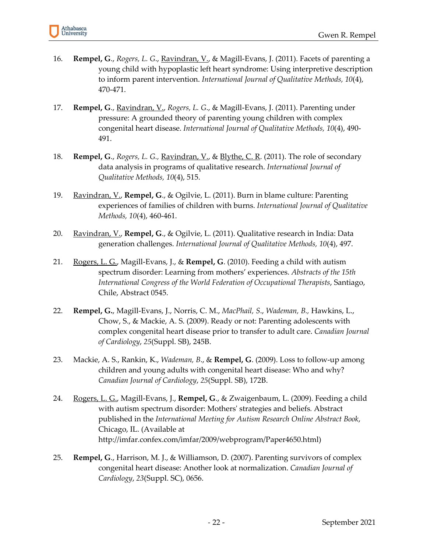

- 16. **Rempel, G**., *Rogers, L. G*., Ravindran, V., & Magill-Evans, J. (2011). Facets of parenting a young child with hypoplastic left heart syndrome: Using interpretive description to inform parent intervention. *International Journal of Qualitative Methods, 10*(4), 470-471.
- 17. **Rempel, G**., Ravindran, V., *Rogers, L. G*., & Magill-Evans, J. (2011). Parenting under pressure: A grounded theory of parenting young children with complex congenital heart disease. *International Journal of Qualitative Methods, 10*(4), 490- 491.
- 18. **Rempel, G**., *Rogers, L. G.,* Ravindran, V., & Blythe, C. R. (2011). The role of secondary data analysis in programs of qualitative research. *International Journal of Qualitative Methods, 10*(4), 515.
- 19. Ravindran, V., **Rempel, G**., & Ogilvie, L. (2011). Burn in blame culture: Parenting experiences of families of children with burns. *International Journal of Qualitative Methods, 10*(4), 460-461.
- 20. Ravindran, V., **Rempel, G**., & Ogilvie, L. (2011). Qualitative research in India: Data generation challenges. *International Journal of Qualitative Methods, 10*(4), 497.
- 21. Rogers, L. G., Magill-Evans, J., & **Rempel, G**. (2010). Feeding a child with autism spectrum disorder: Learning from mothers' experiences. *Abstracts of the 15th International Congress of the World Federation of Occupational Therapists*, Santiago, Chile, Abstract 0545.
- 22. **Rempel, G.**, Magill-Evans, J., Norris, C. M., *MacPhail, S*., *Wademan, B.,* Hawkins, L., Chow, S., & Mackie, A. S. (2009). Ready or not: Parenting adolescents with complex congenital heart disease prior to transfer to adult care. *Canadian Journal of Cardiology*, *25*(Suppl. SB), 245B.
- 23. Mackie, A. S., Rankin, K., *Wademan, B*., & **Rempel, G**. (2009). Loss to follow-up among children and young adults with congenital heart disease: Who and why? *Canadian Journal of Cardiology*, *25*(Suppl. SB), 172B.
- 24. Rogers, L. G., Magill-Evans, J., **Rempel, G**., & Zwaigenbaum, L. (2009). Feeding a child with autism spectrum disorder: Mothers' strategies and beliefs*.* Abstract published in the *International Meeting for Autism Research Online Abstract Book*, Chicago, IL. (Available at http://imfar.confex.com/imfar/2009/webprogram/Paper4650.html)
- 25. **Rempel, G**., Harrison, M. J., & Williamson, D. (2007). Parenting survivors of complex congenital heart disease: Another look at normalization. *Canadian Journal of Cardiology*, *23*(Suppl. SC), 0656.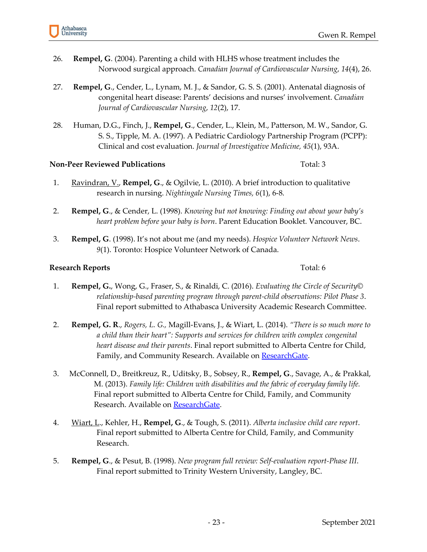- 26. **Rempel, G**. (2004). Parenting a child with HLHS whose treatment includes the Norwood surgical approach. *Canadian Journal of Cardiovascular Nursing*, *14*(4), 26.
- 27. **Rempel, G**., Cender, L., Lynam, M. J., & Sandor, G. S. S. (2001). Antenatal diagnosis of congenital heart disease: Parents' decisions and nurses' involvement. *Canadian Journal of Cardiovascular Nursing*, *12*(2), 17.
- 28. Human, D.G., Finch, J., **Rempel, G**., Cender, L., Klein, M., Patterson, M. W., Sandor, G. S. S., Tipple, M. A. (1997). A Pediatric Cardiology Partnership Program (PCPP): Clinical and cost evaluation. *Journal of Investigative Medicine, 45*(1), 93A.

#### **Non-Peer Reviewed Publications** Total: 3

- 1. Ravindran, V., **Rempel, G**., & Ogilvie, L. (2010). A brief introduction to qualitative research in nursing. *Nightingale Nursing Times, 6*(1), 6-8.
- 2. **Rempel, G**., & Cender, L. (1998). *Knowing but not knowing: Finding out about your baby's heart problem before your baby is born*. Parent Education Booklet. Vancouver, BC.
- 3. **Rempel, G**. (1998). It's not about me (and my needs). *Hospice Volunteer Network News*. *9*(1). Toronto: Hospice Volunteer Network of Canada.

#### **Research Reports** Total: 6

- 1. **Rempel, G.**, Wong, G., Fraser, S., & Rinaldi, C. (2016). *Evaluating the Circle of Security© relationship-based parenting program through parent-child observations: Pilot Phase 3*. Final report submitted to Athabasca University Academic Research Committee.
- 2. **Rempel, G. R**., *Rogers, L. G.,* Magill-Evans, J., & Wiart, L. (2014). *"There is so much more to a child than their heart": Supports and services for children with complex congenital heart disease and their parents*. Final report submitted to Alberta Centre for Child, Family, and Community Research. Available on [ResearchGate.](https://www.researchgate.net/publication/268818578_Alberta_Centre_for_Child_Family_Community_Research_ACCFCR_There_is_so_much_more_to_a_child_than_their_heart_Supports_and_Services_for_Children_with_Complex_Congenital_Heart_Disease_and_Their_Parents_F)
- 3. McConnell, D., Breitkreuz, R., Uditsky, B., Sobsey, R., **Rempel, G**., Savage, A., & Prakkal, M. (2013). *Family life: Children with disabilities and the fabric of everyday family life.* Final report submitted to Alberta Centre for Child, Family, and Community Research. Available o[n ResearchGate.](https://www.researchgate.net/publication/259755859_Children_with_Disabilities_and_the_Fabric_of_Everyday_Family_Life)
- 4. Wiart, L., Kehler, H., **Rempel, G**., & Tough, S. (2011). *Alberta inclusive child care report*. Final report submitted to Alberta Centre for Child, Family, and Community Research.
- 5. **Rempel, G**., & Pesut, B. (1998). *New program full review: Self-evaluation report-Phase III*. Final report submitted to Trinity Western University, Langley, BC.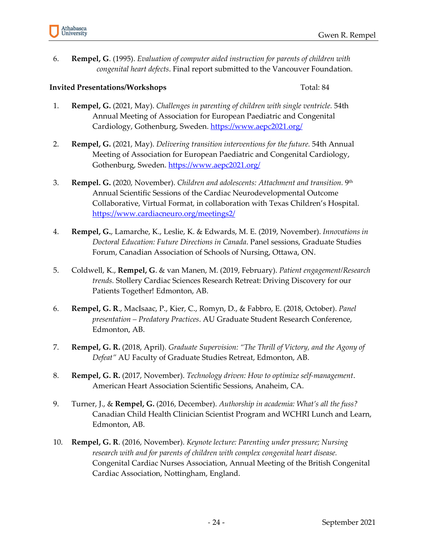

6. **Rempel, G**. (1995). *Evaluation of computer aided instruction for parents of children with congenital heart defects*. Final report submitted to the Vancouver Foundation.

#### **Invited Presentations/Workshops** Total: 84

- 1. **Rempel, G.** (2021, May). *Challenges in parenting of children with single ventricle.* 54th Annual Meeting of Association for European Paediatric and Congenital Cardiology, Gothenburg, Sweden. <https://www.aepc2021.org/>
- 2. **Rempel, G.** (2021, May). *Delivering transition interventions for the future.* 54th Annual Meeting of Association for European Paediatric and Congenital Cardiology, Gothenburg, Sweden. <https://www.aepc2021.org/>
- 3. **Rempel. G.** (2020, November). *Children and adolescents: Attachment and transition.* 9th Annual Scientific Sessions of the Cardiac Neurodevelopmental Outcome Collaborative, Virtual Format, in collaboration with Texas Children's Hospital. <https://www.cardiacneuro.org/meetings2/>
- 4. **Rempel, G.**, Lamarche, K., Leslie, K. & Edwards, M. E. (2019, November). *Innovations in Doctoral Education: Future Directions in Canada*. Panel sessions, Graduate Studies Forum, Canadian Association of Schools of Nursing, Ottawa, ON.
- 5. Coldwell, K., **Rempel, G**. & van Manen, M. (2019, February). *Patient engagement/Research trends.* Stollery Cardiac Sciences Research Retreat: Driving Discovery for our Patients Together! Edmonton, AB.
- 6. **Rempel, G. R**., MacIsaac, P., Kier, C., Romyn, D., & Fabbro, E. (2018, October). *Panel presentation – Predatory Practices*. AU Graduate Student Research Conference, Edmonton, AB.
- 7. **Rempel, G. R.** (2018, April). *Graduate Supervision: "The Thrill of Victory, and the Agony of Defeat"* AU Faculty of Graduate Studies Retreat, Edmonton, AB.
- 8. **Rempel, G. R.** (2017, November). *Technology driven: How to optimize self-management*. American Heart Association Scientific Sessions, Anaheim, CA.
- 9. Turner, J., & **Rempel, G.** (2016, December). *Authorship in academia: What's all the fuss?*  Canadian Child Health Clinician Scientist Program and WCHRI Lunch and Learn, Edmonton, AB.
- 10. **Rempel, G. R**. (2016, November). *Keynote lecture: Parenting under pressure; Nursing research with and for parents of children with complex congenital heart disease.*  Congenital Cardiac Nurses Association, Annual Meeting of the British Congenital Cardiac Association, Nottingham, England.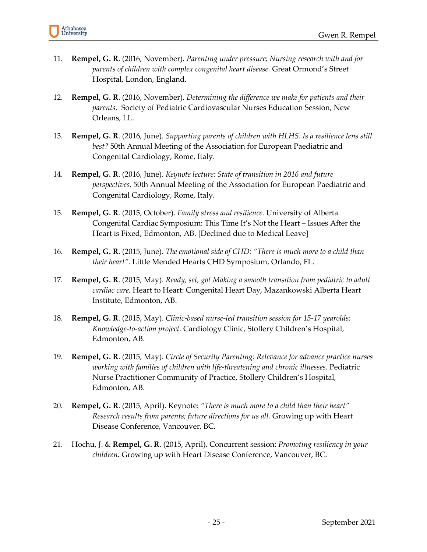- 11. **Rempel, G. R**. (2016, November). *Parenting under pressure; Nursing research with and for parents of children with complex congenital heart disease.* Great Ormond's Street Hospital, London, England.
- 12. **Rempel, G. R**. (2016, November). *Determining the difference we make for patients and their parents.* Society of Pediatric Cardiovascular Nurses Education Session, New Orleans, LL.
- 13. **Rempel, G. R**. (2016, June). *Supporting parents of children with HLHS: Is a resilience lens still best?* 50th Annual Meeting of the Association for European Paediatric and Congenital Cardiology, Rome, Italy.
- 14. **Rempel, G. R**. (2016, June). *Keynote lecture: State of transition in 2016 and future perspectives.* 50th Annual Meeting of the Association for European Paediatric and Congenital Cardiology, Rome, Italy.
- 15. **Rempel, G. R**. (2015, October). *Family stress and resilience.* University of Alberta Congenital Cardiac Symposium: This Time It's Not the Heart – Issues After the Heart is Fixed, Edmonton, AB. [Declined due to Medical Leave]
- 16. **Rempel, G. R**. (2015, June). *The emotional side of CHD: "There is much more to a child than their heart".* Little Mended Hearts CHD Symposium, Orlando, FL.
- 17. **Rempel, G. R**. (2015, May). *Ready, set, go! Making a smooth transition from pediatric to adult cardiac care.* Heart to Heart: Congenital Heart Day, Mazankowski Alberta Heart Institute, Edmonton, AB.
- 18. **Rempel, G. R**. (2015, May). *Clinic-based nurse-led transition session for 15-17 yearolds: Knowledge-to-action project.* Cardiology Clinic, Stollery Children's Hospital, Edmonton, AB.
- 19. **Rempel, G. R**. (2015, May). *Circle of Security Parenting: Relevance for advance practice nurses working with families of children with life-threatening and chronic illnesses.* Pediatric Nurse Practitioner Community of Practice, Stollery Children's Hospital, Edmonton, AB.
- 20. **Rempel, G. R**. (2015, April). Keynote: *"There is much more to a child than their heart" Research results from parents; future directions for us all.* Growing up with Heart Disease Conference, Vancouver, BC.
- 21. Hochu, J. & **Rempel, G. R**. (2015, April). Concurrent session: *Promoting resiliency in your children.* Growing up with Heart Disease Conference, Vancouver, BC.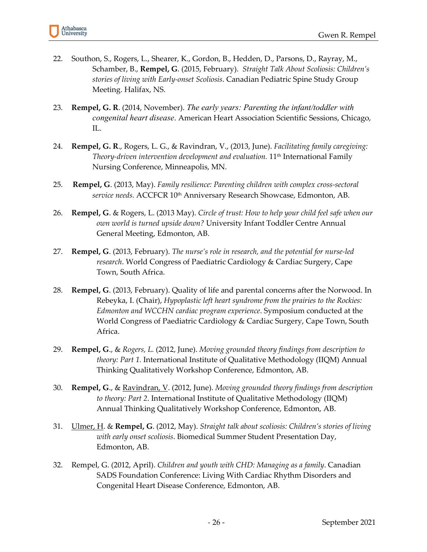

- 22. Southon, S., Rogers, L., Shearer, K., Gordon, B., Hedden, D., Parsons, D., Rayray, M., Schamber, B., **Rempel, G**. (2015, February). *Straight Talk About Scoliosis: Children's stories of living with Early-onset Scoliosis*. Canadian Pediatric Spine Study Group Meeting. Halifax, NS.
- 23. **Rempel, G. R**. (2014, November). *The early years: Parenting the infant/toddler with congenital heart disease*. American Heart Association Scientific Sessions, Chicago, IL.
- 24. **Rempel, G. R**., Rogers, L. G., & Ravindran, V., (2013, June). *Facilitating family caregiving:*  Theory-driven intervention development and evaluation. 11<sup>th</sup> International Family Nursing Conference, Minneapolis, MN.
- 25. **Rempel, G**. (2013, May). *Family resilience: Parenting children with complex cross-sectoral service needs.* ACCFCR 10th Anniversary Research Showcase, Edmonton, AB.
- 26. **Rempel, G**. & Rogers, L. (2013 May). *Circle of trust: How to help your child feel safe when our own world is turned upside down?* University Infant Toddler Centre Annual General Meeting, Edmonton, AB.
- 27. **Rempel, G**. (2013, February). *The nurse's role in research, and the potential for nurse-led research*. World Congress of Paediatric Cardiology & Cardiac Surgery, Cape Town, South Africa.
- 28. **Rempel, G**. (2013, February). Quality of life and parental concerns after the Norwood. In Rebeyka, I. (Chair), *Hypoplastic left heart syndrome from the prairies to the Rockies: Edmonton and WCCHN cardiac program experience*. Symposium conducted at the World Congress of Paediatric Cardiology & Cardiac Surgery, Cape Town, South Africa.
- 29. **Rempel, G**., & *Rogers, L.* (2012, June). *Moving grounded theory findings from description to theory: Part 1.* International Institute of Qualitative Methodology (IIQM) Annual Thinking Qualitatively Workshop Conference, Edmonton, AB.
- 30. **Rempel, G**., & Ravindran, V. (2012, June). *Moving grounded theory findings from description to theory: Part 2*. International Institute of Qualitative Methodology (IIQM) Annual Thinking Qualitatively Workshop Conference, Edmonton, AB.
- 31. Ulmer, H. & **Rempel, G**. (2012, May). *Straight talk about scoliosis: Children's stories of living with early onset scoliosis*. Biomedical Summer Student Presentation Day, Edmonton, AB.
- 32. Rempel, G. (2012, April). *Children and youth with CHD: Managing as a family*. Canadian SADS Foundation Conference: Living With Cardiac Rhythm Disorders and Congenital Heart Disease Conference, Edmonton, AB.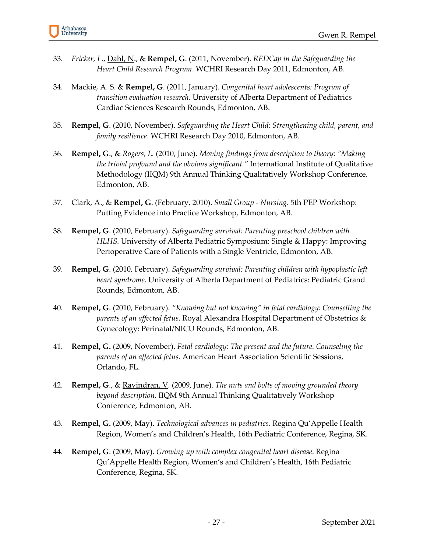- 33. *Fricker, L.*, Dahl, N., & **Rempel, G**. (2011, November). *REDCap in the Safeguarding the Heart Child Research Program*. WCHRI Research Day 2011, Edmonton, AB.
- 34. Mackie, A. S. & **Rempel, G**. (2011, January). *Congenital heart adolescents: Program of transition evaluation research*. University of Alberta Department of Pediatrics Cardiac Sciences Research Rounds, Edmonton, AB.
- 35. **Rempel, G**. (2010, November). *Safeguarding the Heart Child: Strengthening child, parent, and family resilience*. WCHRI Research Day 2010, Edmonton, AB.
- 36. **Rempel, G**., & *Rogers, L.* (2010, June). *Moving findings from description to theory: "Making the trivial profound and the obvious significant."* International Institute of Qualitative Methodology (IIQM) 9th Annual Thinking Qualitatively Workshop Conference, Edmonton, AB.
- 37. Clark, A., & **Rempel, G**. (February, 2010). *Small Group - Nursing*. 5th PEP Workshop: Putting Evidence into Practice Workshop, Edmonton, AB.
- 38. **Rempel, G**. (2010, February). *Safeguarding survival: Parenting preschool children with HLHS*. University of Alberta Pediatric Symposium: Single & Happy: Improving Perioperative Care of Patients with a Single Ventricle, Edmonton, AB.
- 39. **Rempel, G**. (2010, February). *Safeguarding survival: Parenting children with hypoplastic left heart syndrome*. University of Alberta Department of Pediatrics: Pediatric Grand Rounds, Edmonton, AB.
- 40. **Rempel, G**. (2010, February). *"Knowing but not knowing" in fetal cardiology: Counselling the parents of an affected fetus*. Royal Alexandra Hospital Department of Obstetrics & Gynecology: Perinatal/NICU Rounds, Edmonton, AB.
- 41. **Rempel, G.** (2009, November). *Fetal cardiology: The present and the future. Counseling the parents of an affected fetus*. American Heart Association Scientific Sessions, Orlando, FL.
- 42. **Rempel, G**., & Ravindran, V. (2009, June). *The nuts and bolts of moving grounded theory beyond description*. IIQM 9th Annual Thinking Qualitatively Workshop Conference, Edmonton, AB.
- 43. **Rempel, G.** (2009, May). *Technological advances in pediatrics*. Regina Qu'Appelle Health Region, Women's and Children's Health, 16th Pediatric Conference, Regina, SK.
- 44. **Rempel, G**. (2009, May). *Growing up with complex congenital heart disease*. Regina Qu'Appelle Health Region, Women's and Children's Health, 16th Pediatric Conference, Regina, SK.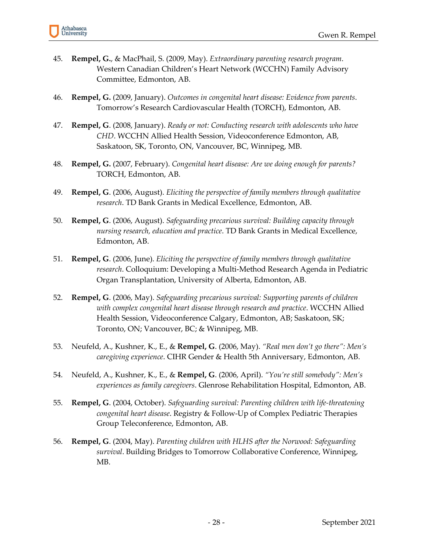- 45. **Rempel, G.**, & MacPhail, S. (2009, May). *Extraordinary parenting research program*. Western Canadian Children's Heart Network (WCCHN) Family Advisory Committee, Edmonton, AB.
- 46. **Rempel, G.** (2009, January). *Outcomes in congenital heart disease: Evidence from parents*. Tomorrow's Research Cardiovascular Health (TORCH), Edmonton, AB.
- 47. **Rempel, G**. (2008, January). *Ready or not: Conducting research with adolescents who have CHD*. WCCHN Allied Health Session, Videoconference Edmonton, AB, Saskatoon, SK, Toronto, ON, Vancouver, BC, Winnipeg, MB.
- 48. **Rempel, G.** (2007, February). *Congenital heart disease: Are we doing enough for parents?* TORCH, Edmonton, AB.
- 49. **Rempel, G**. (2006, August). *Eliciting the perspective of family members through qualitative research*. TD Bank Grants in Medical Excellence, Edmonton, AB.
- 50. **Rempel, G**. (2006, August). *Safeguarding precarious survival: Building capacity through nursing research, education and practice*. TD Bank Grants in Medical Excellence, Edmonton, AB.
- 51. **Rempel, G**. (2006, June). *Eliciting the perspective of family members through qualitative research*. Colloquium: Developing a Multi-Method Research Agenda in Pediatric Organ Transplantation, University of Alberta, Edmonton, AB.
- 52. **Rempel, G**. (2006, May). *Safeguarding precarious survival: Supporting parents of children with complex congenital heart disease through research and practice*. WCCHN Allied Health Session, Videoconference Calgary, Edmonton, AB; Saskatoon, SK; Toronto, ON; Vancouver, BC; & Winnipeg, MB.
- 53. Neufeld, A., Kushner, K., E., & **Rempel, G**. (2006, May). *"Real men don't go there": Men's caregiving experience*. CIHR Gender & Health 5th Anniversary, Edmonton, AB.
- 54. Neufeld, A., Kushner, K., E., & **Rempel, G**. (2006, April). *"You're still somebody": Men's experiences as family caregivers*. Glenrose Rehabilitation Hospital, Edmonton, AB.
- 55. **Rempel, G**. (2004, October). *Safeguarding survival: Parenting children with life-threatening congenital heart disease*. Registry & Follow-Up of Complex Pediatric Therapies Group Teleconference, Edmonton, AB.
- 56. **Rempel, G**. (2004, May). *Parenting children with HLHS after the Norwood: Safeguarding survival*. Building Bridges to Tomorrow Collaborative Conference, Winnipeg, MB.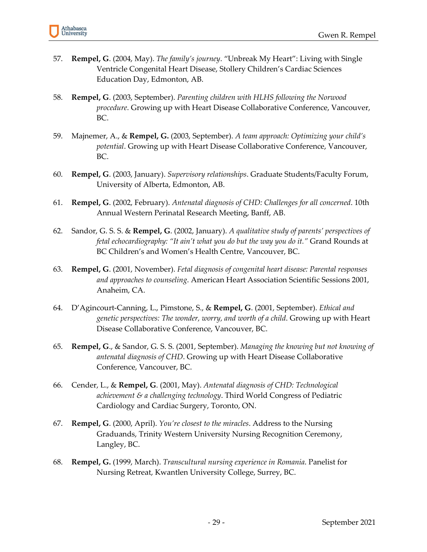

- 57. **Rempel, G**. (2004, May). *The family's journey*. "Unbreak My Heart": Living with Single Ventricle Congenital Heart Disease, Stollery Children's Cardiac Sciences Education Day, Edmonton, AB.
- 58. **Rempel, G**. (2003, September). *Parenting children with HLHS following the Norwood procedure*. Growing up with Heart Disease Collaborative Conference, Vancouver, BC.
- 59. Majnemer, A., & **Rempel, G.** (2003, September). *A team approach: Optimizing your child's potential*. Growing up with Heart Disease Collaborative Conference, Vancouver, BC.
- 60. **Rempel, G**. (2003, January). *Supervisory relationships*. Graduate Students/Faculty Forum, University of Alberta, Edmonton, AB.
- 61. **Rempel, G**. (2002, February). *Antenatal diagnosis of CHD: Challenges for all concerned*. 10th Annual Western Perinatal Research Meeting, Banff, AB.
- 62. Sandor, G. S. S. & **Rempel, G**. (2002, January). *A qualitative study of parents' perspectives of fetal echocardiography: "It ain't what you do but the way you do it."* Grand Rounds at BC Children's and Women's Health Centre, Vancouver, BC.
- 63. **Rempel, G**. (2001, November). *Fetal diagnosis of congenital heart disease: Parental responses and approaches to counseling*. American Heart Association Scientific Sessions 2001, Anaheim, CA.
- 64. D'Agincourt-Canning, L., Pimstone, S., & **Rempel, G**. (2001, September). *Ethical and genetic perspectives: The wonder, worry, and worth of a child*. Growing up with Heart Disease Collaborative Conference, Vancouver, BC.
- 65. **Rempel, G**., & Sandor, G. S. S. (2001, September). *Managing the knowing but not knowing of antenatal diagnosis of CHD*. Growing up with Heart Disease Collaborative Conference, Vancouver, BC.
- 66. Cender, L., & **Rempel, G**. (2001, May). *Antenatal diagnosis of CHD: Technological achievement & a challenging technology*. Third World Congress of Pediatric Cardiology and Cardiac Surgery, Toronto, ON.
- 67. **Rempel, G**. (2000, April). *You're closest to the miracles*. Address to the Nursing Graduands, Trinity Western University Nursing Recognition Ceremony, Langley, BC.
- 68. **Rempel, G.** (1999, March). *Transcultural nursing experience in Romania*. Panelist for Nursing Retreat, Kwantlen University College, Surrey, BC.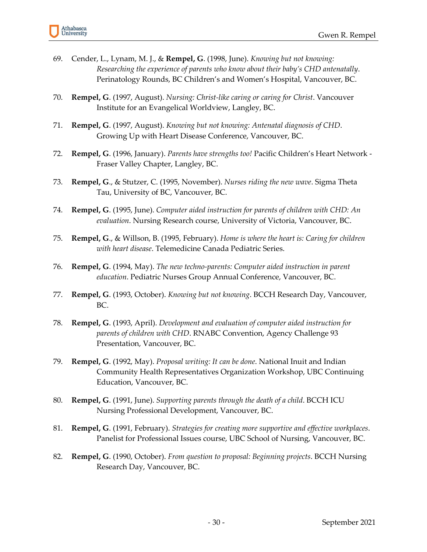- 69. Cender, L., Lynam, M. J., & **Rempel, G**. (1998, June). *Knowing but not knowing: Researching the experience of parents who know about their baby's CHD antenatally*. Perinatology Rounds, BC Children's and Women's Hospital, Vancouver, BC.
- 70. **Rempel, G**. (1997, August). *Nursing: Christ-like caring or caring for Christ*. Vancouver Institute for an Evangelical Worldview, Langley, BC.
- 71. **Rempel, G**. (1997, August). *Knowing but not knowing: Antenatal diagnosis of CHD*. Growing Up with Heart Disease Conference, Vancouver, BC.
- 72. **Rempel, G**. (1996, January). *Parents have strengths too!* Pacific Children's Heart Network Fraser Valley Chapter, Langley, BC.
- 73. **Rempel, G**., & Stutzer, C. (1995, November). *Nurses riding the new wave*. Sigma Theta Tau, University of BC, Vancouver, BC.
- 74. **Rempel, G**. (1995, June). *Computer aided instruction for parents of children with CHD: An evaluation*. Nursing Research course, University of Victoria, Vancouver, BC.
- 75. **Rempel, G**., & Willson, B. (1995, February). *Home is where the heart is: Caring for children with heart disease*. Telemedicine Canada Pediatric Series.
- 76. **Rempel, G**. (1994, May). *The new techno-parents: Computer aided instruction in parent education*. Pediatric Nurses Group Annual Conference, Vancouver, BC.
- 77. **Rempel, G**. (1993, October). *Knowing but not knowing*. BCCH Research Day, Vancouver, BC.
- 78. **Rempel, G**. (1993, April). *Development and evaluation of computer aided instruction for parents of children with CHD*. RNABC Convention, Agency Challenge 93 Presentation, Vancouver, BC.
- 79. **Rempel, G**. (1992, May). *Proposal writing: It can be done*. National Inuit and Indian Community Health Representatives Organization Workshop, UBC Continuing Education, Vancouver, BC.
- 80. **Rempel, G**. (1991, June). *Supporting parents through the death of a child*. BCCH ICU Nursing Professional Development, Vancouver, BC.
- 81. **Rempel, G**. (1991, February). *Strategies for creating more supportive and effective workplaces*. Panelist for Professional Issues course, UBC School of Nursing, Vancouver, BC.
- 82. **Rempel, G**. (1990, October). *From question to proposal: Beginning projects*. BCCH Nursing Research Day, Vancouver, BC.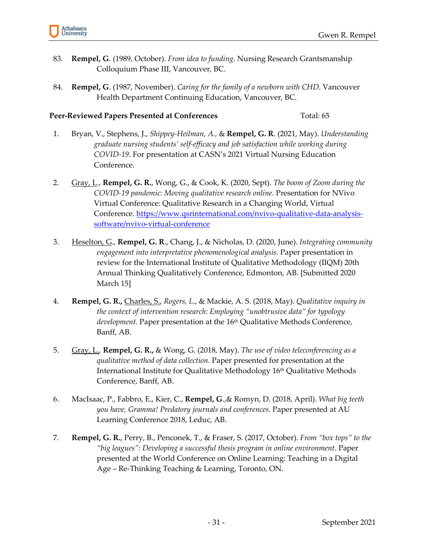

- 83. **Rempel, G**. (1989, October). *From idea to funding*. Nursing Research Grantsmanship Colloquium Phase III, Vancouver, BC.
- 84. **Rempel, G**. (1987, November). *Caring for the family of a newborn with CHD*. Vancouver Health Department Continuing Education, Vancouver, BC.

#### **Peer-Reviewed Papers Presented at Conferences** Total: 65

- 1. Bryan, V., Stephens, J., *Shippey-Heilman, A.,* & **Rempel, G. R**. (2021, May). *Understanding graduate nursing students' self-efficacy and job satisfaction while working during COVID-19*. For presentation at CASN's 2021 Virtual Nursing Education Conference.
- 2. Gray, L., **Rempel, G. R.**, Wong, G., & Cook, K. (2020, Sept). *The boom of Zoom during the COVID-19 pandemic: Moving qualitative research online*. Presentation for NVivo Virtual Conference: Qualitative Research in a Changing World, Virtual Conference. [https://www.qsrinternational.com/nvivo-qualitative-data-analysis](https://www.qsrinternational.com/nvivo-qualitative-data-analysis-software/nvivo-virtual-conference)[software/nvivo-virtual-conference](https://www.qsrinternational.com/nvivo-qualitative-data-analysis-software/nvivo-virtual-conference)
- 3. Heselton, G., **Rempel, G. R**., Chang, J., & Nicholas, D. (2020, June). *Integrating community engagement into interpretative phenomenological analysis*. Paper presentation in review for the International Institute of Qualitative Methodology (IIQM) 20th Annual Thinking Qualitatively Conference, Edmonton, AB. [Submitted 2020 March 15]
- 4. **Rempel, G. R.,** Charles, S., *Rogers, L*., & Mackie, A. S. (2018, May). *Qualitative inquiry in the context of intervention research: Employing "unobtrusive data" for typology development.* Paper presentation at the 16<sup>th</sup> Qualitative Methods Conference, Banff, AB.
- 5. Gray, L.*,* **Rempel, G. R.,** & Wong, G. (2018, May). *The use of video teleconferencing as a qualitative method of data collection.* Paper presented for presentation at the International Institute for Qualitative Methodology 16<sup>th</sup> Qualitative Methods Conference, Banff, AB.
- 6. MacIsaac, P., Fabbro, E., Kier, C., **Rempel, G**.,& Romyn, D. (2018, April). *What big teeth you have, Gramma! Predatory journals and conferences*. Paper presented at AU Learning Conference 2018, Leduc, AB.
- 7. **Rempel, G. R.**, Perry, B., Penconek, T., & Fraser, S. (2017, October). *From "box tops" to the "big leagues": Developing a successful thesis program in online environment*. Paper presented at the World Conference on Online Learning: Teaching in a Digital Age – Re-Thinking Teaching & Learning, Toronto, ON.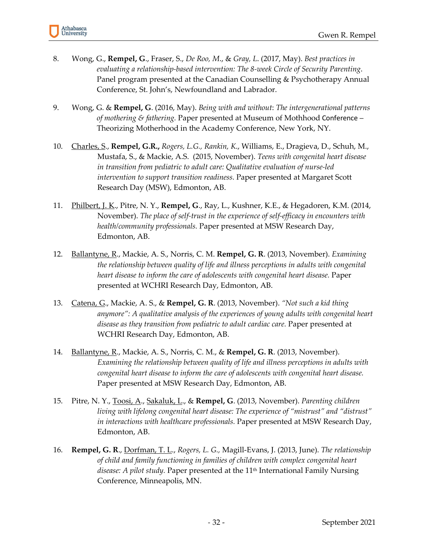- 8. Wong, G., **Rempel, G**., Fraser, S., *De Roo, M*., & *Gray, L*. (2017, May). *Best practices in evaluating a relationship-based intervention: The 8-week Circle of Security Parenting*. Panel program presented at the Canadian Counselling & Psychotherapy Annual Conference, St. John's, Newfoundland and Labrador.
- 9. Wong, G. & **Rempel, G**. (2016, May). *Being with and without*: *The intergenerational patterns of mothering & fathering.* Paper presented at Museum of Mothhood Conference – Theorizing Motherhood in the Academy Conference, New York, NY.
- 10. Charles, S., **Rempel, G.R.,** *Rogers, L.G., Rankin, K*., Williams, E., Dragieva, D., Schuh, M., Mustafa, S., & Mackie, A.S. (2015, November). *Teens with congenital heart disease in transition from pediatric to adult care: Qualitative evaluation of nurse-led intervention to support transition readiness.* Paper presented at Margaret Scott Research Day (MSW), Edmonton, AB.
- 11. Philbert, J. K., Pitre, N. Y., **Rempel, G**., Ray, L., Kushner, K.E., & Hegadoren, K.M. (2014, November). *The place of self-trust in the experience of self-efficacy in encounters with health/community professionals.* Paper presented at MSW Research Day, Edmonton, AB.
- 12. Ballantyne, R., Mackie, A. S., Norris, C. M. **Rempel, G. R**. (2013, November). *Examining the relationship between quality of life and illness perceptions in adults with congenital heart disease to inform the care of adolescents with congenital heart disease.* Paper presented at WCHRI Research Day, Edmonton, AB.
- 13. Catena, G., Mackie, A. S., & **Rempel, G. R**. (2013, November). *"Not such a kid thing anymore": A qualitative analysis of the experiences of young adults with congenital heart disease as they transition from pediatric to adult cardiac care.* Paper presented at WCHRI Research Day, Edmonton, AB.
- 14. Ballantyne, R., Mackie, A. S., Norris, C. M., & **Rempel, G. R**. (2013, November). *Examining the relationship between quality of life and illness perceptions in adults with congenital heart disease to inform the care of adolescents with congenital heart disease.*  Paper presented at MSW Research Day, Edmonton, AB.
- 15. Pitre, N. Y., Toosi, A., Sakaluk, L., & **Rempel, G**. (2013, November). *Parenting children living with lifelong congenital heart disease: The experience of "mistrust" and "distrust" in interactions with healthcare professionals.* Paper presented at MSW Research Day, Edmonton, AB.
- 16. **Rempel, G. R**., Dorfman, T. L., *Rogers, L. G.,* Magill-Evans, J. (2013, June). *The relationship of child and family functioning in families of children with complex congenital heart*  disease: A pilot study. Paper presented at the 11<sup>th</sup> International Family Nursing Conference, Minneapolis, MN.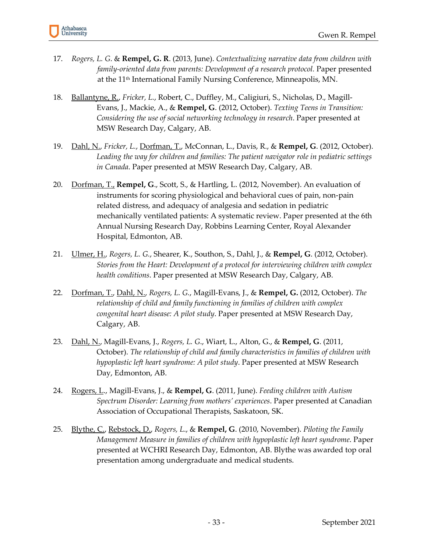- 17. *Rogers, L. G*. & **Rempel, G. R**. (2013, June). *Contextualizing narrative data from children with family-oriented data from parents: Development of a research protocol. Paper presented* at the 11th International Family Nursing Conference, Minneapolis, MN.
- 18. Ballantyne, R., *Fricker, L.*, Robert, C., Duffley, M., Caligiuri, S., Nicholas, D., Magill-Evans, J., Mackie, A., & **Rempel, G**. (2012, October). *Texting Teens in Transition: Considering the use of social networking technology in research*. Paper presented at MSW Research Day, Calgary, AB.
- 19. Dahl, N., *Fricker, L.*, Dorfman, T., McConnan, L., Davis, R., & **Rempel, G**. (2012, October). *Leading the way for children and families: The patient navigator role in pediatric settings in Canada*. Paper presented at MSW Research Day, Calgary, AB.
- 20. Dorfman, T., **Rempel, G**., Scott, S., & Hartling, L. (2012, November). An evaluation of instruments for scoring physiological and behavioral cues of pain, non-pain related distress, and adequacy of analgesia and sedation in pediatric mechanically ventilated patients: A systematic review. Paper presented at the 6th Annual Nursing Research Day, Robbins Learning Center, Royal Alexander Hospital, Edmonton, AB.
- 21. Ulmer, H., *Rogers, L. G.*, Shearer, K., Southon, S., Dahl, J., & **Rempel, G**. (2012, October). *Stories from the Heart: Development of a protocol for interviewing children with complex health conditions*. Paper presented at MSW Research Day, Calgary, AB.
- 22. Dorfman, T., Dahl, N., *Rogers, L. G.*, Magill-Evans, J., & **Rempel, G.** (2012, October). *The relationship of child and family functioning in families of children with complex congenital heart disease: A pilot study*. Paper presented at MSW Research Day, Calgary, AB.
- 23. Dahl, N., Magill-Evans, J., *Rogers, L. G*., Wiart, L., Alton, G., & **Rempel, G**. (2011, October). *The relationship of child and family characteristics in families of children with hypoplastic left heart syndrome: A pilot study*. Paper presented at MSW Research Day, Edmonton, AB.
- 24. Rogers, L., Magill-Evans, J., & **Rempel, G**. (2011, June). *Feeding children with Autism Spectrum Disorder: Learning from mothers' experiences*. Paper presented at Canadian Association of Occupational Therapists, Saskatoon, SK.
- 25. Blythe, C., Rebstock, D., *Rogers, L*., & **Rempel, G**. (2010, November). *Piloting the Family Management Measure in families of children with hypoplastic left heart syndrome*. Paper presented at WCHRI Research Day, Edmonton, AB. Blythe was awarded top oral presentation among undergraduate and medical students.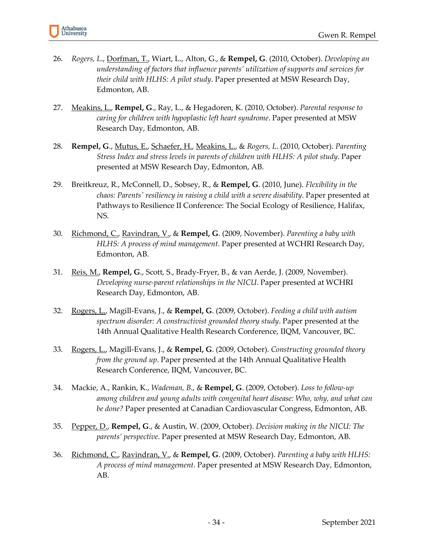- 26. *Rogers, L*., Dorfman, T., Wiart, L., Alton, G., & **Rempel, G**. (2010, October). *Developing an understanding of factors that influence parents' utilization of supports and services for their child with HLHS: A pilot study*. Paper presented at MSW Research Day, Edmonton, AB.
- 27. Meakins, L., **Rempel, G**., Ray, L., & Hegadoren, K. (2010, October). *Parental response to caring for children with hypoplastic left heart syndrome*. Paper presented at MSW Research Day, Edmonton, AB.
- 28. **Rempel, G**., Mutus, E., Schaefer, H., Meakins, L., & *Rogers, L*. (2010, October). *Parenting Stress Index and stress levels in parents of children with HLHS: A pilot study*. Paper presented at MSW Research Day, Edmonton, AB.
- 29. Breitkreuz, R., McConnell, D., Sobsey, R., & **Rempel, G**. (2010, June). *Flexibility in the chaos: Parents' resiliency in raising a child with a severe disability*. Paper presented at Pathways to Resilience II Conference: The Social Ecology of Resilience, Halifax, NS.
- 30. Richmond, C., Ravindran, V., & **Rempel, G**. (2009, November). *Parenting a baby with HLHS: A process of mind management*. Paper presented at WCHRI Research Day, Edmonton, AB.
- 31. Reis, M., **Rempel, G**., Scott, S., Brady-Fryer, B., & van Aerde, J. (2009, November). *Developing nurse-parent relationships in the NICU*. Paper presented at WCHRI Research Day, Edmonton, AB.
- 32. Rogers, L., Magill-Evans, J., & **Rempel, G**. (2009, October). *Feeding a child with autism spectrum disorder: A constructivist grounded theory study*. Paper presented at the 14th Annual Qualitative Health Research Conference, IIQM, Vancouver, BC.
- 33. Rogers, L., Magill-Evans, J., & **Rempel, G**. (2009, October). *Constructing grounded theory from the ground up*. Paper presented at the 14th Annual Qualitative Health Research Conference, IIQM, Vancouver, BC.
- 34. Mackie, A., Rankin, K., *Wademan, B*., & **Rempel, G**. (2009, October). *Loss to follow-up among children and young adults with congenital heart disease: Who, why, and what can be done?* Paper presented at Canadian Cardiovascular Congress, Edmonton, AB.
- 35. Pepper, D., **Rempel, G**., & Austin, W. (2009, October). *Decision making in the NICU: The parents' perspective*. Paper presented at MSW Research Day, Edmonton, AB.
- 36. Richmond, C., Ravindran, V., & **Rempel, G**. (2009, October). *Parenting a baby with HLHS: A process of mind management*. Paper presented at MSW Research Day, Edmonton, AB.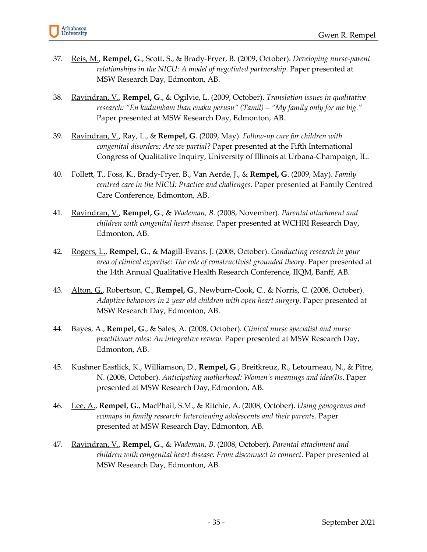- 37. Reis, M., **Rempel, G**., Scott, S., & Brady-Fryer, B. (2009, October). *Developing nurse-parent relationships in the NICU: A model of negotiated partnership*. Paper presented at MSW Research Day, Edmonton, AB.
- 38. Ravindran, V., **Rempel, G**., & Ogilvie, L. (2009, October). *Translation issues in qualitative research: "En kudumbam than enaku perusu" (Tamil) – "My family only for me big."* Paper presented at MSW Research Day, Edmonton, AB.
- 39. Ravindran, V., Ray, L., & **Rempel, G**. (2009, May). *Follow-up care for children with congenital disorders: Are we partial?* Paper presented at the Fifth International Congress of Qualitative Inquiry, University of Illinois at Urbana-Champaign, IL.
- 40. Follett, T., Foss, K., Brady-Fryer, B., Van Aerde, J., & **Rempel, G**. (2009, May). *Family centred care in the NICU: Practice and challenges*. Paper presented at Family Centred Care Conference, Edmonton, AB.
- 41. Ravindran, V., **Rempel, G**., & *Wademan, B.* (2008, November). *Parental attachment and children with congenital heart disease*. Paper presented at WCHRI Research Day, Edmonton, AB.
- 42. Rogers, L., **Rempel, G**., & Magill-Evans, J. (2008, October). *Conducting research in your area of clinical expertise: The role of constructivist grounded theory*. Paper presented at the 14th Annual Qualitative Health Research Conference, IIQM, Banff, AB.
- 43. Alton, G., Robertson, C., **Rempel, G**., Newburn-Cook, C., & Norris, C. (2008, October). *Adaptive behaviors in 2 year old children with open heart surgery*. Paper presented at MSW Research Day, Edmonton, AB.
- 44. Bayes, A., **Rempel, G**., & Sales, A. (2008, October). *Clinical nurse specialist and nurse practitioner roles: An integrative review*. Paper presented at MSW Research Day, Edmonton, AB.
- 45. Kushner Eastlick, K., Williamson, D., **Rempel, G**., Breitkreuz, R., Letourneau, N., & Pitre, N. (2008, October). *Anticipating motherhood: Women's meanings and idea(l)s*. Paper presented at MSW Research Day, Edmonton, AB.
- 46. Lee, A., **Rempel, G**., MacPhail, S.M., & Ritchie, A. (2008, October). *Using genograms and ecomaps in family research: Interviewing adolescents and their parents*. Paper presented at MSW Research Day, Edmonton, AB.
- 47. Ravindran, V., **Rempel, G**., & *Wademan, B.* (2008, October). *Parental attachment and children with congenital heart disease: From disconnect to connect*. Paper presented at MSW Research Day, Edmonton, AB.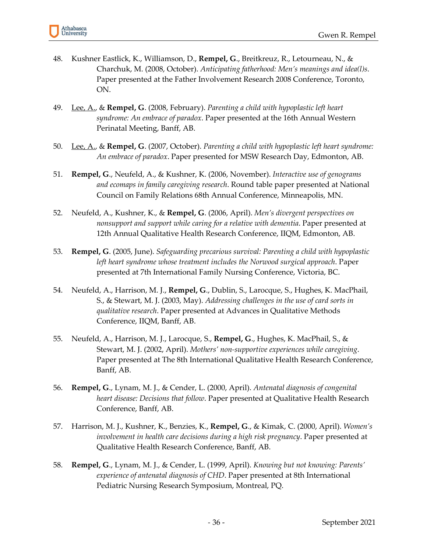

- 48. Kushner Eastlick, K., Williamson, D., **Rempel, G**., Breitkreuz, R., Letourneau, N., & Charchuk, M. (2008, October). *Anticipating fatherhood: Men's meanings and idea(l)s*. Paper presented at the Father Involvement Research 2008 Conference, Toronto, ON.
- 49. Lee, A., & **Rempel, G**. (2008, February). *Parenting a child with hypoplastic left heart syndrome: An embrace of paradox*. Paper presented at the 16th Annual Western Perinatal Meeting, Banff, AB.
- 50. Lee, A., & **Rempel, G**. (2007, October). *Parenting a child with hypoplastic left heart syndrome: An embrace of paradox*. Paper presented for MSW Research Day, Edmonton, AB.
- 51. **Rempel, G**., Neufeld, A., & Kushner, K. (2006, November). *Interactive use of genograms and ecomaps in family caregiving research*. Round table paper presented at National Council on Family Relations 68th Annual Conference, Minneapolis, MN.
- 52. Neufeld, A., Kushner, K., & **Rempel, G**. (2006, April). *Men's divergent perspectives on nonsupport and support while caring for a relative with dementia*. Paper presented at 12th Annual Qualitative Health Research Conference, IIQM, Edmonton, AB.
- 53. **Rempel, G**. (2005, June). *Safeguarding precarious survival: Parenting a child with hypoplastic left heart syndrome whose treatment includes the Norwood surgical approach*. Paper presented at 7th International Family Nursing Conference, Victoria, BC.
- 54. Neufeld, A., Harrison, M. J., **Rempel, G**., Dublin, S., Larocque, S., Hughes, K. MacPhail, S., & Stewart, M. J. (2003, May). *Addressing challenges in the use of card sorts in qualitative research*. Paper presented at Advances in Qualitative Methods Conference, IIQM, Banff, AB.
- 55. Neufeld, A., Harrison, M. J., Larocque, S., **Rempel, G**., Hughes, K. MacPhail, S., & Stewart, M. J. (2002, April). *Mothers' non-supportive experiences while caregiving*. Paper presented at The 8th International Qualitative Health Research Conference, Banff, AB.
- 56. **Rempel, G**., Lynam, M. J., & Cender, L. (2000, April). *Antenatal diagnosis of congenital heart disease: Decisions that follow*. Paper presented at Qualitative Health Research Conference, Banff, AB.
- 57. Harrison, M. J., Kushner, K., Benzies, K., **Rempel, G**., & Kimak, C. (2000, April). *Women's involvement in health care decisions during a high risk pregnancy*. Paper presented at Qualitative Health Research Conference, Banff, AB.
- 58. **Rempel, G**., Lynam, M. J., & Cender, L. (1999, April). *Knowing but not knowing: Parents' experience of antenatal diagnosis of CHD*. Paper presented at 8th International Pediatric Nursing Research Symposium, Montreal, PQ.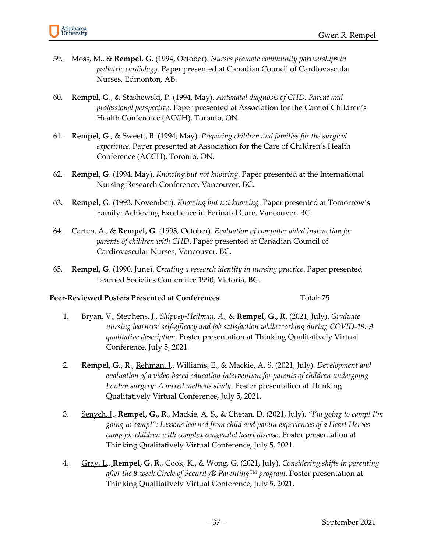- 59. Moss, M., & **Rempel, G**. (1994, October). *Nurses promote community partnerships in pediatric cardiology*. Paper presented at Canadian Council of Cardiovascular Nurses, Edmonton, AB.
- 60. **Rempel, G**., & Stashewski, P. (1994, May). *Antenatal diagnosis of CHD: Parent and professional perspective*. Paper presented at Association for the Care of Children's Health Conference (ACCH), Toronto, ON.
- 61. **Rempel, G**., & Sweett, B. (1994, May). *Preparing children and families for the surgical experience*. Paper presented at Association for the Care of Children's Health Conference (ACCH), Toronto, ON.
- 62. **Rempel, G**. (1994, May). *Knowing but not knowing*. Paper presented at the International Nursing Research Conference, Vancouver, BC.
- 63. **Rempel, G**. (1993, November). *Knowing but not knowing*. Paper presented at Tomorrow's Family: Achieving Excellence in Perinatal Care, Vancouver, BC.
- 64. Carten, A., & **Rempel, G**. (1993, October). *Evaluation of computer aided instruction for parents of children with CHD*. Paper presented at Canadian Council of Cardiovascular Nurses, Vancouver, BC.
- 65. **Rempel, G**. (1990, June). *Creating a research identity in nursing practice*. Paper presented Learned Societies Conference 1990, Victoria, BC.

#### **Peer-Reviewed Posters Presented at Conferences** Total: 75

- 1. Bryan, V., Stephens, J., *Shippey-Heilman, A.,* & **Rempel, G., R**. (2021, July). *Graduate nursing learners' self-efficacy and job satisfaction while working during COVID-19: A qualitative description*. Poster presentation at Thinking Qualitatively Virtual Conference, July 5, 2021.
- 2. **Rempel, G., R**., Rehman, J., Williams, E., & Mackie, A. S. (2021, July). *Development and evaluation of a video-based education intervention for parents of children undergoing Fontan surgery: A mixed methods study*. Poster presentation at Thinking Qualitatively Virtual Conference, July 5, 2021.
- 3. Senych, J., **Rempel, G., R**., Mackie, A. S., & Chetan, D. (2021, July). *"I'm going to camp! I'm going to camp!": Lessons learned from child and parent experiences of a Heart Heroes camp for children with complex congenital heart disease*. Poster presentation at Thinking Qualitatively Virtual Conference, July 5, 2021.
- 4. Gray, L., **Rempel, G. R**., Cook, K., & Wong, G. (2021, July). *Considering shifts in parenting after the 8-week Circle of Security® Parenting™ program*. Poster presentation at Thinking Qualitatively Virtual Conference, July 5, 2021.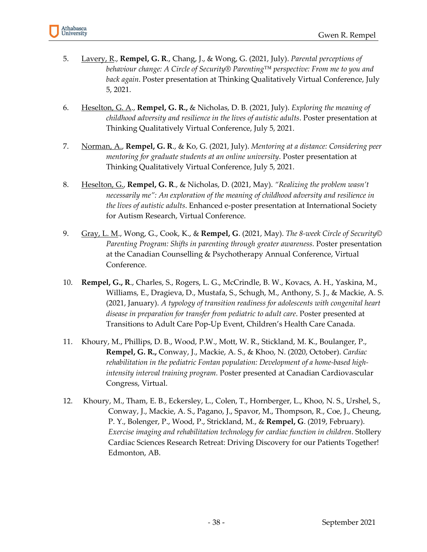

- 5. Lavery, R., **Rempel, G. R**., Chang, J., & Wong, G. (2021, July). *Parental perceptions of behaviour change: A Circle of Security® Parenting™ perspective: From me to you and back again*. Poster presentation at Thinking Qualitatively Virtual Conference, July 5, 2021.
- 6. Heselton, G. A., **Rempel, G. R.,** & Nicholas, D. B. (2021, July). *Exploring the meaning of childhood adversity and resilience in the lives of autistic adults*. Poster presentation at Thinking Qualitatively Virtual Conference, July 5, 2021.
- 7. Norman, A., **Rempel, G. R**., & Ko, G. (2021, July). *Mentoring at a distance: Considering peer mentoring for graduate students at an online university*. Poster presentation at Thinking Qualitatively Virtual Conference, July 5, 2021.
- 8. Heselton, G., **Rempel, G. R**., & Nicholas, D. (2021, May). *"Realizing the problem wasn't necessarily me": An exploration of the meaning of childhood adversity and resilience in the lives of autistic adults*. Enhanced e-poster presentation at International Society for Autism Research, Virtual Conference.
- 9. Gray, L. M., Wong, G., Cook, K., & **Rempel, G**. (2021, May). *The 8-week Circle of Security© Parenting Program: Shifts in parenting through greater awareness.* Poster presentation at the Canadian Counselling & Psychotherapy Annual Conference, Virtual Conference.
- 10. **Rempel, G., R**., Charles, S., Rogers, L. G., McCrindle, B. W., Kovacs, A. H., Yaskina, M., Williams, E., Dragieva, D., Mustafa, S., Schugh, M., Anthony, S. J., & Mackie, A. S. (2021, January). *A typology of transition readiness for adolescents with congenital heart disease in preparation for transfer from pediatric to adult care*. Poster presented at Transitions to Adult Care Pop-Up Event, Children's Health Care Canada.
- 11. Khoury, M., Phillips, D. B., Wood, P.W., Mott, W. R., Stickland, M. K., Boulanger, P., **Rempel, G. R.,** Conway, J., Mackie, A. S., & Khoo, N. (2020, October). *Cardiac rehabilitation in the pediatric Fontan population: Development of a home-based highintensity interval training program.* Poster presented at Canadian Cardiovascular Congress, Virtual.
- 12. Khoury, M., Tham, E. B., Eckersley, L., Colen, T., Hornberger, L., Khoo, N. S., Urshel, S., Conway, J., Mackie, A. S., Pagano, J., Spavor, M., Thompson, R., Coe, J., Cheung, P. Y., Bolenger, P., Wood, P., Strickland, M., & **Rempel, G**. (2019, February). *Exercise imaging and rehabilitation technology for cardiac function in children*. Stollery Cardiac Sciences Research Retreat: Driving Discovery for our Patients Together! Edmonton, AB.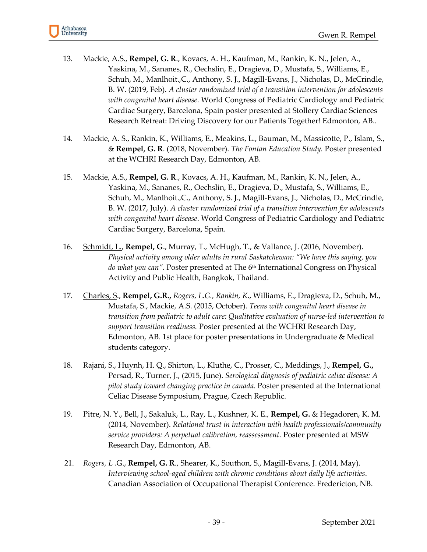

- 13. Mackie, A.S., **Rempel, G. R**., Kovacs, A. H., Kaufman, M., Rankin, K. N., Jelen, A., Yaskina, M., Sananes, R., Oechslin, E., Dragieva, D., Mustafa, S., Williams, E., Schuh, M., Manlhoit.,C., Anthony, S. J., Magill-Evans, J., Nicholas, D., McCrindle, B. W. (2019, Feb). *A cluster randomized trial of a transition intervention for adolescents with congenital heart disease*. World Congress of Pediatric Cardiology and Pediatric Cardiac Surgery, Barcelona, Spain poster presented at Stollery Cardiac Sciences Research Retreat: Driving Discovery for our Patients Together! Edmonton, AB..
- 14. Mackie, A. S., Rankin, K., Williams, E., Meakins, L., Bauman, M., Massicotte, P., Islam, S., & **Rempel, G. R**. (2018, November). *The Fontan Education Study.* Poster presented at the WCHRI Research Day, Edmonton, AB.
- 15. Mackie, A.S., **Rempel, G. R**., Kovacs, A. H., Kaufman, M., Rankin, K. N., Jelen, A., Yaskina, M., Sananes, R., Oechslin, E., Dragieva, D., Mustafa, S., Williams, E., Schuh, M., Manlhoit.,C., Anthony, S. J., Magill-Evans, J., Nicholas, D., McCrindle, B. W. (2017, July). *A cluster randomized trial of a transition intervention for adolescents with congenital heart disease*. World Congress of Pediatric Cardiology and Pediatric Cardiac Surgery, Barcelona, Spain.
- 16. Schmidt, L., **Rempel, G**., Murray, T., McHugh, T., & Vallance, J. (2016, November). *Physical activity among older adults in rural Saskatchewan: "We have this saying, you do what you can".* Poster presented at The 6th International Congress on Physical Activity and Public Health, Bangkok, Thailand.
- 17. Charles, S., **Rempel, G.R.,** *Rogers, L.G., Rankin, K*., Williams, E., Dragieva, D., Schuh, M., Mustafa, S., Mackie, A.S. (2015, October). *Teens with congenital heart disease in transition from pediatric to adult care: Qualitative evaluation of nurse-led intervention to support transition readiness.* Poster presented at the WCHRI Research Day, Edmonton, AB. 1st place for poster presentations in Undergraduate & Medical students category.
- 18. Rajani, S., Huynh, H. Q., Shirton, L., Kluthe, C., Prosser, C., Meddings, J., **Rempel, G.,** Persad, R., Turner, J., (2015, June). *Serological diagnosis of pediatric celiac disease: A pilot study toward changing practice in canada*. Poster presented at the International Celiac Disease Symposium, Prague, Czech Republic.
- 19. Pitre, N. Y., Bell, J., Sakaluk, L., Ray, L., Kushner, K. E., **Rempel, G.** & Hegadoren, K. M. (2014, November). *Relational trust in interaction with health professionals/community service providers: A perpetual calibration, reassessment.* Poster presented at MSW Research Day, Edmonton, AB.
- 21. *Rogers, L .*G., **Rempel, G. R**., Shearer, K., Southon, S., Magill-Evans, J. (2014, May). *Interviewing school-aged children with chronic conditions about daily life activities*. Canadian Association of Occupational Therapist Conference. Fredericton, NB.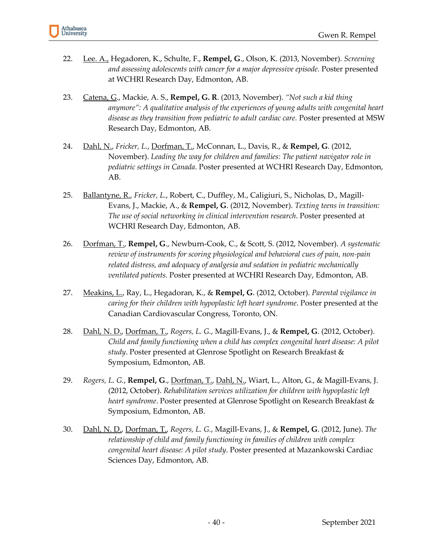- 22. Lee. A., Hegadoren, K., Schulte, F., **Rempel, G**., Olson, K. (2013, November). *Screening and assessing adolescents with cancer for a major depressive episode.* Poster presented at WCHRI Research Day, Edmonton, AB.
- 23. Catena, G., Mackie, A. S., **Rempel, G. R**. (2013, November). *"Not such a kid thing anymore": A qualitative analysis of the experiences of young adults with congenital heart disease as they transition from pediatric to adult cardiac care.* Poster presented at MSW Research Day, Edmonton, AB.
- 24. Dahl, N., *Fricker, L.*, Dorfman, T., McConnan, L., Davis, R., & **Rempel, G**. (2012, November). *Leading the way for children and families: The patient navigator role in pediatric settings in Canada*. Poster presented at WCHRI Research Day, Edmonton, AB.
- 25. Ballantyne, R., *Fricker, L.*, Robert, C., Duffley, M., Caligiuri, S., Nicholas, D., Magill-Evans, J., Mackie, A., & **Rempel, G**. (2012, November). *Texting teens in transition: The use of social networking in clinical intervention research*. Poster presented at WCHRI Research Day, Edmonton, AB.
- 26. Dorfman, T., **Rempel, G**., Newburn-Cook, C., & Scott, S. (2012, November). *A systematic review of instruments for scoring physiological and behavioral cues of pain, non-pain related distress, and adequacy of analgesia and sedation in pediatric mechanically ventilated patients.* Poster presented at WCHRI Research Day, Edmonton, AB.
- 27. Meakins, L., Ray, L., Hegadoran, K., & **Rempel, G**. (2012, October). *Parental vigilance in caring for their children with hypoplastic left heart syndrome*. Poster presented at the Canadian Cardiovascular Congress, Toronto, ON.
- 28. Dahl, N. D., Dorfman, T., *Rogers, L. G.*, Magill-Evans, J., & **Rempel, G**. (2012, October). *Child and family functioning when a child has complex congenital heart disease: A pilot study*. Poster presented at Glenrose Spotlight on Research Breakfast & Symposium, Edmonton, AB.
- 29. *Rogers, L. G.*, **Rempel, G**., Dorfman, T., Dahl, N., Wiart, L., Alton, G., & Magill-Evans, J. (2012, October). *Rehabilitation services utilization for children with hypoplastic left heart syndrome*. Poster presented at Glenrose Spotlight on Research Breakfast & Symposium, Edmonton, AB.
- 30. Dahl, N. D., Dorfman, T., *Rogers, L. G.*, Magill-Evans, J., & **Rempel, G**. (2012, June). *The relationship of child and family functioning in families of children with complex congenital heart disease: A pilot study*. Poster presented at Mazankowski Cardiac Sciences Day, Edmonton, AB.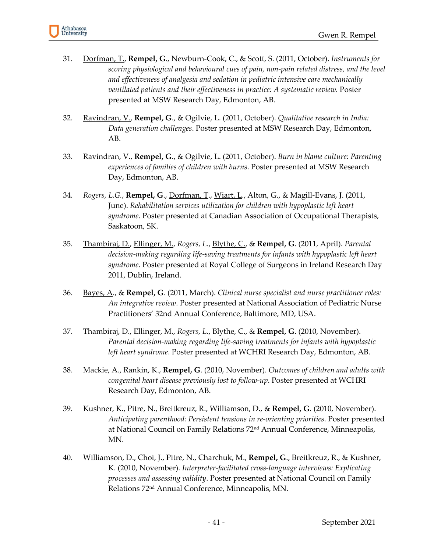- 31. Dorfman, T., **Rempel, G**., Newburn-Cook, C., & Scott, S. (2011, October). *Instruments for scoring physiological and behavioural cues of pain, non-pain related distress, and the level and effectiveness of analgesia and sedation in pediatric intensive care mechanically ventilated patients and their effectiveness in practice: A systematic review.* Poster presented at MSW Research Day, Edmonton, AB.
- 32. Ravindran, V., **Rempel, G**., & Ogilvie, L. (2011, October). *Qualitative research in India: Data generation challenges*. Poster presented at MSW Research Day, Edmonton, AB.
- 33. Ravindran, V., **Rempel, G**., & Ogilvie, L. (2011, October). *Burn in blame culture: Parenting experiences of families of children with burns*. Poster presented at MSW Research Day, Edmonton, AB.
- 34. *Rogers, L.G.*, **Rempel, G**., Dorfman, T., Wiart, L., Alton, G., & Magill-Evans, J. (2011, June). *Rehabilitation services utilization for children with hypoplastic left heart syndrome*. Poster presented at Canadian Association of Occupational Therapists, Saskatoon, SK.
- 35. Thambiraj, D., Ellinger, M., *Rogers, L*., Blythe, C., & **Rempel, G**. (2011, April). *Parental decision-making regarding life-saving treatments for infants with hypoplastic left heart syndrome*. Poster presented at Royal College of Surgeons in Ireland Research Day 2011, Dublin, Ireland.
- 36. Bayes, A., & **Rempel, G**. (2011, March). *Clinical nurse specialist and nurse practitioner roles: An integrative review*. Poster presented at National Association of Pediatric Nurse Practitioners' 32nd Annual Conference, Baltimore, MD, USA.
- 37. Thambiraj, D., Ellinger, M., *Rogers, L*., Blythe, C., & **Rempel, G**. (2010, November). *Parental decision-making regarding life-saving treatments for infants with hypoplastic left heart syndrome*. Poster presented at WCHRI Research Day, Edmonton, AB.
- 38. Mackie, A., Rankin, K., **Rempel, G**. (2010, November). *Outcomes of children and adults with congenital heart disease previously lost to follow-up*. Poster presented at WCHRI Research Day, Edmonton, AB.
- 39. Kushner, K., Pitre, N., Breitkreuz, R., Williamson, D., & **Rempel, G**. (2010, November). *Anticipating parenthood: Persistent tensions in re-orienting priorities*. Poster presented at National Council on Family Relations 72<sup>nd</sup> Annual Conference, Minneapolis, MN.
- 40. Williamson, D., Choi, J., Pitre, N., Charchuk, M., **Rempel, G**., Breitkreuz, R., & Kushner, K. (2010, November). *Interpreter-facilitated cross-language interviews: Explicating processes and assessing validity*. Poster presented at National Council on Family Relations 72nd Annual Conference, Minneapolis, MN.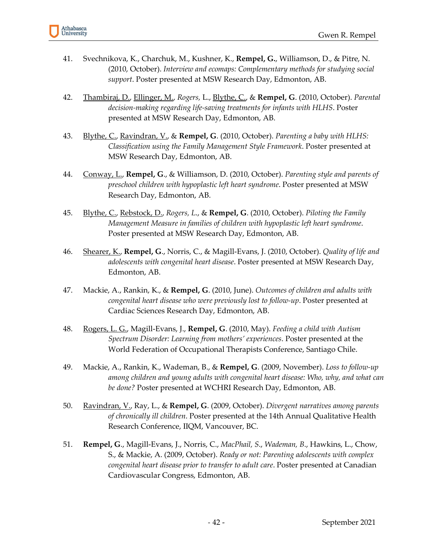

- 41. Svechnikova, K., Charchuk, M., Kushner, K., **Rempel, G.**, Williamson, D., & Pitre, N. (2010, October). *Interview and ecomaps: Complementary methods for studying social support*. Poster presented at MSW Research Day, Edmonton, AB.
- 42. Thambiraj, D., Ellinger, M., *Rogers,* L., Blythe, C., & **Rempel, G**. (2010, October). *Parental decision-making regarding life-saving treatments for infants with HLHS*. Poster presented at MSW Research Day, Edmonton, AB.
- 43. Blythe, C., Ravindran, V., & **Rempel, G**. (2010, October). *Parenting a baby with HLHS: Classification using the Family Management Style Framework*. Poster presented at MSW Research Day, Edmonton, AB.
- 44. Conway, L., **Rempel, G**., & Williamson, D. (2010, October). *Parenting style and parents of preschool children with hypoplastic left heart syndrome*. Poster presented at MSW Research Day, Edmonton, AB.
- 45. Blythe, C., Rebstock, D., *Rogers, L*., & **Rempel, G**. (2010, October). *Piloting the Family Management Measure in families of children with hypoplastic left heart syndrome*. Poster presented at MSW Research Day, Edmonton, AB.
- 46. Shearer, K., **Rempel, G**., Norris, C., & Magill-Evans, J. (2010, October). *Quality of life and adolescents with congenital heart disease*. Poster presented at MSW Research Day, Edmonton, AB.
- 47. Mackie, A., Rankin, K., & **Rempel, G**. (2010, June). *Outcomes of children and adults with congenital heart disease who were previously lost to follow-up*. Poster presented at Cardiac Sciences Research Day, Edmonton, AB.
- 48. Rogers, L. G., Magill-Evans, J., **Rempel, G**. (2010, May). *Feeding a child with Autism Spectrum Disorder: Learning from mothers' experiences*. Poster presented at the World Federation of Occupational Therapists Conference, Santiago Chile.
- 49. Mackie, A., Rankin, K., Wademan, B., & **Rempel, G**. (2009, November). *Loss to follow-up among children and young adults with congenital heart disease: Who, why, and what can be done?* Poster presented at WCHRI Research Day, Edmonton, AB.
- 50. Ravindran, V., Ray, L., & **Rempel, G**. (2009, October). *Divergent narratives among parents of chronically ill children*. Poster presented at the 14th Annual Qualitative Health Research Conference, IIQM, Vancouver, BC.
- 51. **Rempel, G**., Magill-Evans, J., Norris, C., *MacPhail, S*., *Wademan, B*., Hawkins, L., Chow, S., & Mackie, A. (2009, October). *Ready or not: Parenting adolescents with complex congenital heart disease prior to transfer to adult care*. Poster presented at Canadian Cardiovascular Congress, Edmonton, AB.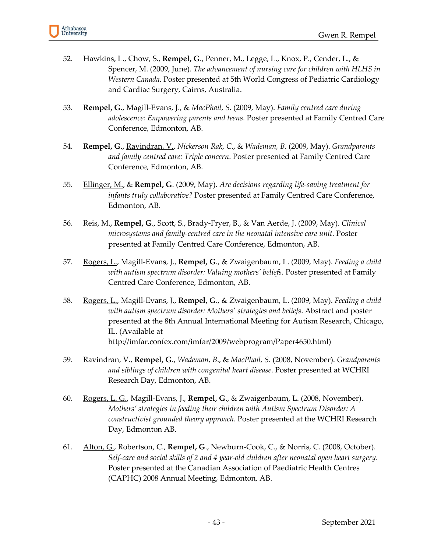- 52. Hawkins, L., Chow, S., **Rempel, G**., Penner, M., Legge, L., Knox, P., Cender, L., & Spencer, M. (2009, June). *The advancement of nursing care for children with HLHS in Western Canada*. Poster presented at 5th World Congress of Pediatric Cardiology and Cardiac Surgery, Cairns, Australia.
- 53. **Rempel, G**., Magill-Evans, J., & *MacPhail, S*. (2009, May). *Family centred care during adolescence: Empowering parents and teens*. Poster presented at Family Centred Care Conference, Edmonton, AB.
- 54. **Rempel, G**., Ravindran, V., *Nickerson Rak, C*., & *Wademan, B*. (2009, May). *Grandparents and family centred care: Triple concern*. Poster presented at Family Centred Care Conference, Edmonton, AB.
- 55. Ellinger, M., & **Rempel, G**. (2009, May). *Are decisions regarding life-saving treatment for infants truly collaborative?* Poster presented at Family Centred Care Conference, Edmonton, AB.
- 56. Reis, M., **Rempel, G**., Scott, S., Brady-Fryer, B., & Van Aerde, J. (2009, May). *Clinical microsystems and family-centred care in the neonatal intensive care unit*. Poster presented at Family Centred Care Conference, Edmonton, AB.
- 57. Rogers, L., Magill-Evans, J., **Rempel, G**., & Zwaigenbaum, L. (2009, May). *Feeding a child with autism spectrum disorder: Valuing mothers' beliefs*. Poster presented at Family Centred Care Conference, Edmonton, AB.
- 58. Rogers, L., Magill-Evans, J., **Rempel, G**., & Zwaigenbaum, L. (2009, May). *Feeding a child with autism spectrum disorder: Mothers' strategies and beliefs*. Abstract and poster presented at the 8th Annual International Meeting for Autism Research, Chicago, IL. (Available at http://imfar.confex.com/imfar/2009/webprogram/Paper4650.html)
- 59. Ravindran, V., **Rempel, G**., *Wademan, B*., & *MacPhail, S*. (2008, November). *Grandparents and siblings of children with congenital heart disease*. Poster presented at WCHRI Research Day, Edmonton, AB.
- 60. Rogers, L. G., Magill-Evans, J., **Rempel, G**., & Zwaigenbaum, L. (2008, November). *Mothers' strategies in feeding their children with Autism Spectrum Disorder: A constructivist grounded theory approach*. Poster presented at the WCHRI Research Day, Edmonton AB.
- 61. Alton, G., Robertson, C., **Rempel, G**., Newburn-Cook, C., & Norris, C. (2008, October). *Self-care and social skills of 2 and 4 year-old children after neonatal open heart surgery*. Poster presented at the Canadian Association of Paediatric Health Centres (CAPHC) 2008 Annual Meeting, Edmonton, AB.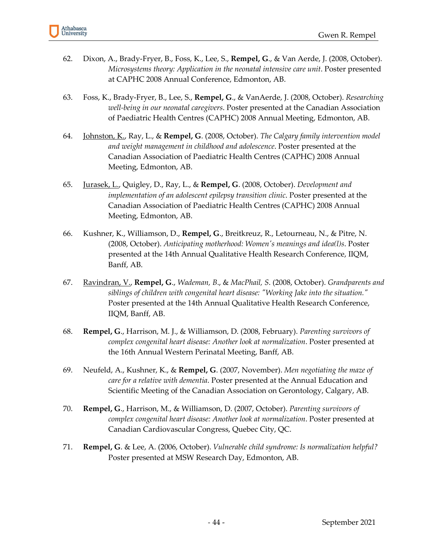- 62. Dixon, A., Brady-Fryer, B., Foss, K., Lee, S., **Rempel, G**., & Van Aerde, J. (2008, October). *Microsystems theory: Application in the neonatal intensive care unit*. Poster presented at CAPHC 2008 Annual Conference, Edmonton, AB.
- 63. Foss, K., Brady-Fryer, B., Lee, S., **Rempel, G**., & VanAerde, J. (2008, October). *Researching well-being in our neonatal caregivers*. Poster presented at the Canadian Association of Paediatric Health Centres (CAPHC) 2008 Annual Meeting, Edmonton, AB.
- 64. Johnston, K., Ray, L., & **Rempel, G**. (2008, October). *The Calgary family intervention model and weight management in childhood and adolescence*. Poster presented at the Canadian Association of Paediatric Health Centres (CAPHC) 2008 Annual Meeting, Edmonton, AB.
- 65. Jurasek, L., Quigley, D., Ray, L., & **Rempel, G**. (2008, October). *Development and implementation of an adolescent epilepsy transition clinic*. Poster presented at the Canadian Association of Paediatric Health Centres (CAPHC) 2008 Annual Meeting, Edmonton, AB.
- 66. Kushner, K., Williamson, D., **Rempel, G**., Breitkreuz, R., Letourneau, N., & Pitre, N. (2008, October). *Anticipating motherhood: Women's meanings and idea(l)s*. Poster presented at the 14th Annual Qualitative Health Research Conference, IIQM, Banff, AB.
- 67. Ravindran, V., **Rempel, G**., *Wademan, B*., & *MacPhail, S*. (2008, October). *Grandparents and siblings of children with congenital heart disease: "Working Jake into the situation."* Poster presented at the 14th Annual Qualitative Health Research Conference, IIQM, Banff, AB.
- 68. **Rempel, G**., Harrison, M. J., & Williamson, D. (2008, February). *Parenting survivors of complex congenital heart disease: Another look at normalization*. Poster presented at the 16th Annual Western Perinatal Meeting, Banff, AB.
- 69. Neufeld, A., Kushner, K., & **Rempel, G**. (2007, November). *Men negotiating the maze of care for a relative with dementia*. Poster presented at the Annual Education and Scientific Meeting of the Canadian Association on Gerontology, Calgary, AB.
- 70. **Rempel, G**., Harrison, M., & Williamson, D. (2007, October). *Parenting survivors of complex congenital heart disease: Another look at normalization*. Poster presented at Canadian Cardiovascular Congress, Quebec City, QC.
- 71. **Rempel, G**. & Lee, A. (2006, October). *Vulnerable child syndrome: Is normalization helpful?* Poster presented at MSW Research Day, Edmonton, AB.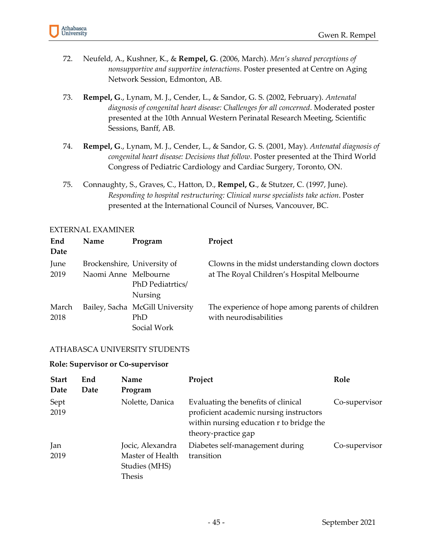

- 72. Neufeld, A., Kushner, K., & **Rempel, G**. (2006, March). *Men's shared perceptions of nonsupportive and supportive interactions*. Poster presented at Centre on Aging Network Session, Edmonton, AB.
- 73. **Rempel, G**., Lynam, M. J., Cender, L., & Sandor, G. S. (2002, February). *Antenatal diagnosis of congenital heart disease: Challenges for all concerned*. Moderated poster presented at the 10th Annual Western Perinatal Research Meeting, Scientific Sessions, Banff, AB.
- 74. **Rempel, G**., Lynam, M. J., Cender, L., & Sandor, G. S. (2001, May). *Antenatal diagnosis of congenital heart disease: Decisions that follow*. Poster presented at the Third World Congress of Pediatric Cardiology and Cardiac Surgery, Toronto, ON.
- 75. Connaughty, S., Graves, C., Hatton, D., **Rempel, G**., & Stutzer, C. (1997, June). *Responding to hospital restructuring: Clinical nurse specialists take action*. Poster presented at the International Council of Nurses, Vancouver, BC.

| End<br>Date   | Name                 | Program                                                           | Project                                                                                       |
|---------------|----------------------|-------------------------------------------------------------------|-----------------------------------------------------------------------------------------------|
| June<br>2019  | Naomi Anne Melbourne | Brockenshire, University of<br>PhD Pediatrtics/<br><b>Nursing</b> | Clowns in the midst understanding clown doctors<br>at The Royal Children's Hospital Melbourne |
| March<br>2018 |                      | Bailey, Sacha McGill University<br>PhD<br>Social Work             | The experience of hope among parents of children<br>with neurodisabilities                    |

#### EXTERNAL EXAMINER

#### ATHABASCA UNIVERSITY STUDENTS

#### **Role: Supervisor or Co-supervisor**

| <b>Start</b><br>Date | End<br>Date | Name<br>Program                                                 | Project                                                                                                                                           | Role          |
|----------------------|-------------|-----------------------------------------------------------------|---------------------------------------------------------------------------------------------------------------------------------------------------|---------------|
| Sept<br>2019         |             | Nolette, Danica                                                 | Evaluating the benefits of clinical<br>proficient academic nursing instructors<br>within nursing education r to bridge the<br>theory-practice gap | Co-supervisor |
| Jan<br>2019          |             | Jocic, Alexandra<br>Master of Health<br>Studies (MHS)<br>Thesis | Diabetes self-management during<br>transition                                                                                                     | Co-supervisor |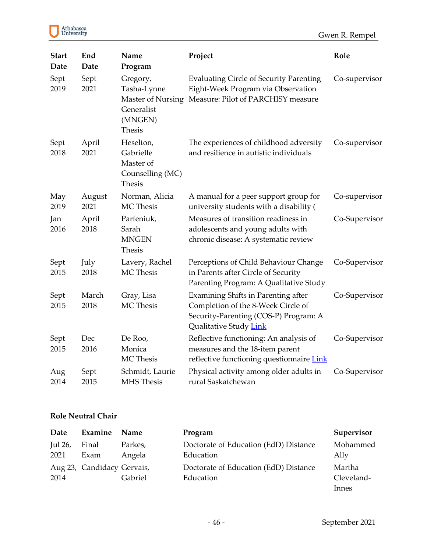

| <b>Start</b><br>Date | End<br>Date    | Name<br>Program                                                          | Project                                                                                                                                      | Role          |
|----------------------|----------------|--------------------------------------------------------------------------|----------------------------------------------------------------------------------------------------------------------------------------------|---------------|
| Sept<br>2019         | Sept<br>2021   | Gregory,<br>Tasha-Lynne<br>Generalist<br>(MNGEN)<br><b>Thesis</b>        | <b>Evaluating Circle of Security Parenting</b><br>Eight-Week Program via Observation<br>Master of Nursing Measure: Pilot of PARCHISY measure | Co-supervisor |
| Sept<br>2018         | April<br>2021  | Heselton,<br>Gabrielle<br>Master of<br>Counselling (MC)<br><b>Thesis</b> | The experiences of childhood adversity<br>and resilience in autistic individuals                                                             | Co-supervisor |
| May<br>2019          | August<br>2021 | Norman, Alicia<br>MC Thesis                                              | A manual for a peer support group for<br>university students with a disability (                                                             | Co-supervisor |
| Jan<br>2016          | April<br>2018  | Parfeniuk,<br>Sarah<br><b>MNGEN</b><br><b>Thesis</b>                     | Measures of transition readiness in<br>adolescents and young adults with<br>chronic disease: A systematic review                             | Co-Supervisor |
| Sept<br>2015         | July<br>2018   | Lavery, Rachel<br>MC Thesis                                              | Perceptions of Child Behaviour Change<br>in Parents after Circle of Security<br>Parenting Program: A Qualitative Study                       | Co-Supervisor |
| Sept<br>2015         | March<br>2018  | Gray, Lisa<br>MC Thesis                                                  | Examining Shifts in Parenting after<br>Completion of the 8-Week Circle of<br>Security-Parenting (COS-P) Program: A<br>Qualitative Study Link | Co-Supervisor |
| Sept<br>2015         | Dec<br>2016    | De Roo,<br>Monica<br>MC Thesis                                           | Reflective functioning: An analysis of<br>measures and the 18-item parent<br>reflective functioning questionnaire Link                       | Co-Supervisor |
| Aug<br>2014          | Sept<br>2015   | Schmidt, Laurie<br>MHS Thesis                                            | Physical activity among older adults in<br>rural Saskatchewan                                                                                | Co-Supervisor |

# **Role Neutral Chair**

| Date            | Examine                    | Name              | Program                                            | Supervisor           |
|-----------------|----------------------------|-------------------|----------------------------------------------------|----------------------|
| Jul 26,<br>2021 | Final<br>Exam              | Parkes,<br>Angela | Doctorate of Education (EdD) Distance<br>Education | Mohammed<br>Ally     |
| 2014            | Aug 23, Candidacy Gervais, | Gabriel           | Doctorate of Education (EdD) Distance<br>Education | Martha<br>Cleveland- |
|                 |                            |                   |                                                    | Innes                |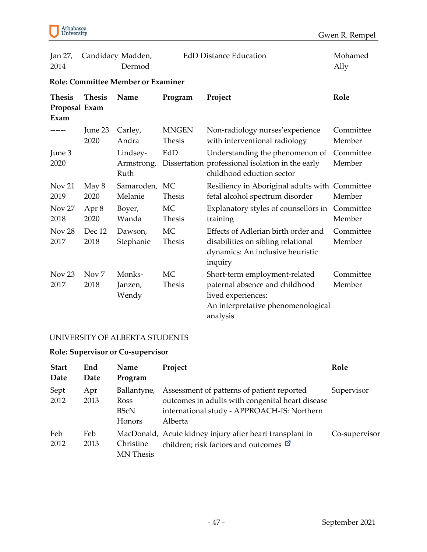

| Jan 27,<br>2014                        |                          | Candidacy Madden,<br>Dermod               |                               | <b>EdD Distance Education</b>                                                                                                           | Mohamed<br>Ally     |
|----------------------------------------|--------------------------|-------------------------------------------|-------------------------------|-----------------------------------------------------------------------------------------------------------------------------------------|---------------------|
|                                        |                          | <b>Role: Committee Member or Examiner</b> |                               |                                                                                                                                         |                     |
| <b>Thesis</b><br>Proposal Exam<br>Exam | <b>Thesis</b>            | Name                                      | Program                       | Project                                                                                                                                 | Role                |
|                                        | June 23<br>2020          | Carley,<br>Andra                          | <b>MNGEN</b><br><b>Thesis</b> | Non-radiology nurses' experience<br>with interventional radiology                                                                       | Committee<br>Member |
| June 3<br>2020                         |                          | Lindsey-<br>Armstrong,<br>Ruth            | EdD                           | Understanding the phenomenon of<br>Dissertation professional isolation in the early<br>childhood eduction sector                        | Committee<br>Member |
| Nov 21<br>2019                         | May 8<br>2020            | Samaroden, MC<br>Melanie                  | <b>Thesis</b>                 | Resiliency in Aboriginal adults with Committee<br>fetal alcohol spectrum disorder                                                       | Member              |
| Nov 27<br>2018                         | Apr 8<br>2020            | Boyer,<br>Wanda                           | MC<br><b>Thesis</b>           | Explanatory styles of counsellors in<br>training                                                                                        | Committee<br>Member |
| Nov <sub>28</sub><br>2017              | Dec 12<br>2018           | Dawson,<br>Stephanie                      | MC<br><b>Thesis</b>           | Effects of Adlerian birth order and<br>disabilities on sibling relational<br>dynamics: An inclusive heuristic<br>inquiry                | Committee<br>Member |
| Nov <sub>23</sub><br>2017              | Nov <sub>7</sub><br>2018 | Monks-<br>Janzen,<br>Wendy                | MC<br><b>Thesis</b>           | Short-term employment-related<br>paternal absence and childhood<br>lived experiences:<br>An interpretative phenomenological<br>analysis | Committee<br>Member |

### UNIVERSITY OF ALBERTA STUDENTS

### **Role: Supervisor or Co-supervisor**

| <b>Start</b><br>Date | End<br>Date | Name<br>Program                                     | Project                                                                                                                                                  | Role          |
|----------------------|-------------|-----------------------------------------------------|----------------------------------------------------------------------------------------------------------------------------------------------------------|---------------|
| Sept<br>2012         | Apr<br>2013 | Ballantyne,<br><b>Ross</b><br><b>BScN</b><br>Honors | Assessment of patterns of patient reported<br>outcomes in adults with congenital heart disease<br>international study - APPROACH-IS: Northern<br>Alberta | Supervisor    |
| Feb<br>2012          | Feb<br>2013 | Christine<br><b>MN</b> Thesis                       | MacDonald, Acute kidney injury after heart transplant in<br>children; risk factors and outcomes $\Box$                                                   | Co-supervisor |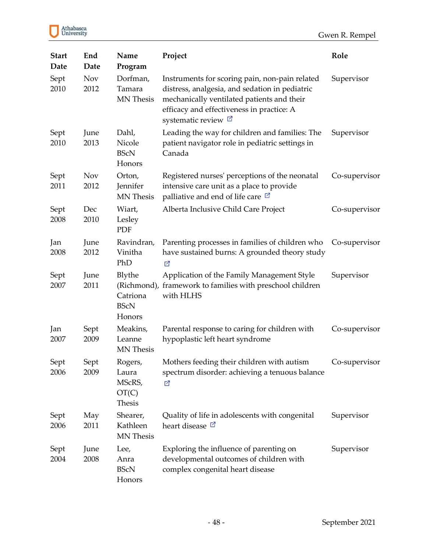| <b>Start</b><br>Date | End<br>Date        | Name<br>Program                               | Project                                                                                                                                                                                                                 | Role          |
|----------------------|--------------------|-----------------------------------------------|-------------------------------------------------------------------------------------------------------------------------------------------------------------------------------------------------------------------------|---------------|
| Sept<br>2010         | <b>Nov</b><br>2012 | Dorfman,<br>Tamara<br>MN Thesis               | Instruments for scoring pain, non-pain related<br>distress, analgesia, and sedation in pediatric<br>mechanically ventilated patients and their<br>efficacy and effectiveness in practice: A<br>systematic review $\Box$ | Supervisor    |
| Sept<br>2010         | June<br>2013       | Dahl,<br>Nicole<br><b>BScN</b><br>Honors      | Leading the way for children and families: The<br>patient navigator role in pediatric settings in<br>Canada                                                                                                             | Supervisor    |
| Sept<br>2011         | <b>Nov</b><br>2012 | Orton,<br>Jennifer<br><b>MN</b> Thesis        | Registered nurses' perceptions of the neonatal<br>intensive care unit as a place to provide<br>palliative and end of life care $\Box$                                                                                   | Co-supervisor |
| Sept<br>2008         | Dec<br>2010        | Wiart,<br>Lesley<br>PDF                       | Alberta Inclusive Child Care Project                                                                                                                                                                                    | Co-supervisor |
| Jan<br>2008          | June<br>2012       | Ravindran,<br>Vinitha<br>PhD                  | Parenting processes in families of children who<br>have sustained burns: A grounded theory study<br>M                                                                                                                   | Co-supervisor |
| Sept<br>2007         | June<br>2011       | Blythe<br>Catriona<br><b>BScN</b><br>Honors   | Application of the Family Management Style<br>(Richmond), framework to families with preschool children<br>with HLHS                                                                                                    | Supervisor    |
| Jan<br>2007          | Sept<br>2009       | Meakins,<br>Leanne<br><b>MN</b> Thesis        | Parental response to caring for children with<br>hypoplastic left heart syndrome                                                                                                                                        | Co-supervisor |
| Sept<br>2006         | Sept<br>2009       | Rogers,<br>Laura<br>MScRS,<br>OT(C)<br>Thesis | Mothers feeding their children with autism<br>spectrum disorder: achieving a tenuous balance<br>☑                                                                                                                       | Co-supervisor |
| Sept<br>2006         | May<br>2011        | Shearer,<br>Kathleen<br>MN Thesis             | Quality of life in adolescents with congenital<br>heart disease <sup>[7]</sup>                                                                                                                                          | Supervisor    |
| Sept<br>2004         | June<br>2008       | Lee,<br>Anra<br><b>BScN</b><br>Honors         | Exploring the influence of parenting on<br>developmental outcomes of children with<br>complex congenital heart disease                                                                                                  | Supervisor    |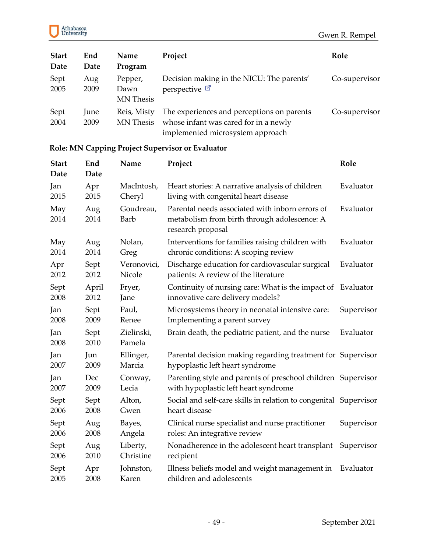

| <b>Start</b><br>Date | End<br>Date         | Name<br>Program                     | Project                                                                                                                 | Role          |
|----------------------|---------------------|-------------------------------------|-------------------------------------------------------------------------------------------------------------------------|---------------|
| Sept<br>2005         | Aug<br>2009         | Pepper,<br>Dawn<br><b>MN</b> Thesis | Decision making in the NICU: The parents'<br>perspective $\boxtimes$                                                    | Co-supervisor |
| Sept<br>2004         | <b>June</b><br>2009 | Reis, Misty<br>MN Thesis            | The experiences and perceptions on parents<br>whose infant was cared for in a newly<br>implemented microsystem approach | Co-supervisor |

# **Role: MN Capping Project Supervisor or Evaluator**

| <b>Start</b><br>Date | End<br>Date  | Name                     | Project                                                                                                              | Role       |
|----------------------|--------------|--------------------------|----------------------------------------------------------------------------------------------------------------------|------------|
| Jan                  | Apr          | MacIntosh,               | Heart stories: A narrative analysis of children                                                                      | Evaluator  |
| 2015                 | 2015         | Cheryl                   | living with congenital heart disease                                                                                 |            |
| May<br>2014          | Aug<br>2014  | Goudreau,<br><b>Barb</b> | Parental needs associated with inborn errors of<br>metabolism from birth through adolescence: A<br>research proposal | Evaluator  |
| May                  | Aug          | Nolan,                   | Interventions for families raising children with                                                                     | Evaluator  |
| 2014                 | 2014         | Greg                     | chronic conditions: A scoping review                                                                                 |            |
| Apr                  | Sept         | Veronovici,              | Discharge education for cardiovascular surgical                                                                      | Evaluator  |
| 2012                 | 2012         | Nicole                   | patients: A review of the literature                                                                                 |            |
| Sept                 | April        | Fryer,                   | Continuity of nursing care: What is the impact of                                                                    | Evaluator  |
| 2008                 | 2012         | Jane                     | innovative care delivery models?                                                                                     |            |
| Jan                  | Sept         | Paul,                    | Microsystems theory in neonatal intensive care:                                                                      | Supervisor |
| 2008                 | 2009         | Renee                    | Implementing a parent survey                                                                                         |            |
| Jan<br>2008          | Sept<br>2010 | Zielinski,<br>Pamela     | Brain death, the pediatric patient, and the nurse                                                                    | Evaluator  |
| Jan                  | Jun          | Ellinger,                | Parental decision making regarding treatment for Supervisor                                                          |            |
| 2007                 | 2009         | Marcia                   | hypoplastic left heart syndrome                                                                                      |            |
| Jan                  | Dec          | Conway,                  | Parenting style and parents of preschool children Supervisor                                                         |            |
| 2007                 | 2009         | Lecia                    | with hypoplastic left heart syndrome                                                                                 |            |
| Sept                 | Sept         | Alton,                   | Social and self-care skills in relation to congenital Supervisor                                                     |            |
| 2006                 | 2008         | Gwen                     | heart disease                                                                                                        |            |
| Sept                 | Aug          | Bayes,                   | Clinical nurse specialist and nurse practitioner                                                                     | Supervisor |
| 2006                 | 2008         | Angela                   | roles: An integrative review                                                                                         |            |
| Sept                 | Aug          | Liberty,                 | Nonadherence in the adolescent heart transplant                                                                      | Supervisor |
| 2006                 | 2010         | Christine                | recipient                                                                                                            |            |
| Sept                 | Apr          | Johnston,                | Illness beliefs model and weight management in                                                                       | Evaluator  |
| 2005                 | 2008         | Karen                    | children and adolescents                                                                                             |            |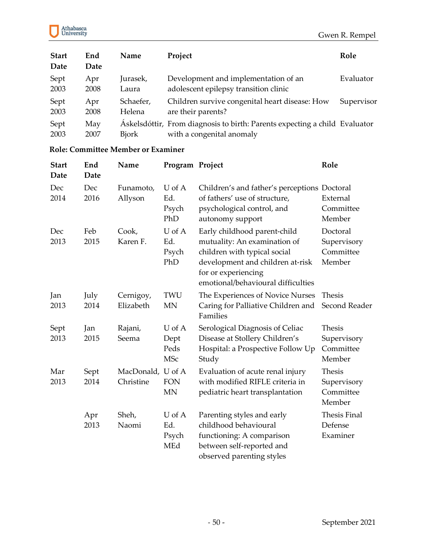

| <b>Start</b><br>Date | End<br>Date | Name          | Project                                                                                                 | Role       |
|----------------------|-------------|---------------|---------------------------------------------------------------------------------------------------------|------------|
| Sept                 | Apr         | Jurasek,      | Development and implementation of an                                                                    | Evaluator  |
| 2003                 | 2008        | Laura         | adolescent epilepsy transition clinic                                                                   |            |
| Sept                 | Apr         | Schaefer,     | Children survive congenital heart disease: How                                                          | Supervisor |
| 2003                 | 2008        | Helena        | are their parents?                                                                                      |            |
| Sept<br>2003         | May<br>2007 | <b>B</b> jork | Áskelsdóttir, From diagnosis to birth: Parents expecting a child Evaluator<br>with a congenital anomaly |            |

#### **Role: Committee Member or Examiner**

| <b>Start</b><br>Date | End<br>Date  | Name                           | Program Project                      |                                                                                                                                                                                               | Role                                                |
|----------------------|--------------|--------------------------------|--------------------------------------|-----------------------------------------------------------------------------------------------------------------------------------------------------------------------------------------------|-----------------------------------------------------|
| Dec<br>2014          | Dec<br>2016  | Funamoto,<br>Allyson           | U of A<br>Ed.<br>Psych<br>PhD        | Children's and father's perceptions Doctoral<br>of fathers' use of structure,<br>psychological control, and<br>autonomy support                                                               | External<br>Committee<br>Member                     |
| Dec<br>2013          | Feb<br>2015  | Cook,<br>Karen F.              | U of A<br>Ed.<br>Psych<br>PhD        | Early childhood parent-child<br>mutuality: An examination of<br>children with typical social<br>development and children at-risk<br>for or experiencing<br>emotional/behavioural difficulties | Doctoral<br>Supervisory<br>Committee<br>Member      |
| Jan<br>2013          | July<br>2014 | Cernigoy,<br>Elizabeth         | <b>TWU</b><br><b>MN</b>              | The Experiences of Novice Nurses<br>Caring for Palliative Children and<br>Families                                                                                                            | <b>Thesis</b><br>Second Reader                      |
| Sept<br>2013         | Jan<br>2015  | Rajani,<br>Seema               | U of A<br>Dept<br>Peds<br><b>MSc</b> | Serological Diagnosis of Celiac<br>Disease at Stollery Children's<br>Hospital: a Prospective Follow Up<br>Study                                                                               | <b>Thesis</b><br>Supervisory<br>Committee<br>Member |
| Mar<br>2013          | Sept<br>2014 | MacDonald, U of A<br>Christine | <b>FON</b><br><b>MN</b>              | Evaluation of acute renal injury<br>with modified RIFLE criteria in<br>pediatric heart transplantation                                                                                        | <b>Thesis</b><br>Supervisory<br>Committee<br>Member |
|                      | Apr<br>2013  | Sheh,<br>Naomi                 | U of A<br>Ed.<br>Psych<br>MEd        | Parenting styles and early<br>childhood behavioural<br>functioning: A comparison<br>between self-reported and<br>observed parenting styles                                                    | <b>Thesis Final</b><br>Defense<br>Examiner          |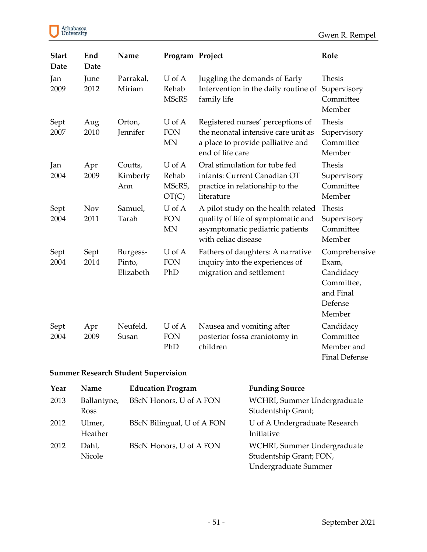Gwen R. Rempel

| Athabasca<br>University |
|-------------------------|
|-------------------------|

| <b>Start</b><br><b>Date</b> | End<br>Date        | Name                            | Program Project                    |                                                                                                                                     | Role                                                                                |
|-----------------------------|--------------------|---------------------------------|------------------------------------|-------------------------------------------------------------------------------------------------------------------------------------|-------------------------------------------------------------------------------------|
| Jan<br>2009                 | June<br>2012       | Parrakal,<br>Miriam             | U of A<br>Rehab<br><b>MScRS</b>    | Juggling the demands of Early<br>Intervention in the daily routine of<br>family life                                                | <b>Thesis</b><br>Supervisory<br>Committee<br>Member                                 |
| Sept<br>2007                | Aug<br>2010        | Orton,<br>Jennifer              | U of A<br><b>FON</b><br><b>MN</b>  | Registered nurses' perceptions of<br>the neonatal intensive care unit as<br>a place to provide palliative and<br>end of life care   | <b>Thesis</b><br>Supervisory<br>Committee<br>Member                                 |
| Jan<br>2004                 | Apr<br>2009        | Coutts,<br>Kimberly<br>Ann      | U of A<br>Rehab<br>MScRS,<br>OT(C) | Oral stimulation for tube fed<br>infants: Current Canadian OT<br>practice in relationship to the<br>literature                      | <b>Thesis</b><br>Supervisory<br>Committee<br>Member                                 |
| Sept<br>2004                | <b>Nov</b><br>2011 | Samuel,<br>Tarah                | U of A<br><b>FON</b><br><b>MN</b>  | A pilot study on the health related<br>quality of life of symptomatic and<br>asymptomatic pediatric patients<br>with celiac disease | <b>Thesis</b><br>Supervisory<br>Committee<br>Member                                 |
| Sept<br>2004                | Sept<br>2014       | Burgess-<br>Pinto,<br>Elizabeth | U of A<br><b>FON</b><br>PhD        | Fathers of daughters: A narrative<br>inquiry into the experiences of<br>migration and settlement                                    | Comprehensive<br>Exam,<br>Candidacy<br>Committee,<br>and Final<br>Defense<br>Member |
| Sept<br>2004                | Apr<br>2009        | Neufeld,<br>Susan               | U of A<br><b>FON</b><br>PhD        | Nausea and vomiting after<br>posterior fossa craniotomy in<br>children                                                              | Candidacy<br>Committee<br>Member and<br><b>Final Defense</b>                        |

# **Summer Research Student Supervision**

| Year | Name                | <b>Education Program</b>   | <b>Funding Source</b>                                                          |
|------|---------------------|----------------------------|--------------------------------------------------------------------------------|
| 2013 | Ballantyne,<br>Ross | BScN Honors, U of A FON    | WCHRI, Summer Undergraduate<br>Studentship Grant;                              |
| 2012 | Ulmer,<br>Heather   | BScN Bilingual, U of A FON | U of A Undergraduate Research<br>Initiative                                    |
| 2012 | Dahl,<br>Nicole     | BScN Honors, U of A FON    | WCHRI, Summer Undergraduate<br>Studentship Grant; FON,<br>Undergraduate Summer |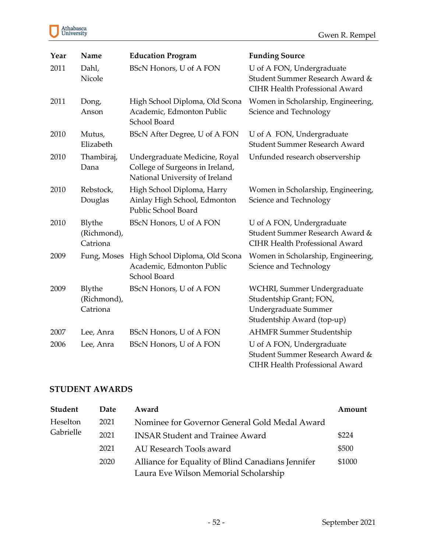

| Year | Name                              | <b>Education Program</b>                                                                           | <b>Funding Source</b>                                                                                        |
|------|-----------------------------------|----------------------------------------------------------------------------------------------------|--------------------------------------------------------------------------------------------------------------|
| 2011 | Dahl,<br>Nicole                   | <b>BScN Honors, U of A FON</b>                                                                     | U of A FON, Undergraduate<br>Student Summer Research Award &<br><b>CIHR Health Professional Award</b>        |
| 2011 | Dong,<br>Anson                    | High School Diploma, Old Scona<br>Academic, Edmonton Public<br>School Board                        | Women in Scholarship, Engineering,<br>Science and Technology                                                 |
| 2010 | Mutus,<br>Elizabeth               | BScN After Degree, U of A FON                                                                      | U of A FON, Undergraduate<br><b>Student Summer Research Award</b>                                            |
| 2010 | Thambiraj,<br>Dana                | Undergraduate Medicine, Royal<br>College of Surgeons in Ireland,<br>National University of Ireland | Unfunded research observership                                                                               |
| 2010 | Rebstock,<br>Douglas              | High School Diploma, Harry<br>Ainlay High School, Edmonton<br>Public School Board                  | Women in Scholarship, Engineering,<br>Science and Technology                                                 |
| 2010 | Blythe<br>(Richmond),<br>Catriona | BScN Honors, U of A FON                                                                            | U of A FON, Undergraduate<br>Student Summer Research Award &<br>CIHR Health Professional Award               |
| 2009 | Fung, Moses                       | High School Diploma, Old Scona<br>Academic, Edmonton Public<br>School Board                        | Women in Scholarship, Engineering,<br>Science and Technology                                                 |
| 2009 | Blythe<br>(Richmond),<br>Catriona | BScN Honors, U of A FON                                                                            | WCHRI, Summer Undergraduate<br>Studentship Grant; FON,<br>Undergraduate Summer<br>Studentship Award (top-up) |
| 2007 | Lee, Anra                         | BScN Honors, U of A FON                                                                            | <b>AHMFR Summer Studentship</b>                                                                              |
| 2006 | Lee, Anra                         | BScN Honors, U of A FON                                                                            | U of A FON, Undergraduate<br>Student Summer Research Award &<br>CIHR Health Professional Award               |

# **STUDENT AWARDS**

| <b>Student</b> | <b>Date</b> | Award                                             | Amount |
|----------------|-------------|---------------------------------------------------|--------|
| Heselton       | 2021        | Nominee for Governor General Gold Medal Award     |        |
| Gabrielle      | 2021        | <b>INSAR Student and Trainee Award</b>            | \$224  |
|                | 2021        | AU Research Tools award                           | \$500  |
|                | 2020        | Alliance for Equality of Blind Canadians Jennifer | \$1000 |
|                |             | Laura Eve Wilson Memorial Scholarship             |        |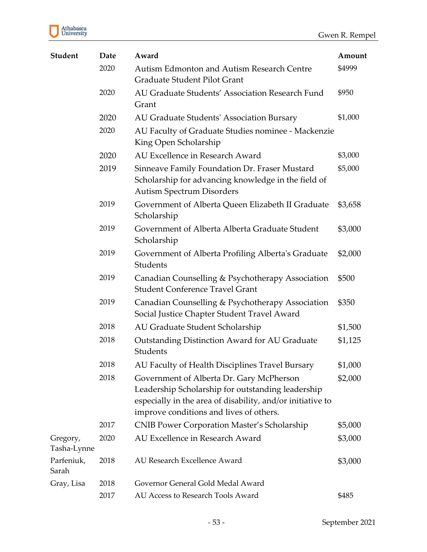

| <b>Student</b>          | Date | Award                                                                                                                                                                                                  | Amount  |
|-------------------------|------|--------------------------------------------------------------------------------------------------------------------------------------------------------------------------------------------------------|---------|
|                         | 2020 | Autism Edmonton and Autism Research Centre<br>Graduate Student Pilot Grant                                                                                                                             | \$4999  |
|                         | 2020 | AU Graduate Students' Association Research Fund<br>Grant                                                                                                                                               | \$950   |
|                         | 2020 | AU Graduate Students' Association Bursary                                                                                                                                                              | \$1,000 |
|                         | 2020 | AU Faculty of Graduate Studies nominee - Mackenzie<br>King Open Scholarship                                                                                                                            |         |
|                         | 2020 | AU Excellence in Research Award                                                                                                                                                                        | \$3,000 |
|                         | 2019 | Sinneave Family Foundation Dr. Fraser Mustard<br>Scholarship for advancing knowledge in the field of<br><b>Autism Spectrum Disorders</b>                                                               | \$5,000 |
|                         | 2019 | Government of Alberta Queen Elizabeth II Graduate<br>Scholarship                                                                                                                                       | \$3,658 |
|                         | 2019 | Government of Alberta Alberta Graduate Student<br>Scholarship                                                                                                                                          | \$3,000 |
|                         | 2019 | Government of Alberta Profiling Alberta's Graduate<br>Students                                                                                                                                         | \$2,000 |
|                         | 2019 | Canadian Counselling & Psychotherapy Association<br><b>Student Conference Travel Grant</b>                                                                                                             | \$500   |
|                         | 2019 | Canadian Counselling & Psychotherapy Association<br>Social Justice Chapter Student Travel Award                                                                                                        | \$350   |
|                         | 2018 | AU Graduate Student Scholarship                                                                                                                                                                        | \$1,500 |
|                         | 2018 | Outstanding Distinction Award for AU Graduate<br>Students                                                                                                                                              | \$1,125 |
|                         | 2018 | AU Faculty of Health Disciplines Travel Bursary                                                                                                                                                        | \$1,000 |
|                         | 2018 | Government of Alberta Dr. Gary McPherson<br>Leadership Scholarship for outstanding leadership<br>especially in the area of disability, and/or initiative to<br>improve conditions and lives of others. | \$2,000 |
|                         | 2017 | <b>CNIB Power Corporation Master's Scholarship</b>                                                                                                                                                     | \$5,000 |
| Gregory,<br>Tasha-Lynne | 2020 | AU Excellence in Research Award                                                                                                                                                                        | \$3,000 |
| Parfeniuk,<br>Sarah     | 2018 | AU Research Excellence Award                                                                                                                                                                           | \$3,000 |
| Gray, Lisa              | 2018 | Governor General Gold Medal Award                                                                                                                                                                      |         |
|                         | 2017 | AU Access to Research Tools Award                                                                                                                                                                      | \$485   |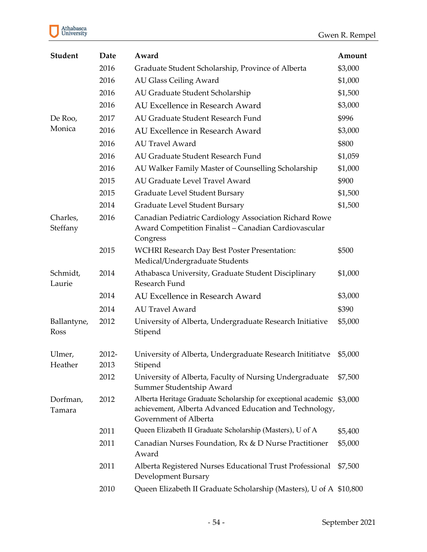# Athabasca<br>University

| <b>Student</b>       | Date          | Award                                                                                                                                              | Amount  |
|----------------------|---------------|----------------------------------------------------------------------------------------------------------------------------------------------------|---------|
|                      | 2016          | Graduate Student Scholarship, Province of Alberta                                                                                                  | \$3,000 |
|                      | 2016          | <b>AU Glass Ceiling Award</b>                                                                                                                      | \$1,000 |
|                      | 2016          | AU Graduate Student Scholarship                                                                                                                    | \$1,500 |
|                      | 2016          | AU Excellence in Research Award                                                                                                                    | \$3,000 |
| De Roo,              | 2017          | AU Graduate Student Research Fund                                                                                                                  | \$996   |
| Monica               | 2016          | AU Excellence in Research Award                                                                                                                    | \$3,000 |
|                      | 2016          | <b>AU Travel Award</b>                                                                                                                             | \$800   |
|                      | 2016          | AU Graduate Student Research Fund                                                                                                                  | \$1,059 |
|                      | 2016          | AU Walker Family Master of Counselling Scholarship                                                                                                 | \$1,000 |
|                      | 2015          | AU Graduate Level Travel Award                                                                                                                     | \$900   |
|                      | 2015          | Graduate Level Student Bursary                                                                                                                     | \$1,500 |
|                      | 2014          | Graduate Level Student Bursary                                                                                                                     | \$1,500 |
| Charles,<br>Steffany | 2016          | Canadian Pediatric Cardiology Association Richard Rowe<br>Award Competition Finalist - Canadian Cardiovascular<br>Congress                         |         |
|                      | 2015          | <b>WCHRI Research Day Best Poster Presentation:</b><br>Medical/Undergraduate Students                                                              | \$500   |
| Schmidt,<br>Laurie   | 2014          | Athabasca University, Graduate Student Disciplinary<br>Research Fund                                                                               | \$1,000 |
|                      | 2014          | AU Excellence in Research Award                                                                                                                    | \$3,000 |
|                      | 2014          | <b>AU Travel Award</b>                                                                                                                             | \$390   |
| Ballantyne,<br>Ross  | 2012          | University of Alberta, Undergraduate Research Initiative<br>Stipend                                                                                | \$5,000 |
| Ulmer,<br>Heather    | 2012-<br>2013 | University of Alberta, Undergraduate Research Inititiatve<br>Stipend                                                                               | \$5,000 |
|                      | 2012          | University of Alberta, Faculty of Nursing Undergraduate<br>Summer Studentship Award                                                                | \$7,500 |
| Dorfman,<br>Tamara   | 2012          | Alberta Heritage Graduate Scholarship for exceptional academic<br>achievement, Alberta Advanced Education and Technology,<br>Government of Alberta | \$3,000 |
|                      | 2011          | Queen Elizabeth II Graduate Scholarship (Masters), U of A                                                                                          | \$5,400 |
|                      | 2011          | Canadian Nurses Foundation, Rx & D Nurse Practitioner<br>Award                                                                                     | \$5,000 |
|                      | 2011          | Alberta Registered Nurses Educational Trust Professional<br>Development Bursary                                                                    | \$7,500 |
|                      | 2010          | Queen Elizabeth II Graduate Scholarship (Masters), U of A \$10,800                                                                                 |         |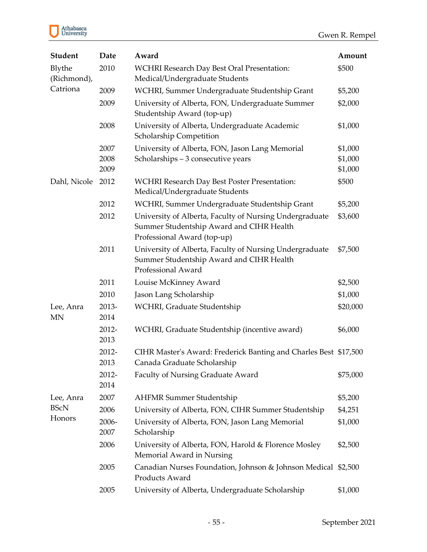

| <b>Student</b>         | Date                 | Award                                                                                                                              | Amount                        |
|------------------------|----------------------|------------------------------------------------------------------------------------------------------------------------------------|-------------------------------|
| Blythe<br>(Richmond),  | 2010                 | <b>WCHRI Research Day Best Oral Presentation:</b><br>Medical/Undergraduate Students                                                | \$500                         |
| Catriona               | 2009                 | WCHRI, Summer Undergraduate Studentship Grant                                                                                      | \$5,200                       |
|                        | 2009                 | University of Alberta, FON, Undergraduate Summer<br>Studentship Award (top-up)                                                     | \$2,000                       |
|                        | 2008                 | University of Alberta, Undergraduate Academic<br>Scholarship Competition                                                           | \$1,000                       |
|                        | 2007<br>2008<br>2009 | University of Alberta, FON, Jason Lang Memorial<br>Scholarships - 3 consecutive years                                              | \$1,000<br>\$1,000<br>\$1,000 |
| Dahl, Nicole           | 2012                 | <b>WCHRI Research Day Best Poster Presentation:</b><br>Medical/Undergraduate Students                                              | \$500                         |
|                        | 2012                 | WCHRI, Summer Undergraduate Studentship Grant                                                                                      | \$5,200                       |
|                        | 2012                 | University of Alberta, Faculty of Nursing Undergraduate<br>Summer Studentship Award and CIHR Health<br>Professional Award (top-up) | \$3,600                       |
|                        | 2011                 | University of Alberta, Faculty of Nursing Undergraduate<br>Summer Studentship Award and CIHR Health<br>Professional Award          | \$7,500                       |
|                        | 2011                 | Louise McKinney Award                                                                                                              | \$2,500                       |
|                        | 2010                 | Jason Lang Scholarship                                                                                                             | \$1,000                       |
| Lee, Anra<br><b>MN</b> | 2013-<br>2014        | WCHRI, Graduate Studentship                                                                                                        | \$20,000                      |
|                        | 2012-<br>2013        | WCHRI, Graduate Studentship (incentive award)                                                                                      | \$6,000                       |
|                        | 2012-<br>2013        | CIHR Master's Award: Frederick Banting and Charles Best \$17,500<br>Canada Graduate Scholarship                                    |                               |
|                        | 2012-<br>2014        | Faculty of Nursing Graduate Award                                                                                                  | \$75,000                      |
| Lee, Anra              | 2007                 | <b>AHFMR Summer Studentship</b>                                                                                                    | \$5,200                       |
| <b>BScN</b>            | 2006                 | University of Alberta, FON, CIHR Summer Studentship                                                                                | \$4,251                       |
| Honors                 | 2006-<br>2007        | University of Alberta, FON, Jason Lang Memorial<br>Scholarship                                                                     | \$1,000                       |
|                        | 2006                 | University of Alberta, FON, Harold & Florence Mosley<br>Memorial Award in Nursing                                                  | \$2,500                       |
|                        | 2005                 | Canadian Nurses Foundation, Johnson & Johnson Medical \$2,500<br>Products Award                                                    |                               |
|                        | 2005                 | University of Alberta, Undergraduate Scholarship                                                                                   | \$1,000                       |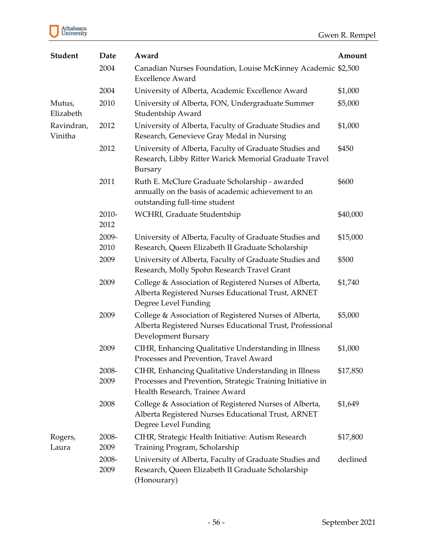

| <b>Student</b>        | Date          | Award                                                                                                                                                | Amount   |
|-----------------------|---------------|------------------------------------------------------------------------------------------------------------------------------------------------------|----------|
|                       | 2004          | Canadian Nurses Foundation, Louise McKinney Academic \$2,500<br><b>Excellence Award</b>                                                              |          |
|                       | 2004          | University of Alberta, Academic Excellence Award                                                                                                     | \$1,000  |
| Mutus,<br>Elizabeth   | 2010          | University of Alberta, FON, Undergraduate Summer<br>Studentship Award                                                                                | \$5,000  |
| Ravindran,<br>Vinitha | 2012          | University of Alberta, Faculty of Graduate Studies and<br>Research, Genevieve Gray Medal in Nursing                                                  | \$1,000  |
|                       | 2012          | University of Alberta, Faculty of Graduate Studies and<br>Research, Libby Ritter Warick Memorial Graduate Travel<br>Bursary                          | \$450    |
|                       | 2011          | Ruth E. McClure Graduate Scholarship - awarded<br>annually on the basis of academic achievement to an<br>outstanding full-time student               | \$600    |
|                       | 2010-<br>2012 | WCHRI, Graduate Studentship                                                                                                                          | \$40,000 |
|                       | 2009-<br>2010 | University of Alberta, Faculty of Graduate Studies and<br>Research, Queen Elizabeth II Graduate Scholarship                                          | \$15,000 |
|                       | 2009          | University of Alberta, Faculty of Graduate Studies and<br>Research, Molly Spohn Research Travel Grant                                                | \$500    |
|                       | 2009          | College & Association of Registered Nurses of Alberta,<br>Alberta Registered Nurses Educational Trust, ARNET<br>Degree Level Funding                 | \$1,740  |
|                       | 2009          | College & Association of Registered Nurses of Alberta,<br>Alberta Registered Nurses Educational Trust, Professional<br>Development Bursary           | \$5,000  |
|                       | 2009          | CIHR, Enhancing Qualitative Understanding in Illness<br>Processes and Prevention, Travel Award                                                       | \$1,000  |
|                       | 2008-<br>2009 | CIHR, Enhancing Qualitative Understanding in Illness<br>Processes and Prevention, Strategic Training Initiative in<br>Health Research, Trainee Award | \$17,850 |
|                       | 2008          | College & Association of Registered Nurses of Alberta,<br>Alberta Registered Nurses Educational Trust, ARNET<br>Degree Level Funding                 | \$1,649  |
| Rogers,<br>Laura      | 2008-<br>2009 | CIHR, Strategic Health Initiative: Autism Research<br>Training Program, Scholarship                                                                  | \$17,800 |
|                       | 2008-<br>2009 | University of Alberta, Faculty of Graduate Studies and<br>Research, Queen Elizabeth II Graduate Scholarship<br>(Honourary)                           | declined |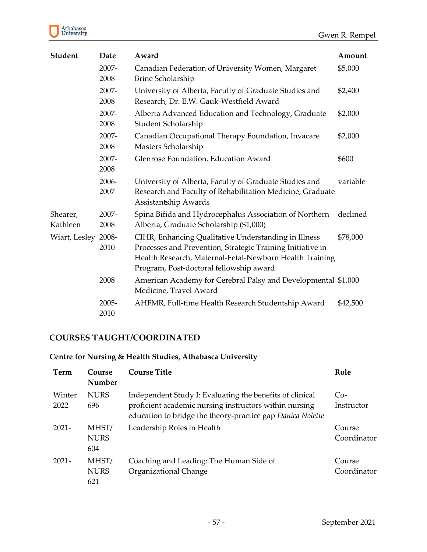

| <b>Student</b>       | Date          | Award                                                                                                                                                                                                                    | Amount   |
|----------------------|---------------|--------------------------------------------------------------------------------------------------------------------------------------------------------------------------------------------------------------------------|----------|
|                      | 2007-<br>2008 | Canadian Federation of University Women, Margaret<br><b>Brine Scholarship</b>                                                                                                                                            | \$5,000  |
|                      | 2007-<br>2008 | University of Alberta, Faculty of Graduate Studies and<br>Research, Dr. E.W. Gauk-Westfield Award                                                                                                                        | \$2,400  |
|                      | 2007-<br>2008 | Alberta Advanced Education and Technology, Graduate<br>Student Scholarship                                                                                                                                               | \$2,000  |
|                      | 2007-<br>2008 | Canadian Occupational Therapy Foundation, Invacare<br>Masters Scholarship                                                                                                                                                | \$2,000  |
|                      | 2007-<br>2008 | Glenrose Foundation, Education Award                                                                                                                                                                                     | \$600    |
|                      | 2006-<br>2007 | University of Alberta, Faculty of Graduate Studies and<br>Research and Faculty of Rehabilitation Medicine, Graduate<br>Assistantship Awards                                                                              | variable |
| Shearer,<br>Kathleen | 2007-<br>2008 | Spina Bifida and Hydrocephalus Association of Northern<br>Alberta, Graduate Scholarship (\$1,000)                                                                                                                        | declined |
| Wiart, Lesley        | 2008-<br>2010 | CIHR, Enhancing Qualitative Understanding in Illness<br>Processes and Prevention, Strategic Training Initiative in<br>Health Research, Maternal-Fetal-Newborn Health Training<br>Program, Post-doctoral fellowship award | \$78,000 |
|                      | 2008          | American Academy for Cerebral Palsy and Developmental \$1,000<br>Medicine, Travel Award                                                                                                                                  |          |
|                      | 2005-<br>2010 | AHFMR, Full-time Health Research Studentship Award                                                                                                                                                                       | \$42,500 |

# **COURSES TAUGHT/COORDINATED**

# **Centre for Nursing & Health Studies, Athabasca University**

| Term           | Course<br>Number            | Course Title                                                                                                                                                                     | Role                  |
|----------------|-----------------------------|----------------------------------------------------------------------------------------------------------------------------------------------------------------------------------|-----------------------|
| Winter<br>2022 | <b>NURS</b><br>696          | Independent Study I: Evaluating the benefits of clinical<br>proficient academic nursing instructors within nursing<br>education to bridge the theory-practice gap Danica Nolette | $Co-$<br>Instructor   |
| $2021 -$       | MHST/<br><b>NURS</b><br>604 | Leadership Roles in Health                                                                                                                                                       | Course<br>Coordinator |
| $2021-$        | MHST/<br><b>NURS</b><br>621 | Coaching and Leading: The Human Side of<br>Organizational Change                                                                                                                 | Course<br>Coordinator |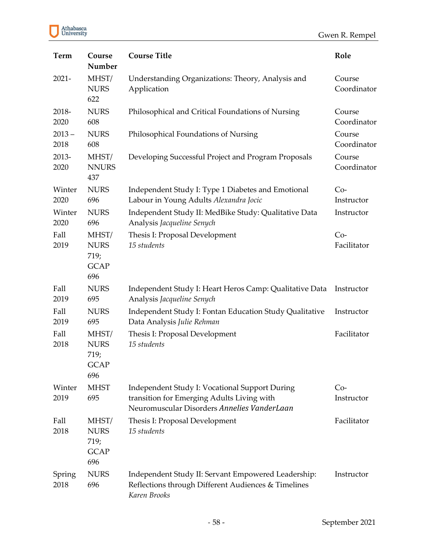### Gwen R. Rempel

| <b>Term</b>      | Course<br>Number                                   | <b>Course Title</b>                                                                                                                         | Role                  |
|------------------|----------------------------------------------------|---------------------------------------------------------------------------------------------------------------------------------------------|-----------------------|
| $2021 -$         | MHST/<br><b>NURS</b><br>622                        | Understanding Organizations: Theory, Analysis and<br>Application                                                                            | Course<br>Coordinator |
| 2018-<br>2020    | <b>NURS</b><br>608                                 | Philosophical and Critical Foundations of Nursing                                                                                           | Course<br>Coordinator |
| $2013 -$<br>2018 | <b>NURS</b><br>608                                 | Philosophical Foundations of Nursing                                                                                                        | Course<br>Coordinator |
| 2013-<br>2020    | MHST/<br><b>NNURS</b><br>437                       | Developing Successful Project and Program Proposals                                                                                         | Course<br>Coordinator |
| Winter<br>2020   | <b>NURS</b><br>696                                 | Independent Study I: Type 1 Diabetes and Emotional<br>Labour in Young Adults Alexandra Jocic                                                | $Co-$<br>Instructor   |
| Winter<br>2020   | <b>NURS</b><br>696                                 | Independent Study II: MedBike Study: Qualitative Data<br>Analysis Jacqueline Senych                                                         | Instructor            |
| Fall<br>2019     | MHST/<br><b>NURS</b><br>719;<br><b>GCAP</b><br>696 | Thesis I: Proposal Development<br>15 students                                                                                               | $Co-$<br>Facilitator  |
| Fall<br>2019     | <b>NURS</b><br>695                                 | Independent Study I: Heart Heros Camp: Qualitative Data<br>Analysis Jacqueline Senych                                                       | Instructor            |
| Fall<br>2019     | <b>NURS</b><br>695                                 | Independent Study I: Fontan Education Study Qualitative<br>Data Analysis Julie Rehman                                                       | Instructor            |
| Fall<br>2018     | MHST/<br><b>NURS</b><br>719;<br><b>GCAP</b><br>696 | Thesis I: Proposal Development<br>15 students                                                                                               | Facilitator           |
| Winter<br>2019   | <b>MHST</b><br>695                                 | Independent Study I: Vocational Support During<br>transition for Emerging Adults Living with<br>Neuromuscular Disorders Annelies VanderLaan | $Co-$<br>Instructor   |
| Fall<br>2018     | MHST/<br><b>NURS</b><br>719;<br><b>GCAP</b><br>696 | Thesis I: Proposal Development<br>15 students                                                                                               | Facilitator           |
| Spring<br>2018   | <b>NURS</b><br>696                                 | Independent Study II: Servant Empowered Leadership:<br>Reflections through Different Audiences & Timelines<br>Karen Brooks                  | Instructor            |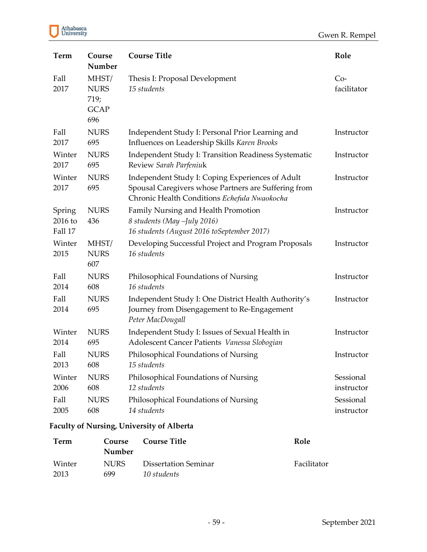|  | Athabasca<br>University |
|--|-------------------------|
|--|-------------------------|

| <b>Term</b>                  | Course<br>Number                                   | <b>Course Title</b>                                                                                                                                      | Role                 |
|------------------------------|----------------------------------------------------|----------------------------------------------------------------------------------------------------------------------------------------------------------|----------------------|
| Fall<br>2017                 | MHST/<br><b>NURS</b><br>719;<br><b>GCAP</b><br>696 | Thesis I: Proposal Development<br>15 students                                                                                                            | $Co-$<br>facilitator |
| Fall                         | <b>NURS</b>                                        | Independent Study I: Personal Prior Learning and                                                                                                         | Instructor           |
| 2017                         | 695                                                | Influences on Leadership Skills Karen Brooks                                                                                                             |                      |
| Winter                       | <b>NURS</b>                                        | <b>Independent Study I: Transition Readiness Systematic</b>                                                                                              | Instructor           |
| 2017                         | 695                                                | Review Sarah Parfeniuk                                                                                                                                   |                      |
| Winter<br>2017               | <b>NURS</b><br>695                                 | Independent Study I: Coping Experiences of Adult<br>Spousal Caregivers whose Partners are Suffering from<br>Chronic Health Conditions Echefula Nwaokocha | Instructor           |
| Spring<br>2016 to<br>Fall 17 | <b>NURS</b><br>436                                 | Family Nursing and Health Promotion<br>8 students (May -July 2016)<br>16 students (August 2016 toSeptember 2017)                                         | Instructor           |
| Winter<br>2015               | MHST/<br><b>NURS</b><br>607                        | Developing Successful Project and Program Proposals<br>16 students                                                                                       | Instructor           |
| Fall                         | <b>NURS</b>                                        | Philosophical Foundations of Nursing                                                                                                                     | Instructor           |
| 2014                         | 608                                                | 16 students                                                                                                                                              |                      |
| Fall<br>2014                 | <b>NURS</b><br>695                                 | Independent Study I: One District Health Authority's<br>Journey from Disengagement to Re-Engagement<br>Peter MacDougall                                  | Instructor           |
| Winter                       | <b>NURS</b>                                        | Independent Study I: Issues of Sexual Health in                                                                                                          | Instructor           |
| 2014                         | 695                                                | Adolescent Cancer Patients Vanessa Slobogian                                                                                                             |                      |
| Fall                         | <b>NURS</b>                                        | Philosophical Foundations of Nursing                                                                                                                     | Instructor           |
| 2013                         | 608                                                | 15 students                                                                                                                                              |                      |
| Winter                       | <b>NURS</b>                                        | Philosophical Foundations of Nursing                                                                                                                     | Sessional            |
| 2006                         | 608                                                | 12 students                                                                                                                                              | instructor           |
| Fall                         | <b>NURS</b>                                        | Philosophical Foundations of Nursing                                                                                                                     | Sessional            |
| 2005                         | 608                                                | 14 students                                                                                                                                              | instructor           |

# **Faculty of Nursing, University of Alberta**

| Term   | Course<br>Number | <b>Course Title</b>  | Role        |
|--------|------------------|----------------------|-------------|
| Winter | NURS.            | Dissertation Seminar | Facilitator |
| 2013   | 699              | 10 students          |             |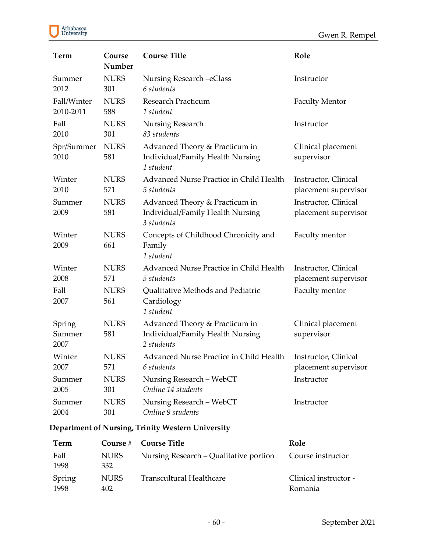

| <b>Term</b>              | Course<br>Number   | <b>Course Title</b>                                                              | Role                                         |
|--------------------------|--------------------|----------------------------------------------------------------------------------|----------------------------------------------|
| Summer                   | <b>NURS</b>        | Nursing Research - eClass                                                        | Instructor                                   |
| 2012                     | 301                | 6 students                                                                       |                                              |
| Fall/Winter              | <b>NURS</b>        | <b>Research Practicum</b>                                                        | <b>Faculty Mentor</b>                        |
| 2010-2011                | 588                | 1 student                                                                        |                                              |
| Fall                     | <b>NURS</b>        | Nursing Research                                                                 | Instructor                                   |
| 2010                     | 301                | 83 students                                                                      |                                              |
| Spr/Summer<br>2010       | <b>NURS</b><br>581 | Advanced Theory & Practicum in<br>Individual/Family Health Nursing<br>1 student  | Clinical placement<br>supervisor             |
| Winter                   | <b>NURS</b>        | Advanced Nurse Practice in Child Health                                          | Instructor, Clinical                         |
| 2010                     | 571                | 5 students                                                                       | placement supervisor                         |
| Summer<br>2009           | <b>NURS</b><br>581 | Advanced Theory & Practicum in<br>Individual/Family Health Nursing<br>3 students | Instructor, Clinical<br>placement supervisor |
| Winter<br>2009           | <b>NURS</b><br>661 | Concepts of Childhood Chronicity and<br>Family<br>1 student                      | Faculty mentor                               |
| Winter                   | <b>NURS</b>        | Advanced Nurse Practice in Child Health                                          | Instructor, Clinical                         |
| 2008                     | 571                | 5 students                                                                       | placement supervisor                         |
| Fall<br>2007             | <b>NURS</b><br>561 | Qualitative Methods and Pediatric<br>Cardiology<br>1 student                     | Faculty mentor                               |
| Spring<br>Summer<br>2007 | <b>NURS</b><br>581 | Advanced Theory & Practicum in<br>Individual/Family Health Nursing<br>2 students | Clinical placement<br>supervisor             |
| Winter                   | <b>NURS</b>        | Advanced Nurse Practice in Child Health                                          | Instructor, Clinical                         |
| 2007                     | 571                | 6 students                                                                       | placement supervisor                         |
| Summer                   | <b>NURS</b>        | Nursing Research - WebCT                                                         | Instructor                                   |
| 2005                     | 301                | Online 14 students                                                               |                                              |
| Summer                   | <b>NURS</b>        | Nursing Research - WebCT                                                         | Instructor                                   |
| 2004                     | 301                | Online 9 students                                                                |                                              |

# **Department of Nursing, Trinity Western University**

| Term           |                    | Course # Course Title                  | Role                             |
|----------------|--------------------|----------------------------------------|----------------------------------|
| Fall<br>1998   | <b>NURS</b><br>332 | Nursing Research – Qualitative portion | Course instructor                |
| Spring<br>1998 | <b>NURS</b><br>402 | Transcultural Healthcare               | Clinical instructor -<br>Romania |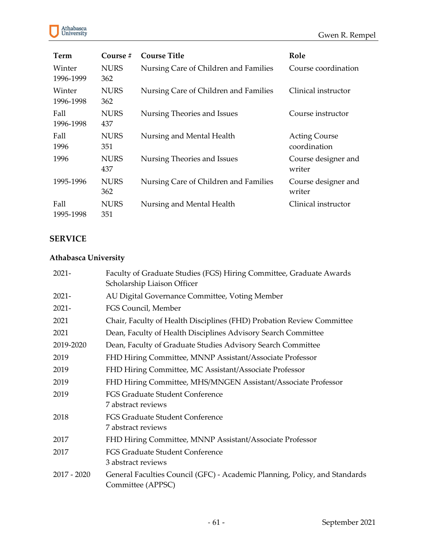



| Term                | Course $#$         | <b>Course Title</b>                   | Role                                 |
|---------------------|--------------------|---------------------------------------|--------------------------------------|
| Winter<br>1996-1999 | <b>NURS</b><br>362 | Nursing Care of Children and Families | Course coordination                  |
| Winter<br>1996-1998 | <b>NURS</b><br>362 | Nursing Care of Children and Families | Clinical instructor                  |
| Fall<br>1996-1998   | <b>NURS</b><br>437 | Nursing Theories and Issues           | Course instructor                    |
| Fall<br>1996        | <b>NURS</b><br>351 | Nursing and Mental Health             | <b>Acting Course</b><br>coordination |
| 1996                | <b>NURS</b><br>437 | Nursing Theories and Issues           | Course designer and<br>writer        |
| 1995-1996           | <b>NURS</b><br>362 | Nursing Care of Children and Families | Course designer and<br>writer        |
| Fall<br>1995-1998   | <b>NURS</b><br>351 | Nursing and Mental Health             | Clinical instructor                  |

### **SERVICE**

# **Athabasca University**

| $2021 -$      | Faculty of Graduate Studies (FGS) Hiring Committee, Graduate Awards        |
|---------------|----------------------------------------------------------------------------|
|               | Scholarship Liaison Officer                                                |
| $2021 -$      | AU Digital Governance Committee, Voting Member                             |
| $2021 -$      | FGS Council, Member                                                        |
| 2021          | Chair, Faculty of Health Disciplines (FHD) Probation Review Committee      |
| 2021          | Dean, Faculty of Health Disciplines Advisory Search Committee              |
| 2019-2020     | Dean, Faculty of Graduate Studies Advisory Search Committee                |
| 2019          | FHD Hiring Committee, MNNP Assistant/Associate Professor                   |
| 2019          | FHD Hiring Committee, MC Assistant/Associate Professor                     |
| 2019          | FHD Hiring Committee, MHS/MNGEN Assistant/Associate Professor              |
| 2019          | FGS Graduate Student Conference                                            |
|               | 7 abstract reviews                                                         |
| 2018          | FGS Graduate Student Conference                                            |
|               | 7 abstract reviews                                                         |
| 2017          | FHD Hiring Committee, MNNP Assistant/Associate Professor                   |
| 2017          | <b>FGS Graduate Student Conference</b>                                     |
|               | 3 abstract reviews                                                         |
| $2017 - 2020$ | General Faculties Council (GFC) - Academic Planning, Policy, and Standards |
|               | Committee (APPSC)                                                          |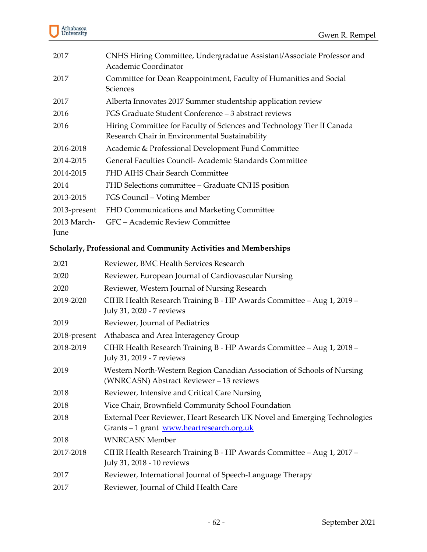

| 2017                | CNHS Hiring Committee, Undergradatue Assistant/Associate Professor and<br>Academic Coordinator                           |
|---------------------|--------------------------------------------------------------------------------------------------------------------------|
| 2017                | Committee for Dean Reappointment, Faculty of Humanities and Social<br>Sciences                                           |
| 2017                | Alberta Innovates 2017 Summer studentship application review                                                             |
| 2016                | FGS Graduate Student Conference - 3 abstract reviews                                                                     |
| 2016                | Hiring Committee for Faculty of Sciences and Technology Tier II Canada<br>Research Chair in Environmental Sustainability |
| 2016-2018           | Academic & Professional Development Fund Committee                                                                       |
| 2014-2015           | General Faculties Council- Academic Standards Committee                                                                  |
| 2014-2015           | FHD AIHS Chair Search Committee                                                                                          |
| 2014                | FHD Selections committee - Graduate CNHS position                                                                        |
| 2013-2015           | FGS Council – Voting Member                                                                                              |
| 2013-present        | FHD Communications and Marketing Committee                                                                               |
| 2013 March-<br>June | GFC - Academic Review Committee                                                                                          |

# **Scholarly, Professional and Community Activities and Memberships**

| 2021         | Reviewer, BMC Health Services Research                                                                                 |
|--------------|------------------------------------------------------------------------------------------------------------------------|
| 2020         | Reviewer, European Journal of Cardiovascular Nursing                                                                   |
| 2020         | Reviewer, Western Journal of Nursing Research                                                                          |
| 2019-2020    | CIHR Health Research Training B - HP Awards Committee - Aug 1, 2019 -<br>July 31, 2020 - 7 reviews                     |
| 2019         | Reviewer, Journal of Pediatrics                                                                                        |
| 2018-present | Athabasca and Area Interagency Group                                                                                   |
| 2018-2019    | CIHR Health Research Training B - HP Awards Committee - Aug 1, 2018 -<br>July 31, 2019 - 7 reviews                     |
| 2019         | Western North-Western Region Canadian Association of Schools of Nursing<br>(WNRCASN) Abstract Reviewer - 13 reviews    |
| 2018         | Reviewer, Intensive and Critical Care Nursing                                                                          |
| 2018         | Vice Chair, Brownfield Community School Foundation                                                                     |
| 2018         | External Peer Reviewer, Heart Research UK Novel and Emerging Technologies<br>Grants - 1 grant www.heartresearch.org.uk |
| 2018         | <b>WNRCASN Member</b>                                                                                                  |
| 2017-2018    | CIHR Health Research Training B - HP Awards Committee - Aug 1, 2017 -<br>July 31, 2018 - 10 reviews                    |
| 2017         | Reviewer, International Journal of Speech-Language Therapy                                                             |
| 2017         | Reviewer, Journal of Child Health Care                                                                                 |
|              |                                                                                                                        |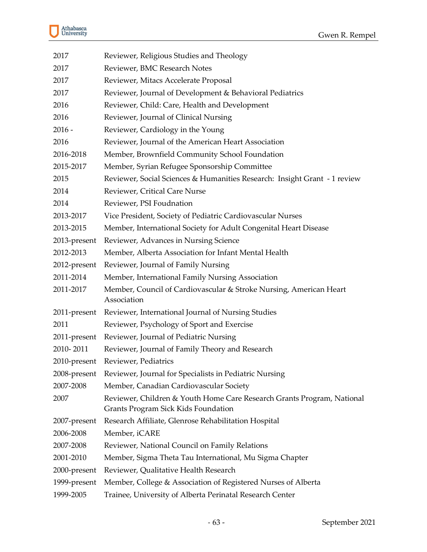

| 2017         | Reviewer, Religious Studies and Theology                                                                      |
|--------------|---------------------------------------------------------------------------------------------------------------|
| 2017         | Reviewer, BMC Research Notes                                                                                  |
| 2017         | Reviewer, Mitacs Accelerate Proposal                                                                          |
| 2017         | Reviewer, Journal of Development & Behavioral Pediatrics                                                      |
| 2016         | Reviewer, Child: Care, Health and Development                                                                 |
| 2016         | Reviewer, Journal of Clinical Nursing                                                                         |
| $2016 -$     | Reviewer, Cardiology in the Young                                                                             |
| 2016         | Reviewer, Journal of the American Heart Association                                                           |
| 2016-2018    | Member, Brownfield Community School Foundation                                                                |
| 2015-2017    | Member, Syrian Refugee Sponsorship Committee                                                                  |
| 2015         | Reviewer, Social Sciences & Humanities Research: Insight Grant - 1 review                                     |
| 2014         | Reviewer, Critical Care Nurse                                                                                 |
| 2014         | Reviewer, PSI Foudnation                                                                                      |
| 2013-2017    | Vice President, Society of Pediatric Cardiovascular Nurses                                                    |
| 2013-2015    | Member, International Society for Adult Congenital Heart Disease                                              |
| 2013-present | Reviewer, Advances in Nursing Science                                                                         |
| 2012-2013    | Member, Alberta Association for Infant Mental Health                                                          |
| 2012-present | Reviewer, Journal of Family Nursing                                                                           |
| 2011-2014    | Member, International Family Nursing Association                                                              |
| 2011-2017    | Member, Council of Cardiovascular & Stroke Nursing, American Heart<br>Association                             |
| 2011-present | Reviewer, International Journal of Nursing Studies                                                            |
| 2011         | Reviewer, Psychology of Sport and Exercise                                                                    |
| 2011-present | Reviewer, Journal of Pediatric Nursing                                                                        |
| 2010-2011    | Reviewer, Journal of Family Theory and Research                                                               |
| 2010-present | Reviewer, Pediatrics                                                                                          |
|              | 2008-present Reviewer, Journal for Specialists in Pediatric Nursing                                           |
| 2007-2008    | Member, Canadian Cardiovascular Society                                                                       |
| 2007         | Reviewer, Children & Youth Home Care Research Grants Program, National<br>Grants Program Sick Kids Foundation |
| 2007-present | Research Affiliate, Glenrose Rehabilitation Hospital                                                          |
| 2006-2008    | Member, iCARE                                                                                                 |
| 2007-2008    | Reviewer, National Council on Family Relations                                                                |
| 2001-2010    | Member, Sigma Theta Tau International, Mu Sigma Chapter                                                       |
| 2000-present | Reviewer, Qualitative Health Research                                                                         |
| 1999-present | Member, College & Association of Registered Nurses of Alberta                                                 |
| 1999-2005    | Trainee, University of Alberta Perinatal Research Center                                                      |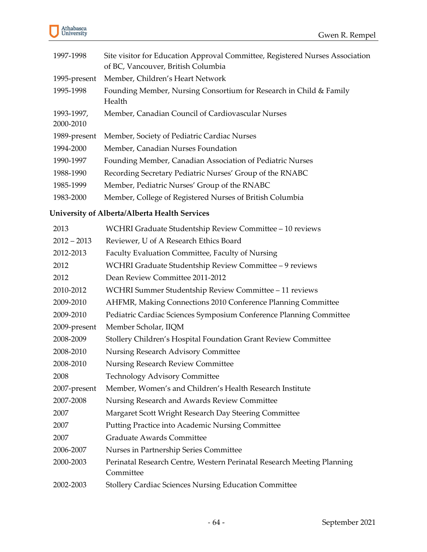

| 1997-1998               | Site visitor for Education Approval Committee, Registered Nurses Association<br>of BC, Vancouver, British Columbia |
|-------------------------|--------------------------------------------------------------------------------------------------------------------|
| 1995-present            | Member, Children's Heart Network                                                                                   |
| 1995-1998               | Founding Member, Nursing Consortium for Research in Child & Family<br>Health                                       |
| 1993-1997,<br>2000-2010 | Member, Canadian Council of Cardiovascular Nurses                                                                  |
| 1989-present            | Member, Society of Pediatric Cardiac Nurses                                                                        |
| 1994-2000               | Member, Canadian Nurses Foundation                                                                                 |
| 1990-1997               | Founding Member, Canadian Association of Pediatric Nurses                                                          |
| 1988-1990               | Recording Secretary Pediatric Nurses' Group of the RNABC                                                           |
| 1985-1999               | Member, Pediatric Nurses' Group of the RNABC                                                                       |
| 1983-2000               | Member, College of Registered Nurses of British Columbia                                                           |
|                         |                                                                                                                    |

# **University of Alberta/Alberta Health Services**

| 2013          | WCHRI Graduate Studentship Review Committee - 10 reviews               |
|---------------|------------------------------------------------------------------------|
| $2012 - 2013$ | Reviewer, U of A Research Ethics Board                                 |
| 2012-2013     | Faculty Evaluation Committee, Faculty of Nursing                       |
| 2012          | WCHRI Graduate Studentship Review Committee - 9 reviews                |
| 2012          | Dean Review Committee 2011-2012                                        |
| 2010-2012     | WCHRI Summer Studentship Review Committee - 11 reviews                 |
| 2009-2010     | AHFMR, Making Connections 2010 Conference Planning Committee           |
| 2009-2010     | Pediatric Cardiac Sciences Symposium Conference Planning Committee     |
| 2009-present  | Member Scholar, IIQM                                                   |
| 2008-2009     | Stollery Children's Hospital Foundation Grant Review Committee         |
| 2008-2010     | Nursing Research Advisory Committee                                    |
| 2008-2010     | Nursing Research Review Committee                                      |
| 2008          | <b>Technology Advisory Committee</b>                                   |
| 2007-present  | Member, Women's and Children's Health Research Institute               |
| 2007-2008     | Nursing Research and Awards Review Committee                           |
| 2007          | Margaret Scott Wright Research Day Steering Committee                  |
| 2007          | Putting Practice into Academic Nursing Committee                       |
| 2007          | <b>Graduate Awards Committee</b>                                       |
| 2006-2007     | Nurses in Partnership Series Committee                                 |
| 2000-2003     | Perinatal Research Centre, Western Perinatal Research Meeting Planning |
|               | Committee                                                              |
| 2002-2003     | <b>Stollery Cardiac Sciences Nursing Education Committee</b>           |